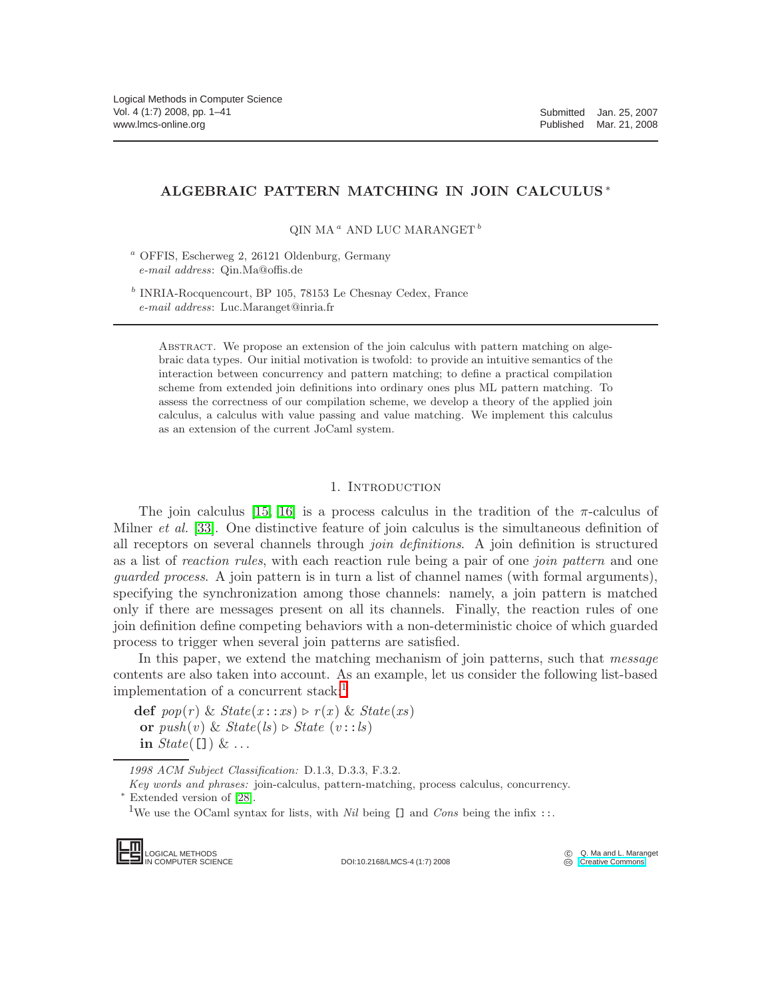# ALGEBRAIC PATTERN MATCHING IN JOIN CALCULUS <sup>∗</sup>

QIN MA $^a$ AND LUC MARANGET $^b$ 

<sup>a</sup> OFFIS, Escherweg 2, 26121 Oldenburg, Germany *e-mail address*: Qin.Ma@offis.de

<sup>b</sup> INRIA-Rocquencourt, BP 105, 78153 Le Chesnay Cedex, France *e-mail address*: Luc.Maranget@inria.fr

Abstract. We propose an extension of the join calculus with pattern matching on algebraic data types. Our initial motivation is twofold: to provide an intuitive semantics of the interaction between concurrency and pattern matching; to define a practical compilation scheme from extended join definitions into ordinary ones plus ML pattern matching. To assess the correctness of our compilation scheme, we develop a theory of the applied join calculus, a calculus with value passing and value matching. We implement this calculus as an extension of the current JoCaml system.

# 1. Introduction

The join calculus [\[15,](#page-39-0) [16\]](#page-39-1) is a process calculus in the tradition of the  $\pi$ -calculus of Milner et al. [\[33\]](#page-40-0). One distinctive feature of join calculus is the simultaneous definition of all receptors on several channels through join definitions. A join definition is structured as a list of reaction rules, with each reaction rule being a pair of one join pattern and one guarded process. A join pattern is in turn a list of channel names (with formal arguments), specifying the synchronization among those channels: namely, a join pattern is matched only if there are messages present on all its channels. Finally, the reaction rules of one join definition define competing behaviors with a non-deterministic choice of which guarded process to trigger when several join patterns are satisfied.

In this paper, we extend the matching mechanism of join patterns, such that *message* contents are also taken into account. As an example, let us consider the following list-based implementation of a concurrent stack:<sup>[1](#page-0-0)</sup>

def pop(r) & State(x::xs) ⊳ r(x) & State(xs) or  $push(v) \& State(s) \triangleright State(v::ls)$ in  $State(\Box) \& \dots$ 

*1998 ACM Subject Classification:* D.1.3, D.3.3, F.3.2.

*Key words and phrases:* join-calculus, pattern-matching, process calculus, concurrency.

Extended version of [\[28\]](#page-40-1).

<sup>1</sup>We use the OCaml syntax for lists, with *Nil* being  $\Box$  and *Cons* being the infix ::.

<span id="page-0-0"></span>

DOI:10.2168/LMCS-4 (1:7) 2008

 c Q. Ma and L. Maranget  $\odot$  [Creative Commons](http://creativecommons.org/about/licenses)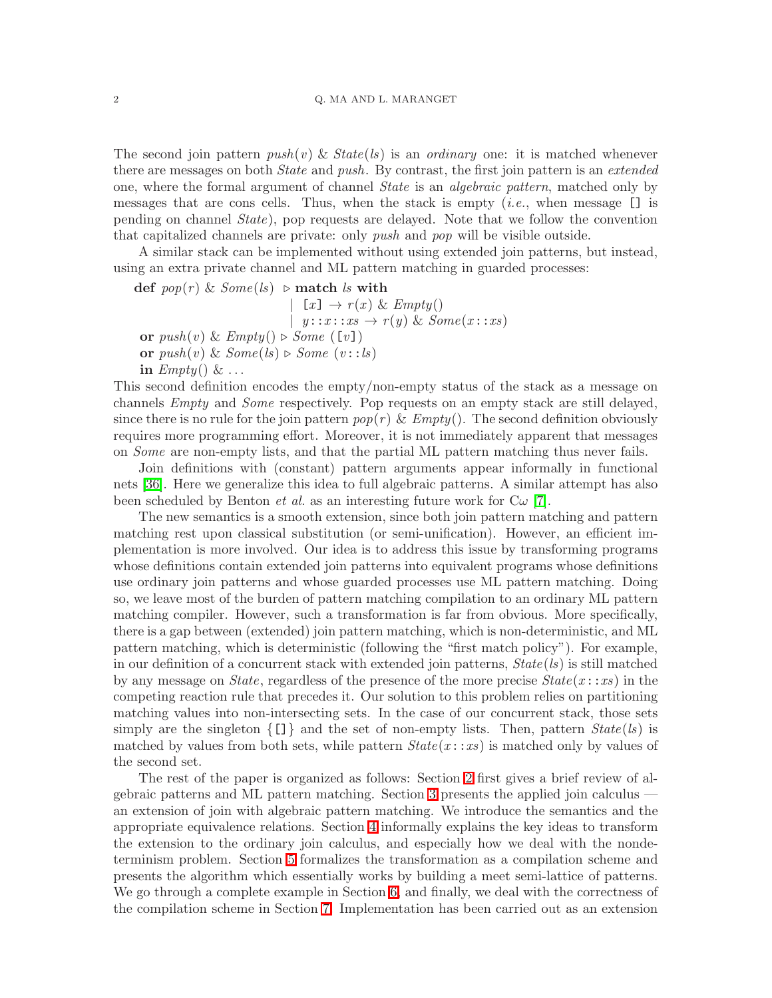The second join pattern  $push(v) \& State(s)$  is an ordinary one: it is matched whenever there are messages on both *State* and *push*. By contrast, the first join pattern is an *extended* one, where the formal argument of channel *State* is an *algebraic pattern*, matched only by messages that are cons cells. Thus, when the stack is empty (*i.e.*, when message  $[]$  is pending on channel State), pop requests are delayed. Note that we follow the convention that capitalized channels are private: only push and pop will be visible outside.

A similar stack can be implemented without using extended join patterns, but instead, using an extra private channel and ML pattern matching in guarded processes:

def  $pop(r)$  &  $Some(ls)$  ⊳ match ls with

 $\vert$  [x]  $\rightarrow r(x) \& Empty()$ |  $y::x::xs \rightarrow r(y) \& Some(x::xs)$ or  $push(v) \& Empty() \triangleright Some (\lbrack v \rbrack)$ or  $push(v) \& Some(ls) \triangleright Some(v::ls)$ in  $Empty() \& \ldots$ 

This second definition encodes the empty/non-empty status of the stack as a message on channels Empty and Some respectively. Pop requests on an empty stack are still delayed, since there is no rule for the join pattern  $pop(r) \& Empty()$ . The second definition obviously requires more programming effort. Moreover, it is not immediately apparent that messages on Some are non-empty lists, and that the partial ML pattern matching thus never fails.

Join definitions with (constant) pattern arguments appear informally in functional nets [\[36\]](#page-40-2). Here we generalize this idea to full algebraic patterns. A similar attempt has also been scheduled by Benton *et al.* as an interesting future work for  $C\omega$  [\[7\]](#page-39-2).

The new semantics is a smooth extension, since both join pattern matching and pattern matching rest upon classical substitution (or semi-unification). However, an efficient implementation is more involved. Our idea is to address this issue by transforming programs whose definitions contain extended join patterns into equivalent programs whose definitions use ordinary join patterns and whose guarded processes use ML pattern matching. Doing so, we leave most of the burden of pattern matching compilation to an ordinary ML pattern matching compiler. However, such a transformation is far from obvious. More specifically, there is a gap between (extended) join pattern matching, which is non-deterministic, and ML pattern matching, which is deterministic (following the "first match policy"). For example, in our definition of a concurrent stack with extended join patterns,  $State(s)$  is still matched by any message on *State*, regardless of the presence of the more precise  $State(x::xs)$  in the competing reaction rule that precedes it. Our solution to this problem relies on partitioning matching values into non-intersecting sets. In the case of our concurrent stack, those sets simply are the singleton  $\{[] \}$  and the set of non-empty lists. Then, pattern  $State(s)$  is matched by values from both sets, while pattern  $State(x::xs)$  is matched only by values of the second set.

The rest of the paper is organized as follows: Section [2](#page-2-0) first gives a brief review of algebraic patterns and ML pattern matching. Section [3](#page-4-0) presents the applied join calculus an extension of join with algebraic pattern matching. We introduce the semantics and the appropriate equivalence relations. Section [4](#page-18-0) informally explains the key ideas to transform the extension to the ordinary join calculus, and especially how we deal with the nondeterminism problem. Section [5](#page-20-0) formalizes the transformation as a compilation scheme and presents the algorithm which essentially works by building a meet semi-lattice of patterns. We go through a complete example in Section [6,](#page-22-0) and finally, we deal with the correctness of the compilation scheme in Section [7.](#page-24-0) Implementation has been carried out as an extension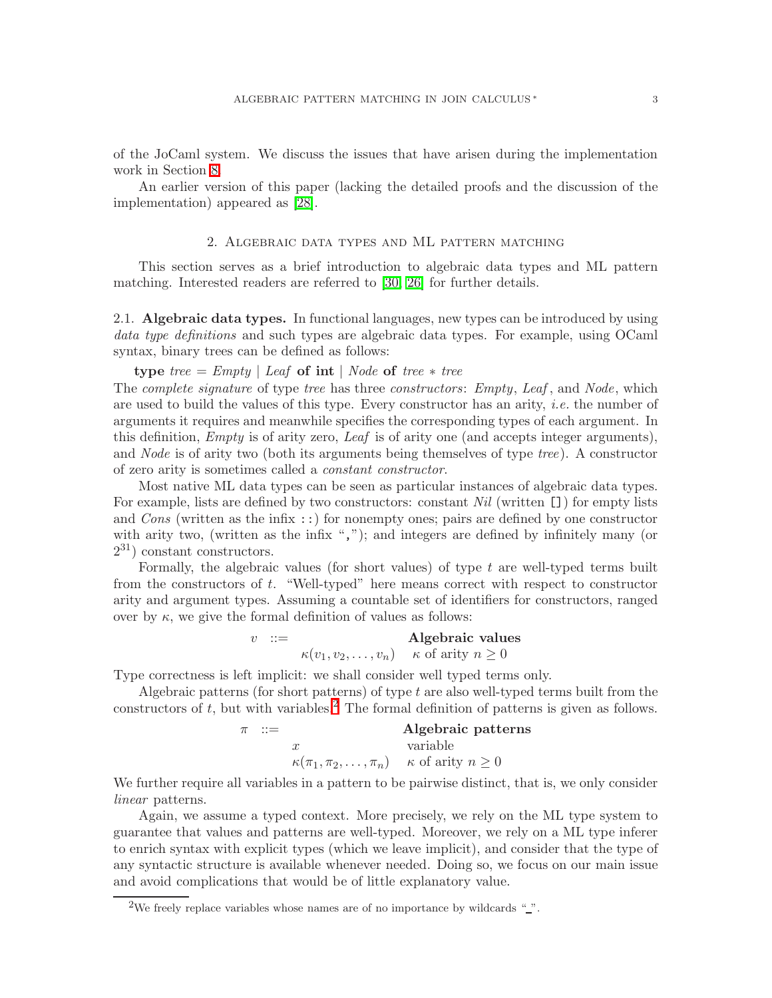of the JoCaml system. We discuss the issues that have arisen during the implementation work in Section [8.](#page-28-0)

<span id="page-2-0"></span>An earlier version of this paper (lacking the detailed proofs and the discussion of the implementation) appeared as [\[28\]](#page-40-1).

#### 2. Algebraic data types and ML pattern matching

This section serves as a brief introduction to algebraic data types and ML pattern matching. Interested readers are referred to [\[30,](#page-40-3) [26\]](#page-39-3) for further details.

<span id="page-2-2"></span>2.1. Algebraic data types. In functional languages, new types can be introduced by using data type definitions and such types are algebraic data types. For example, using OCaml syntax, binary trees can be defined as follows:

#### type tree =  $Empty \mid Leaf$  of int  $\mid Node$  of tree  $*$  tree

The *complete signature* of type *tree* has three *constructors: Empty, Leaf,* and *Node,* which are used to build the values of this type. Every constructor has an arity, i.e. the number of arguments it requires and meanwhile specifies the corresponding types of each argument. In this definition, *Empty* is of arity zero, *Leaf* is of arity one (and accepts integer arguments), and Node is of arity two (both its arguments being themselves of type tree). A constructor of zero arity is sometimes called a constant constructor.

Most native ML data types can be seen as particular instances of algebraic data types. For example, lists are defined by two constructors: constant Nil (written  $\Box$ ) for empty lists and Cons (written as the infix ::) for nonempty ones; pairs are defined by one constructor with arity two, (written as the infix ","); and integers are defined by infinitely many (or  $2^{31}$ ) constant constructors.

Formally, the algebraic values (for short values) of type  $t$  are well-typed terms built from the constructors of t. "Well-typed" here means correct with respect to constructor arity and argument types. Assuming a countable set of identifiers for constructors, ranged over by  $\kappa$ , we give the formal definition of values as follows:

> $v$  ::=  $\qquad \qquad \text{Algebraic values}$  $\kappa(v_1, v_2, \dots, v_n)$   $\kappa$  of arity  $n \geq 0$

Type correctness is left implicit: we shall consider well typed terms only.

Algebraic patterns (for short patterns) of type  $t$  are also well-typed terms built from the constructors of  $t$ , but with variables.<sup>[2](#page-2-1)</sup> The formal definition of patterns is given as follows.

| $\pi$ | $\cdots$ | Algebraic patterns |                                                                    |
|-------|----------|--------------------|--------------------------------------------------------------------|
|       |          |                    | variable                                                           |
|       |          |                    | $\kappa(\pi_1, \pi_2, \ldots, \pi_n)$ $\kappa$ of arity $n \geq 0$ |
|       |          |                    |                                                                    |

We further require all variables in a pattern to be pairwise distinct, that is, we only consider linear patterns.

Again, we assume a typed context. More precisely, we rely on the ML type system to guarantee that values and patterns are well-typed. Moreover, we rely on a ML type inferer to enrich syntax with explicit types (which we leave implicit), and consider that the type of any syntactic structure is available whenever needed. Doing so, we focus on our main issue and avoid complications that would be of little explanatory value.

<span id="page-2-1"></span><sup>&</sup>lt;sup>2</sup>We freely replace variables whose names are of no importance by wildcards  $\frac{u}{v}$ .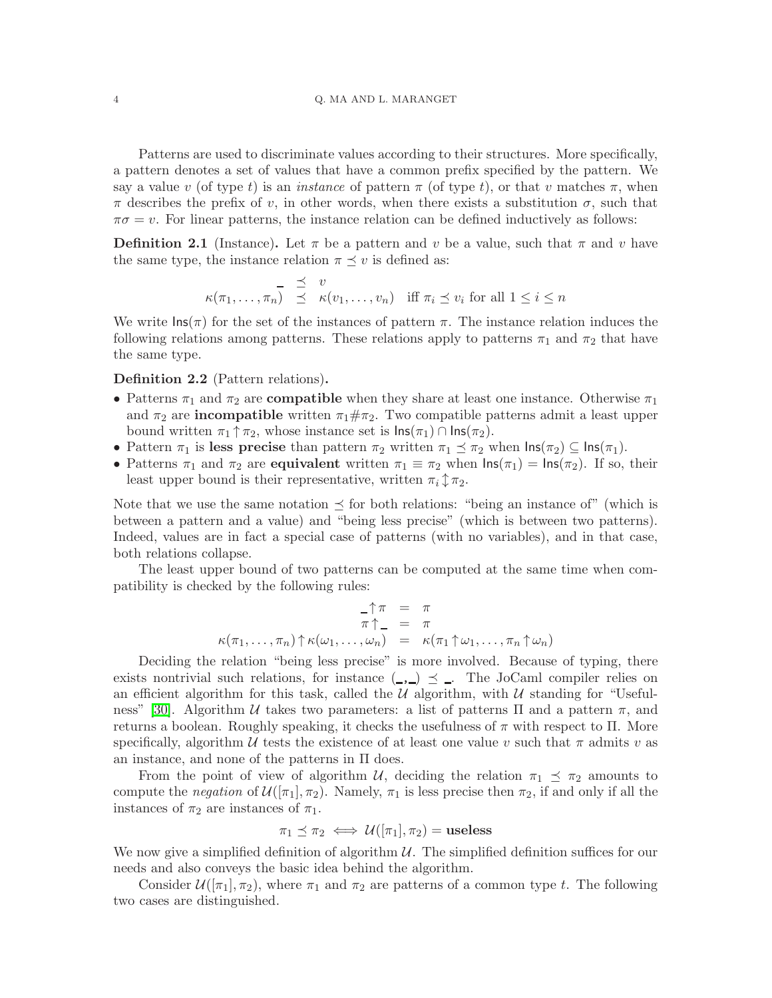Patterns are used to discriminate values according to their structures. More specifically, a pattern denotes a set of values that have a common prefix specified by the pattern. We say a value v (of type t) is an *instance* of pattern  $\pi$  (of type t), or that v matches  $\pi$ , when  $\pi$  describes the prefix of v, in other words, when there exists a substitution  $\sigma$ , such that  $\pi\sigma = v$ . For linear patterns, the instance relation can be defined inductively as follows:

**Definition 2.1** (Instance). Let  $\pi$  be a pattern and v be a value, such that  $\pi$  and v have the same type, the instance relation  $\pi \preceq v$  is defined as:

$$
\begin{array}{rcl}\n & \preceq & v \\
\kappa(\pi_1, \ldots, \pi_n) & \preceq & \kappa(v_1, \ldots, v_n) \quad \text{iff } \pi_i \preceq v_i \text{ for all } 1 \leq i \leq n\n\end{array}
$$

We write  $\textsf{Ins}(\pi)$  for the set of the instances of pattern  $\pi$ . The instance relation induces the following relations among patterns. These relations apply to patterns  $\pi_1$  and  $\pi_2$  that have the same type.

Definition 2.2 (Pattern relations).

- Patterns  $\pi_1$  and  $\pi_2$  are **compatible** when they share at least one instance. Otherwise  $\pi_1$ and  $\pi_2$  are **incompatible** written  $\pi_1 \# \pi_2$ . Two compatible patterns admit a least upper bound written  $\pi_1 \uparrow \pi_2$ , whose instance set is  $\ln(s(\pi_1) \cap \ln(s(\pi_2))$ .
- Pattern  $\pi_1$  is less precise than pattern  $\pi_2$  written  $\pi_1 \preceq \pi_2$  when  $\text{Ins}(\pi_2) \subseteq \text{Ins}(\pi_1)$ .
- Patterns  $\pi_1$  and  $\pi_2$  are equivalent written  $\pi_1 \equiv \pi_2$  when  $\text{Ins}(\pi_1) = \text{Ins}(\pi_2)$ . If so, their least upper bound is their representative, written  $\pi_i \updownarrow \pi_2$ .

Note that we use the same notation  $\preceq$  for both relations: "being an instance of" (which is between a pattern and a value) and "being less precise" (which is between two patterns). Indeed, values are in fact a special case of patterns (with no variables), and in that case, both relations collapse.

The least upper bound of two patterns can be computed at the same time when compatibility is checked by the following rules:

$$
\begin{array}{rcl}\n-\uparrow \pi & = & \pi \\
\pi \uparrow \quad & = & \pi \\
\kappa(\pi_1, \ldots, \pi_n) \uparrow \kappa(\omega_1, \ldots, \omega_n) & = & \kappa(\pi_1 \uparrow \omega_1, \ldots, \pi_n \uparrow \omega_n)\n\end{array}
$$

Deciding the relation "being less precise" is more involved. Because of typing, there exists nontrivial such relations, for instance  $($ ,  $)$   $\preceq$   $\_$ . The JoCaml compiler relies on an efficient algorithm for this task, called the  $\mathcal U$  algorithm, with  $\mathcal U$  standing for "Useful-ness" [\[30\]](#page-40-3). Algorithm U takes two parameters: a list of patterns  $\Pi$  and a pattern  $\pi$ , and returns a boolean. Roughly speaking, it checks the usefulness of  $\pi$  with respect to  $\Pi$ . More specifically, algorithm U tests the existence of at least one value v such that  $\pi$  admits v as an instance, and none of the patterns in  $\Pi$  does.

From the point of view of algorithm U, deciding the relation  $\pi_1 \preceq \pi_2$  amounts to compute the negation of  $\mathcal{U}([\pi_1], \pi_2)$ . Namely,  $\pi_1$  is less precise then  $\pi_2$ , if and only if all the instances of  $\pi_2$  are instances of  $\pi_1$ .

$$
\pi_1 \preceq \pi_2 \iff \mathcal{U}([\pi_1], \pi_2) = \text{useless}
$$

We now give a simplified definition of algorithm  $U$ . The simplified definition suffices for our needs and also conveys the basic idea behind the algorithm.

Consider  $\mathcal{U}([\pi_1], \pi_2)$ , where  $\pi_1$  and  $\pi_2$  are patterns of a common type t. The following two cases are distinguished.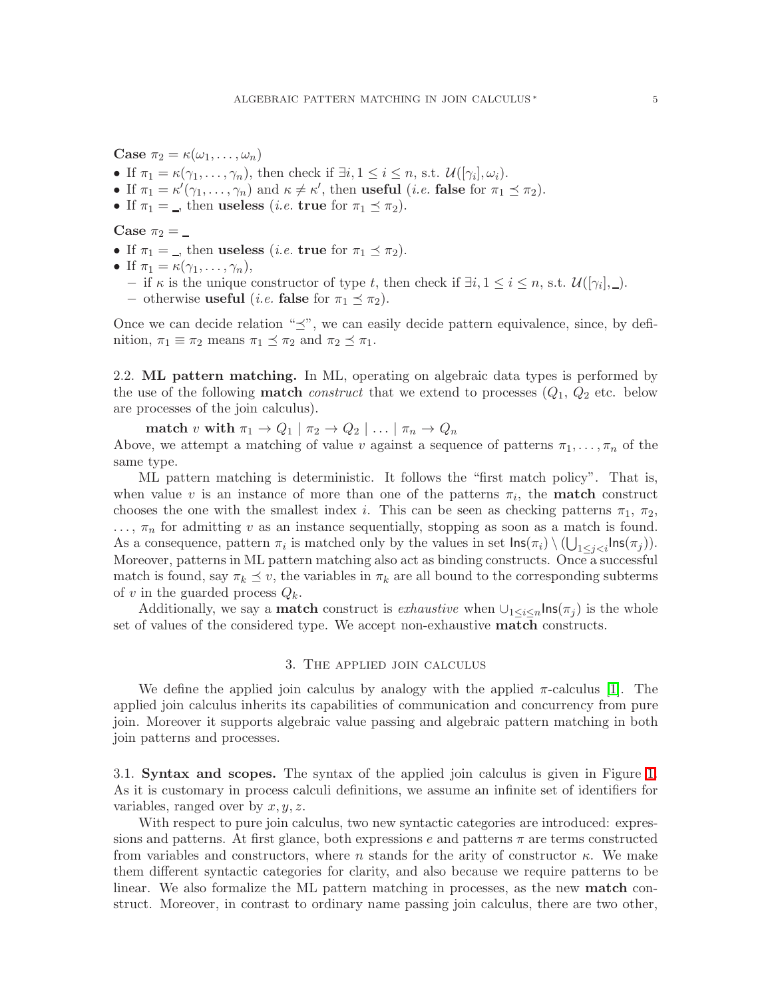Case  $\pi_2 = \kappa(\omega_1, \ldots, \omega_n)$ 

- If  $\pi_1 = \kappa(\gamma_1, \ldots, \gamma_n)$ , then check if  $\exists i, 1 \leq i \leq n$ , s.t.  $\mathcal{U}([\gamma_i], \omega_i)$ .
- If  $\pi_1 = \kappa'(\gamma_1, \ldots, \gamma_n)$  and  $\kappa \neq \kappa'$ , then **useful** (*i.e.* false for  $\pi_1 \preceq \pi_2$ ).
- If  $\pi_1 = \square$ , then useless (*i.e.* true for  $\pi_1 \preceq \pi_2$ ).

Case  $\pi_2 = \square$ 

- If  $\pi_1 = \underline{\phantom{a}}$ , then useless (*i.e.* true for  $\pi_1 \preceq \pi_2$ ).
- If  $\pi_1 = \kappa(\gamma_1, \ldots, \gamma_n),$ 
	- − if  $\kappa$  is the unique constructor of type t, then check if  $\exists i, 1 \le i \le n$ , s.t.  $\mathcal{U}([\gamma_i], \_).$
	- − otherwise **useful** (*i.e.* false for  $\pi_1 \preceq \pi_2$ ).

Once we can decide relation " $\preceq$ ", we can easily decide pattern equivalence, since, by definition,  $\pi_1 \equiv \pi_2$  means  $\pi_1 \preceq \pi_2$  and  $\pi_2 \preceq \pi_1$ .

2.2. ML pattern matching. In ML, operating on algebraic data types is performed by the use of the following **match** construct that we extend to processes  $(Q_1, Q_2)$  etc. below are processes of the join calculus).

match v with  $\pi_1 \rightarrow Q_1 | \pi_2 \rightarrow Q_2 | \dots | \pi_n \rightarrow Q_n$ 

Above, we attempt a matching of value v against a sequence of patterns  $\pi_1, \ldots, \pi_n$  of the same type.

ML pattern matching is deterministic. It follows the "first match policy". That is, when value v is an instance of more than one of the patterns  $\pi_i$ , the **match** construct chooses the one with the smallest index i. This can be seen as checking patterns  $\pi_1$ ,  $\pi_2$ ,  $\ldots$ ,  $\pi_n$  for admitting v as an instance sequentially, stopping as soon as a match is found. As a consequence, pattern  $\pi_i$  is matched only by the values in set  $\textsf{Ins}(\pi_i) \setminus (\bigcup_{1 \leq j < i} \textsf{Ins}(\pi_j)).$ Moreover, patterns in ML pattern matching also act as binding constructs. Once a successful match is found, say  $\pi_k \leq v$ , the variables in  $\pi_k$  are all bound to the corresponding subterms of v in the guarded process  $Q_k$ .

Additionally, we say a **match** construct is *exhaustive* when  $\bigcup_{1 \leq i \leq n} \ln(\pi_i)$  is the whole set of values of the considered type. We accept non-exhaustive **match** constructs.

# 3. The applied join calculus

<span id="page-4-0"></span>We define the applied join calculus by analogy with the applied  $\pi$ -calculus [\[1\]](#page-38-0). The applied join calculus inherits its capabilities of communication and concurrency from pure join. Moreover it supports algebraic value passing and algebraic pattern matching in both join patterns and processes.

3.1. Syntax and scopes. The syntax of the applied join calculus is given in Figure [1.](#page-5-0) As it is customary in process calculi definitions, we assume an infinite set of identifiers for variables, ranged over by  $x, y, z$ .

With respect to pure join calculus, two new syntactic categories are introduced: expressions and patterns. At first glance, both expressions  $e$  and patterns  $\pi$  are terms constructed from variables and constructors, where n stands for the arity of constructor  $\kappa$ . We make them different syntactic categories for clarity, and also because we require patterns to be linear. We also formalize the ML pattern matching in processes, as the new **match** construct. Moreover, in contrast to ordinary name passing join calculus, there are two other,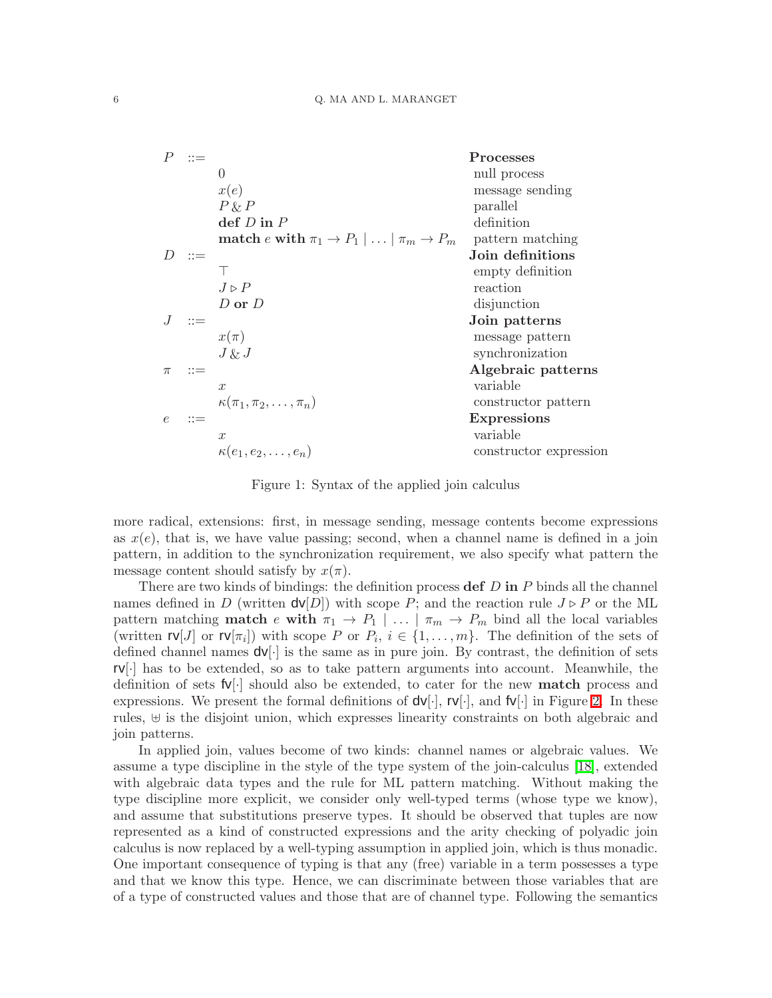| $\boldsymbol{P}$ | $\cdot =$    |                                                                             | <b>Processes</b>       |
|------------------|--------------|-----------------------------------------------------------------------------|------------------------|
|                  |              | $\left( \right)$                                                            | null process           |
|                  |              | x(e)                                                                        | message sending        |
|                  |              | $P \& P$                                                                    | parallel               |
|                  |              | $def D$ in $P$                                                              | definition             |
|                  |              | match e with $\pi_1 \rightarrow P_1 \mid \ldots \mid \pi_m \rightarrow P_m$ | pattern matching       |
|                  | $\mathbf{H}$ |                                                                             | Join definitions       |
|                  |              | Τ                                                                           | empty definition       |
|                  |              | $J \triangleright P$                                                        | reaction               |
|                  |              | $D$ or $D$                                                                  | disjunction            |
|                  | $::=$        |                                                                             | Join patterns          |
|                  |              | $x(\pi)$                                                                    | message pattern        |
|                  |              | $J \& J$                                                                    | synchronization        |
| $\pi$            | $::=$        |                                                                             | Algebraic patterns     |
|                  |              | $\mathcal{X}$                                                               | variable               |
|                  |              | $\kappa(\pi_1, \pi_2, \ldots, \pi_n)$                                       | constructor pattern    |
| $\epsilon$       | $::=$        |                                                                             | <b>Expressions</b>     |
|                  |              | $\boldsymbol{x}$                                                            | variable               |
|                  |              | $\kappa(e_1, e_2, \ldots, e_n)$                                             | constructor expression |

<span id="page-5-0"></span>Figure 1: Syntax of the applied join calculus

more radical, extensions: first, in message sending, message contents become expressions as  $x(e)$ , that is, we have value passing; second, when a channel name is defined in a join pattern, in addition to the synchronization requirement, we also specify what pattern the message content should satisfy by  $x(\pi)$ .

There are two kinds of bindings: the definition process  $\det D$  in P binds all the channel names defined in D (written  $dV[D]$ ) with scope P; and the reaction rule  $J \triangleright P$  or the ML pattern matching **match** e with  $\pi_1 \to P_1 \mid \ldots \mid \pi_m \to P_m$  bind all the local variables (written  $\text{IV}[J]$  or  $\text{IV}[\pi_i]$ ) with scope P or  $P_i$ ,  $i \in \{1, ..., m\}$ . The definition of the sets of defined channel names  $d\nu[\cdot]$  is the same as in pure join. By contrast, the definition of sets  $\lceil \mathsf{TV} \rceil \cdot \rceil$  has to be extended, so as to take pattern arguments into account. Meanwhile, the definition of sets  $\text{fv}[\cdot]$  should also be extended, to cater for the new match process and expressions. We present the formal definitions of  $dv[\cdot]$ ,  $vv[\cdot]$ , and  $tv[\cdot]$  in Figure [2.](#page-6-0) In these rules, ⊎ is the disjoint union, which expresses linearity constraints on both algebraic and join patterns.

In applied join, values become of two kinds: channel names or algebraic values. We assume a type discipline in the style of the type system of the join-calculus [\[18\]](#page-39-4), extended with algebraic data types and the rule for ML pattern matching. Without making the type discipline more explicit, we consider only well-typed terms (whose type we know), and assume that substitutions preserve types. It should be observed that tuples are now represented as a kind of constructed expressions and the arity checking of polyadic join calculus is now replaced by a well-typing assumption in applied join, which is thus monadic. One important consequence of typing is that any (free) variable in a term possesses a type and that we know this type. Hence, we can discriminate between those variables that are of a type of constructed values and those that are of channel type. Following the semantics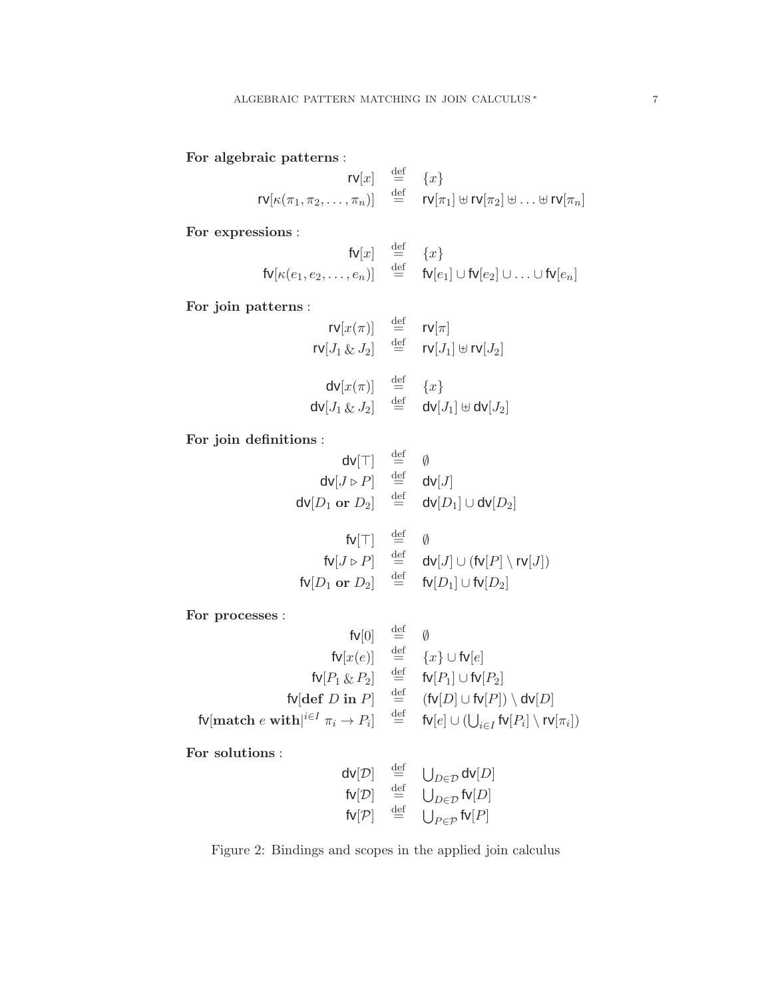For algebraic patterns :

$$
\mathsf{rv}[x] \quad \stackrel{\text{def}}{=} \quad \{x\}
$$
\n
$$
\mathsf{rv}[\kappa(\pi_1, \pi_2, \dots, \pi_n)] \quad \stackrel{\text{def}}{=} \quad \mathsf{rv}[\pi_1] \uplus \mathsf{rv}[\pi_2] \uplus \dots \uplus \mathsf{rv}[\pi_n]
$$

For expressions :

$$
\begin{array}{rcl}\n\mathsf{fv}[x] & \stackrel{\text{def}}{=} & \{x\} \\
\mathsf{fv}[\kappa(e_1, e_2, \dots, e_n)] & \stackrel{\text{def}}{=} & \mathsf{fv}[e_1] \cup \mathsf{fv}[e_2] \cup \ldots \cup \mathsf{fv}[e_n]\n\end{array}
$$

For join patterns :

$$
\begin{array}{rcl}\n\mathsf{rv}[x(\pi)] & \stackrel{\text{def}}{=} & \mathsf{rv}[\pi] \\
\mathsf{rv}[J_1 \& J_2] & \stackrel{\text{def}}{=} & \mathsf{rv}[J_1] \uplus \mathsf{rv}[J_2] \\
\mathsf{dv}[x(\pi)] & \stackrel{\text{def}}{=} & \{x\} \\
\mathsf{dv}[J_1 \& J_2] & \stackrel{\text{def}}{=} & \mathsf{dv}[J_1] \uplus \mathsf{dv}[J_2]\n\end{array}
$$

For join definitions :

$$
d\mathbf{v}[T] \stackrel{\text{def}}{=} \emptyset
$$
  
\n
$$
d\mathbf{v}[J \triangleright P] \stackrel{\text{def}}{=} d\mathbf{v}[J]
$$
  
\n
$$
d\mathbf{v}[D_1 \text{ or } D_2] \stackrel{\text{def}}{=} d\mathbf{v}[D_1] \cup d\mathbf{v}[D_2]
$$
  
\n
$$
\mathbf{f}\mathbf{v}[T] \stackrel{\text{def}}{=} \emptyset
$$
  
\n
$$
\mathbf{f}\mathbf{v}[J \triangleright P] \stackrel{\text{def}}{=} d\mathbf{v}[J] \cup (\mathbf{f}\mathbf{v}[P] \setminus \mathbf{r}\mathbf{v}[J])
$$
  
\n
$$
\mathbf{f}\mathbf{v}[D_1 \text{ or } D_2] \stackrel{\text{def}}{=} \mathbf{f}\mathbf{v}[D_1] \cup \mathbf{f}\mathbf{v}[D_2]
$$

For processes :

$$
\begin{array}{rcl} \mathsf{fv}[0] & \stackrel{\mathrm{def}}{=} & \emptyset \\ \mathsf{fv}[x(e)] & \stackrel{\mathrm{def}}{=} & \{x\} \cup \mathsf{fv}[e] \\ \mathsf{fv}[P_1 \& P_2] & \stackrel{\mathrm{def}}{=} & \mathsf{fv}[P_1] \cup \mathsf{fv}[P_2] \\ \mathsf{fv}[\mathbf{def}\ D \textbf{ in } P] & \stackrel{\mathrm{def}}{=} & \mathsf{fv}[D] \cup \mathsf{tv}[P]) \setminus \mathsf{dv}[D] \\ \mathsf{fv}[\mathbf{match}\ e \textbf{ with}]^{i \in I} \ \pi_i \to P_i] & \stackrel{\mathrm{def}}{=} & \mathsf{fv}[e] \cup (\bigcup_{i \in I} \mathsf{fv}[P_i] \setminus \mathsf{rv}[\pi_i]) \end{array}
$$

For solutions :

$$
\begin{array}{ccc} \textsf{dv}[\mathcal{D}] & \stackrel{\mathrm{def}}{=} & \bigcup_{D \in \mathcal{D}} \textsf{dv}[D] \\ \textsf{fv}[\mathcal{D}] & \stackrel{\mathrm{def}}{=} & \bigcup_{D \in \mathcal{D}} \textsf{fv}[D] \\ \textsf{fv}[\mathcal{P}] & \stackrel{\mathrm{def}}{=} & \bigcup_{P \in \mathcal{P}} \textsf{fv}[P] \end{array}
$$

<span id="page-6-0"></span>Figure 2: Bindings and scopes in the applied join calculus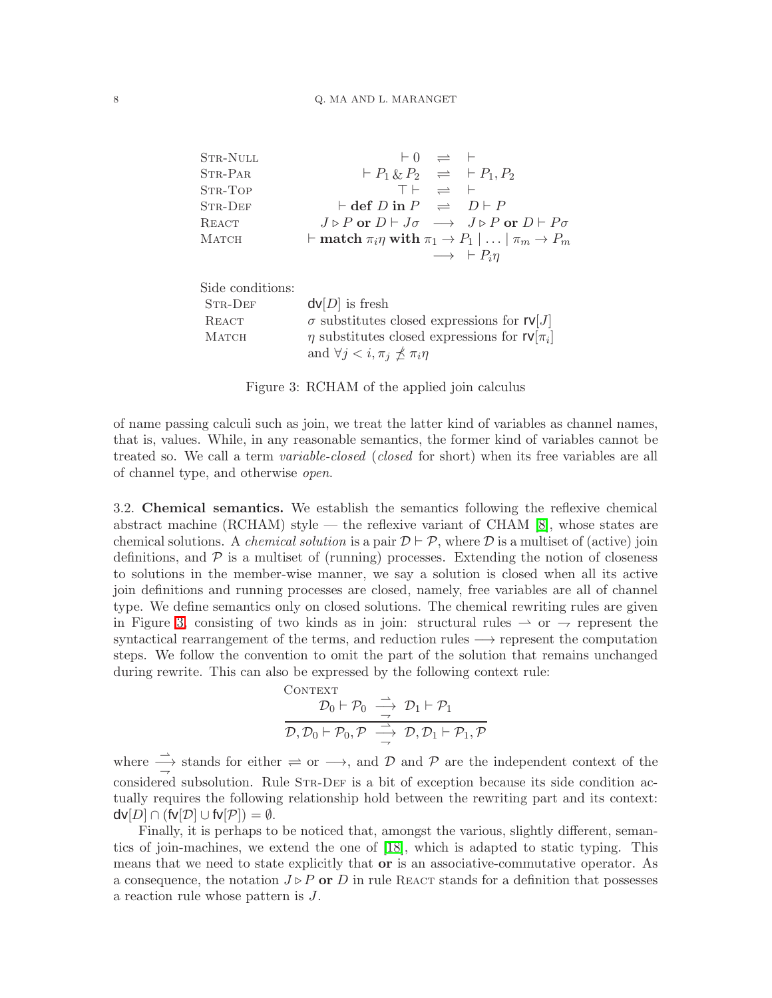Str-Null ⊢ 0 ⇋ ⊢ Str-Par ⊢ P<sup>1</sup> & P<sup>2</sup> ⇋ ⊢ P1, P<sup>2</sup> Str-Top ⊤ ⊢ ⇋ ⊢ Str-Def ⊢ def D in P ⇋ D ⊢ P React J ⊲ P or D ⊢ Jσ −→ J ⊲ P or D ⊢ P σ Match ⊢ match πiη with π<sup>1</sup> → P<sup>1</sup> | . . . | π<sup>m</sup> → P<sup>m</sup> −→ ⊢ Piη

| Side conditions: |                                                                |
|------------------|----------------------------------------------------------------|
| <b>STR-DEF</b>   | $dv[D]$ is fresh                                               |
| <b>REACT</b>     | $\sigma$ substitutes closed expressions for $\mathsf{rv}[J]$   |
| МАТСН            | $\eta$ substitutes closed expressions for $\mathsf{rv}[\pi_i]$ |
|                  | and $\forall j \leq i, \pi_j \npreceq \pi_i \eta$              |

<span id="page-7-0"></span>Figure 3: RCHAM of the applied join calculus

of name passing calculi such as join, we treat the latter kind of variables as channel names, that is, values. While, in any reasonable semantics, the former kind of variables cannot be treated so. We call a term *variable-closed* (*closed* for short) when its free variables are all of channel type, and otherwise open.

3.2. Chemical semantics. We establish the semantics following the reflexive chemical abstract machine (RCHAM) style — the reflexive variant of CHAM  $[8]$ , whose states are chemical solutions. A *chemical solution* is a pair  $\mathcal{D} \vdash \mathcal{P}$ , where  $\mathcal{D}$  is a multiset of (active) join definitions, and  $\mathcal P$  is a multiset of (running) processes. Extending the notion of closeness to solutions in the member-wise manner, we say a solution is closed when all its active join definitions and running processes are closed, namely, free variables are all of channel type. We define semantics only on closed solutions. The chemical rewriting rules are given in Figure [3,](#page-7-0) consisting of two kinds as in join: structural rules  $\rightarrow$  or  $\rightarrow$  represent the syntactical rearrangement of the terms, and reduction rules → represent the computation steps. We follow the convention to omit the part of the solution that remains unchanged during rewrite. This can also be expressed by the following context rule:

$$
\begin{array}{ccc}\n\text{Contrext} \\
\mathcal{D}_0 \vdash \mathcal{P}_0 & \xrightarrow{\rightharpoonup} & \mathcal{D}_1 \vdash \mathcal{P}_1 \\
\hline\n\mathcal{D}, \mathcal{D}_0 \vdash \mathcal{P}_0, \mathcal{P} & \xrightarrow{\rightharpoonup} & \mathcal{D}, \mathcal{D}_1 \vdash \mathcal{P}_1, \mathcal{P}\n\end{array}
$$

where  $\frac{\longrightarrow}{\longrightarrow}$  stands for either  $\rightleftharpoons$  or  $\longrightarrow$ , and D and P are the independent context of the considered subsolution. Rule STR-DEF is a bit of exception because its side condition actually requires the following relationship hold between the rewriting part and its context:  $dv[D] \cap (fv[D] \cup fv[P]) = \emptyset.$ 

Finally, it is perhaps to be noticed that, amongst the various, slightly different, semantics of join-machines, we extend the one of [\[18\]](#page-39-4), which is adapted to static typing. This means that we need to state explicitly that or is an associative-commutative operator. As a consequence, the notation  $J \triangleright P$  or D in rule REACT stands for a definition that possesses a reaction rule whose pattern is J.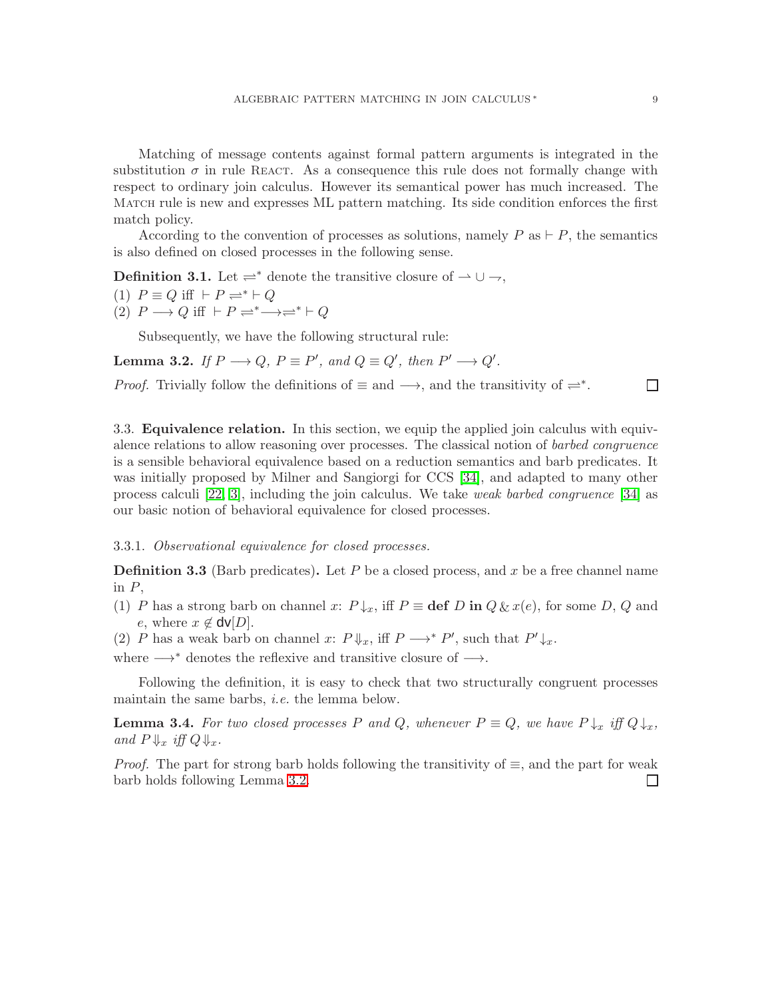Matching of message contents against formal pattern arguments is integrated in the substitution  $\sigma$  in rule REACT. As a consequence this rule does not formally change with respect to ordinary join calculus. However its semantical power has much increased. The Match rule is new and expresses ML pattern matching. Its side condition enforces the first match policy.

According to the convention of processes as solutions, namely P as  $\vdash P$ , the semantics is also defined on closed processes in the following sense.

**Definition 3.1.** Let  $\rightleftharpoons$ <sup>\*</sup> denote the transitive closure of  $\rightarrow \cup \rightarrow$ ,

- (1)  $P \equiv Q$  iff  $\vdash P \rightleftharpoons^* \vdash Q$
- (2)  $P \longrightarrow Q$  iff  $\vdash P \rightleftharpoons^* \rightarrow \rightleftharpoons^* \vdash Q$

Subsequently, we have the following structural rule:

<span id="page-8-0"></span>**Lemma 3.2.** If  $P \longrightarrow Q$ ,  $P \equiv P'$ , and  $Q \equiv Q'$ , then  $P' \longrightarrow Q'$ .

*Proof.* Trivially follow the definitions of  $\equiv$  and  $\rightarrow$ , and the transitivity of  $\rightleftharpoons$ <sup>\*</sup>.

3.3. Equivalence relation. In this section, we equip the applied join calculus with equivalence relations to allow reasoning over processes. The classical notion of barbed congruence is a sensible behavioral equivalence based on a reduction semantics and barb predicates. It was initially proposed by Milner and Sangiorgi for CCS [\[34\]](#page-40-4), and adapted to many other process calculi [\[22,](#page-39-6) [3\]](#page-38-1), including the join calculus. We take weak barbed congruence [\[34\]](#page-40-4) as our basic notion of behavioral equivalence for closed processes.

# 3.3.1. Observational equivalence for closed processes.

**Definition 3.3** (Barb predicates). Let P be a closed process, and x be a free channel name in  $P$ ,

- (1) P has a strong barb on channel x:  $P \downarrow_x$ , iff  $P \equiv$  def D in  $Q \& x(e)$ , for some D, Q and e, where  $x \notin \text{dv}[D]$ .
- (2) P has a weak barb on channel x:  $P \Downarrow_x$ , iff  $P \longrightarrow^* P'$ , such that  $P' \downarrow_x$ .

where  $\longrightarrow^*$  denotes the reflexive and transitive closure of  $\longrightarrow$ .

<span id="page-8-1"></span>Following the definition, it is easy to check that two structurally congruent processes maintain the same barbs, i.e. the lemma below.

**Lemma 3.4.** For two closed processes P and Q, whenever  $P \equiv Q$ , we have  $P \downarrow_x$  iff  $Q \downarrow_x$ , and  $P \Downarrow_x i$ ff  $Q \Downarrow_x$ .

*Proof.* The part for strong barb holds following the transitivity of  $\equiv$ , and the part for weak barb holds following Lemma [3.2.](#page-8-0) $\Box$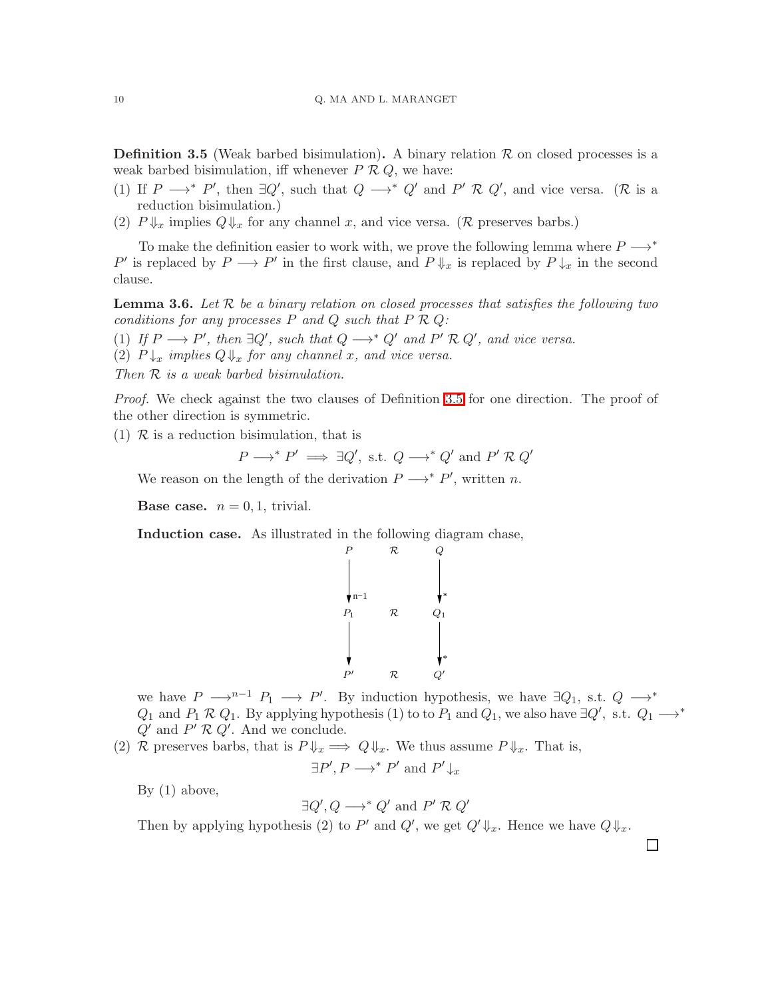<span id="page-9-0"></span>**Definition 3.5** (Weak barbed bisimulation). A binary relation  $\mathcal{R}$  on closed processes is a weak barbed bisimulation, iff whenever  $P \mathcal{R} Q$ , we have:

- (1) If  $P \longrightarrow^* P'$ , then  $\exists Q'$ , such that  $Q \longrightarrow^* Q'$  and  $P' R Q'$ , and vice versa. (R is a reduction bisimulation.)
- (2)  $P\Downarrow_x$  implies  $Q\Downarrow_x$  for any channel x, and vice versa. ( $\mathcal R$  preserves barbs.)

To make the definition easier to work with, we prove the following lemma where  $P \longrightarrow^*$ P' is replaced by  $P \longrightarrow P'$  in the first clause, and  $P \Downarrow_x$  is replaced by  $P \downarrow_x$  in the second clause.

<span id="page-9-1"></span>**Lemma 3.6.** Let  $\mathcal{R}$  be a binary relation on closed processes that satisfies the following two conditions for any processes  $P$  and  $Q$  such that  $P \mathcal{R} Q$ :

(1) If  $P \longrightarrow P'$ , then  $\exists Q'$ , such that  $Q \longrightarrow^* Q'$  and  $P' \mathcal{R} Q'$ , and vice versa.

(2)  $P \downarrow_x$  implies  $Q \Downarrow_x$  for any channel x, and vice versa.

Then  $R$  is a weak barbed bisimulation.

Proof. We check against the two clauses of Definition [3.5](#page-9-0) for one direction. The proof of the other direction is symmetric.

(1)  $\mathcal{R}$  is a reduction bisimulation, that is

$$
P \longrightarrow^* P' \implies \exists Q', \text{ s.t. } Q \longrightarrow^* Q' \text{ and } P' \mathcal{R} Q'
$$

We reason on the length of the derivation  $P \longrightarrow^* P'$ , written n.

**Base case.**  $n = 0, 1$ , trivial.

Induction case. As illustrated in the following diagram chase,



we have  $P \longrightarrow^{n-1} P_1 \longrightarrow P'$ . By induction hypothesis, we have  $\exists Q_1$ , s.t.  $Q \longrightarrow^*$  $Q_1$  and  $P_1 \mathcal{R} Q_1$ . By applying hypothesis (1) to to  $P_1$  and  $Q_1$ , we also have  $\exists Q'$ , s.t.  $Q_1 \longrightarrow^*$  $Q'$  and  $P' \mathcal{R} Q'$ . And we conclude.

(2) R preserves barbs, that is  $P \Downarrow_x \Longrightarrow Q \Downarrow_x$ . We thus assume  $P \Downarrow_x$ . That is,

 $\exists P', P \longrightarrow^* P'$  and  $P'\downarrow_x$ 

By  $(1)$  above,

$$
\exists Q', Q \longrightarrow^* Q' \text{ and } P' \mathcal{R} Q'
$$

Then by applying hypothesis (2) to P' and Q', we get  $Q' \Downarrow_x$ . Hence we have  $Q \Downarrow_x$ .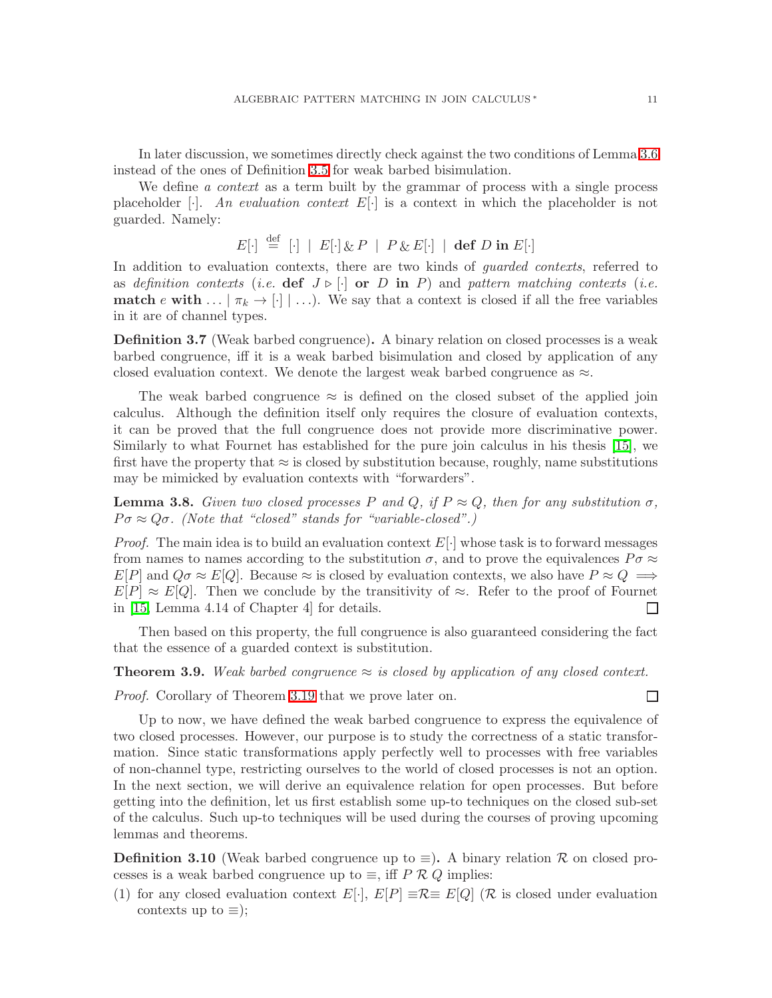In later discussion, we sometimes directly check against the two conditions of Lemma [3.6](#page-9-1) instead of the ones of Definition [3.5](#page-9-0) for weak barbed bisimulation.

We define *a context* as a term built by the grammar of process with a single process placeholder  $[\cdot]$ . An evaluation context  $E[\cdot]$  is a context in which the placeholder is not guarded. Namely:

$$
E[\cdot] \stackrel{\text{def}}{=} [\cdot] | E[\cdot] \& P | P \& E[\cdot] | \text{def } D \text{ in } E[\cdot]
$$

In addition to evaluation contexts, there are two kinds of *guarded contexts*, referred to as definition contexts (i.e. def  $J \triangleright [\cdot]$  or D in P) and pattern matching contexts (i.e. **match** e with  $\ldots$   $\pi_k \to [\cdot] \ldots$ . We say that a context is closed if all the free variables in it are of channel types.

Definition 3.7 (Weak barbed congruence). A binary relation on closed processes is a weak barbed congruence, iff it is a weak barbed bisimulation and closed by application of any closed evaluation context. We denote the largest weak barbed congruence as  $\approx$ .

The weak barbed congruence  $\approx$  is defined on the closed subset of the applied join calculus. Although the definition itself only requires the closure of evaluation contexts, it can be proved that the full congruence does not provide more discriminative power. Similarly to what Fournet has established for the pure join calculus in his thesis [\[15\]](#page-39-0), we first have the property that  $\approx$  is closed by substitution because, roughly, name substitutions may be mimicked by evaluation contexts with "forwarders".

<span id="page-10-1"></span>**Lemma 3.8.** Given two closed processes P and Q, if  $P \approx Q$ , then for any substitution  $\sigma$ ,  $P\sigma \approx Q\sigma$ . (Note that "closed" stands for "variable-closed".)

*Proof.* The main idea is to build an evaluation context  $E[\cdot]$  whose task is to forward messages from names to names according to the substitution  $\sigma$ , and to prove the equivalences  $P\sigma \approx$  $E[P]$  and  $Q\sigma \approx E[Q]$ . Because  $\approx$  is closed by evaluation contexts, we also have  $P \approx Q \implies$  $E[P] \approx E[Q]$ . Then we conclude by the transitivity of  $\approx$ . Refer to the proof of Fournet in [\[15,](#page-39-0) Lemma 4.14 of Chapter 4] for details.  $\Box$ 

<span id="page-10-2"></span>Then based on this property, the full congruence is also guaranteed considering the fact that the essence of a guarded context is substitution.

**Theorem 3.9.** Weak barbed congruence  $\approx$  is closed by application of any closed context.

Proof. Corollary of Theorem [3.19](#page-16-0) that we prove later on.

Up to now, we have defined the weak barbed congruence to express the equivalence of two closed processes. However, our purpose is to study the correctness of a static transformation. Since static transformations apply perfectly well to processes with free variables of non-channel type, restricting ourselves to the world of closed processes is not an option. In the next section, we will derive an equivalence relation for open processes. But before getting into the definition, let us first establish some up-to techniques on the closed sub-set of the calculus. Such up-to techniques will be used during the courses of proving upcoming lemmas and theorems.

<span id="page-10-0"></span>**Definition 3.10** (Weak barbed congruence up to  $\equiv$ ). A binary relation R on closed processes is a weak barbed congruence up to  $\equiv$ , iff P R Q implies:

(1) for any closed evaluation context  $E[\cdot], E[P] \equiv \mathcal{R} \equiv E[Q]$  ( $\mathcal{R}$  is closed under evaluation contexts up to  $\equiv$ );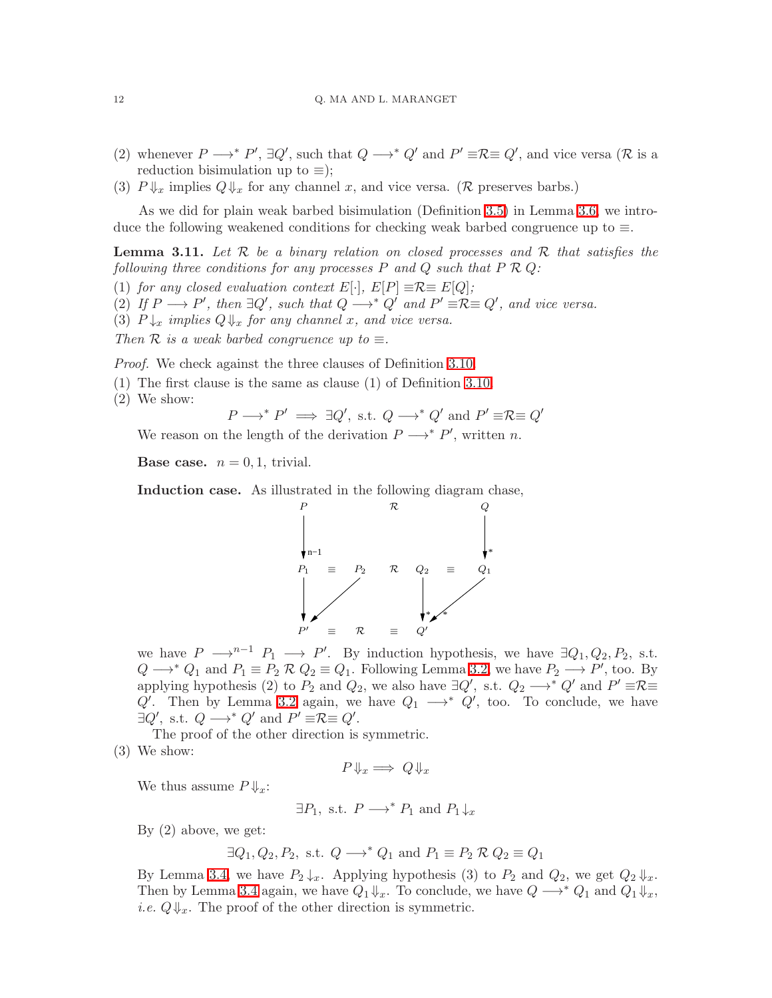- (2) whenever  $P \longrightarrow^* P'$ ,  $\exists Q'$ , such that  $Q \longrightarrow^* Q'$  and  $P' \equiv \mathcal{R} \equiv Q'$ , and vice versa  $(\mathcal{R} \text{ is a})$ reduction bisimulation up to  $\equiv$ );
- (3)  $P \Downarrow_x$  implies  $Q \Downarrow_x$  for any channel x, and vice versa. ( $\mathcal R$  preserves barbs.)

<span id="page-11-0"></span>As we did for plain weak barbed bisimulation (Definition [3.5\)](#page-9-0) in Lemma [3.6,](#page-9-1) we introduce the following weakened conditions for checking weak barbed congruence up to  $\equiv$ .

**Lemma 3.11.** Let R be a binary relation on closed processes and R that satisfies the following three conditions for any processes P and Q such that  $P \mathcal{R} Q$ :

- (1) for any closed evaluation context E[·],  $E[P] \equiv \mathcal{R} \equiv E[Q]$ ;
- (2) If  $P \longrightarrow P'$ , then  $\exists Q'$ , such that  $Q \longrightarrow^* Q'$  and  $P' \equiv \mathcal{R} \equiv Q'$ , and vice versa.
- (3)  $P\downarrow_x$  implies  $Q\downarrow_x$  for any channel x, and vice versa.

Then R is a weak barbed congruence up to  $\equiv$ .

Proof. We check against the three clauses of Definition [3.10.](#page-10-0)

- (1) The first clause is the same as clause (1) of Definition [3.10.](#page-10-0)
- (2) We show:

$$
P \longrightarrow^* P' \implies \exists Q', \text{ s.t. } Q \longrightarrow^* Q' \text{ and } P' \equiv \mathcal{R} \equiv Q'
$$

We reason on the length of the derivation  $P \longrightarrow^* P'$ , written n.

**Base case.**  $n = 0, 1$ , trivial.

Induction case. As illustrated in the following diagram chase,



we have  $P \longrightarrow^{n-1} P_1 \longrightarrow P'$ . By induction hypothesis, we have  $\exists Q_1, Q_2, P_2$ , s.t.  $Q \longrightarrow^* Q_1$  and  $P_1 \equiv P_2 \mathcal{R} Q_2 \equiv Q_1$ . Following Lemma [3.2,](#page-8-0) we have  $P_2 \longrightarrow P'$ , too. By applying hypothesis (2) to  $P_2$  and  $Q_2$ , we also have  $\exists Q'$ , s.t.  $Q_2 \longrightarrow^* Q'$  and  $P' \equiv \mathcal{R} \equiv$ Q'. Then by Lemma [3.2](#page-8-0) again, we have  $Q_1 \longrightarrow^* Q'$ , too. To conclude, we have  $\exists Q', \text{ s.t. } Q \longrightarrow^* Q' \text{ and } P' \equiv \mathcal{R} \equiv Q'.$ 

The proof of the other direction is symmetric.

(3) We show:

$$
P \Downarrow_x \implies Q \Downarrow_x
$$

We thus assume  $P \Downarrow_x$ :

$$
\exists P_1
$$
, s.t.  $P \longrightarrow^* P_1$  and  $P_1 \downarrow_x$ 

By (2) above, we get:

$$
\exists Q_1, Q_2, P_2
$$
, s.t.  $Q \longrightarrow^* Q_1$  and  $P_1 \equiv P_2 \mathcal{R} Q_2 \equiv Q_1$ 

By Lemma [3.4,](#page-8-1) we have  $P_2 \downarrow_x$ . Applying hypothesis (3) to  $P_2$  and  $Q_2$ , we get  $Q_2 \downarrow_x$ . Then by Lemma [3.4](#page-8-1) again, we have  $Q_1 \Downarrow_x$ . To conclude, we have  $Q \longrightarrow^* Q_1$  and  $Q_1 \Downarrow_x$ , *i.e.*  $Q\psi_x$ . The proof of the other direction is symmetric.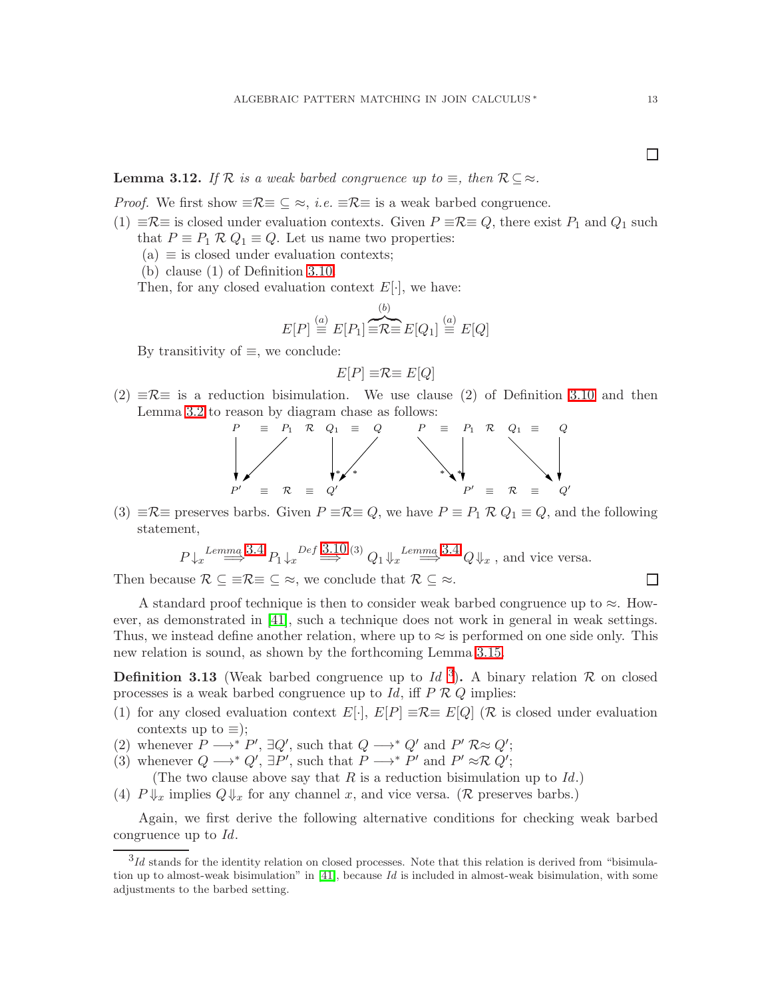$\Box$ 

 $\Box$ 

# <span id="page-12-2"></span>**Lemma 3.12.** If R is a weak barbed congruence up to  $\equiv$ , then  $\mathcal{R} \subseteq \approx$ .

*Proof.* We first show  $\equiv \mathcal{R} \equiv \subseteq \approx$ , *i.e.*  $\equiv \mathcal{R} \equiv$  is a weak barbed congruence.

- (1)  $\equiv \mathcal{R} \equiv$  is closed under evaluation contexts. Given  $P \equiv \mathcal{R} \equiv Q$ , there exist  $P_1$  and  $Q_1$  such that  $P \equiv P_1 \mathcal{R} Q_1 \equiv Q$ . Let us name two properties:
	- $(a) \equiv$  is closed under evaluation contexts;

(b) clause (1) of Definition [3.10.](#page-10-0)

Then, for any closed evaluation context  $E[\cdot]$ , we have:

$$
E[P] \stackrel{(a)}{\equiv} E[P_1] \stackrel{(b)}{\equiv} E[Q_1] \stackrel{(a)}{\equiv} E[Q]
$$

By transitivity of  $\equiv$ , we conclude:

$$
E[P] \equiv \mathcal{R} \equiv E[Q]
$$

 $(2) \equiv \mathcal{R} \equiv$  is a reduction bisimulation. We use clause (2) of Definition [3.10](#page-10-0) and then Lemma [3.2](#page-8-0) to reason by diagram chase as follows:



(3)  $\equiv \mathcal{R} \equiv$  preserves barbs. Given  $P \equiv \mathcal{R} \equiv Q$ , we have  $P \equiv P_1 \mathcal{R} Q_1 \equiv Q$ , and the following statement,

$$
P \downarrow_x
$$
<sup>Lemma 3.4</sup>  $P_1 \downarrow_x$ <sup>Def</sup>  $\stackrel{3.10}{\Longrightarrow}$ <sup>(3)</sup>  $Q_1 \downarrow_x$ <sup>Lemma 3.4</sup>  $Q \downarrow_x$ , and vice versa.

Then because  $\mathcal{R} \subseteq \equiv \mathcal{R} \equiv \subseteq \approx$ , we conclude that  $\mathcal{R} \subseteq \approx$ .

A standard proof technique is then to consider weak barbed congruence up to  $\approx$ . However, as demonstrated in [\[41\]](#page-40-5), such a technique does not work in general in weak settings. Thus, we instead define another relation, where up to  $\approx$  is performed on one side only. This new relation is sound, as shown by the forthcoming Lemma [3.15.](#page-14-0)

<span id="page-12-1"></span>**Definition [3](#page-12-0).13** (Weak barbed congruence up to  $Id$ <sup>3</sup>). A binary relation  $\mathcal{R}$  on closed processes is a weak barbed congruence up to  $Id$ , iff  $P \nsubseteq Q$  implies:

- (1) for any closed evaluation context  $E[\cdot], E[P] \equiv \mathcal{R} \equiv E[Q]$  ( $\mathcal{R}$  is closed under evaluation contexts up to  $\equiv$ );
- (2) whenever  $P \longrightarrow^* P'$ ,  $\exists Q'$ , such that  $Q \longrightarrow^* Q'$  and  $P' \mathcal{R} \approx Q'$ ;
- (3) whenever  $Q \longrightarrow^* Q'$ ,  $\exists P'$ , such that  $P \longrightarrow^* P'$  and  $P' \approx \mathcal{R} Q'$ ;

(The two clause above say that R is a reduction bisimulation up to  $Id.$ )

(4)  $P \Downarrow_x$  implies  $Q \Downarrow_x$  for any channel x, and vice versa. ( $\mathcal R$  preserves barbs.)

<span id="page-12-3"></span>Again, we first derive the following alternative conditions for checking weak barbed congruence up to Id.

<span id="page-12-0"></span><sup>3</sup> *Id* stands for the identity relation on closed processes. Note that this relation is derived from "bisimulation up to almost-weak bisimulation" in [\[41\]](#page-40-5), because *Id* is included in almost-weak bisimulation, with some adjustments to the barbed setting.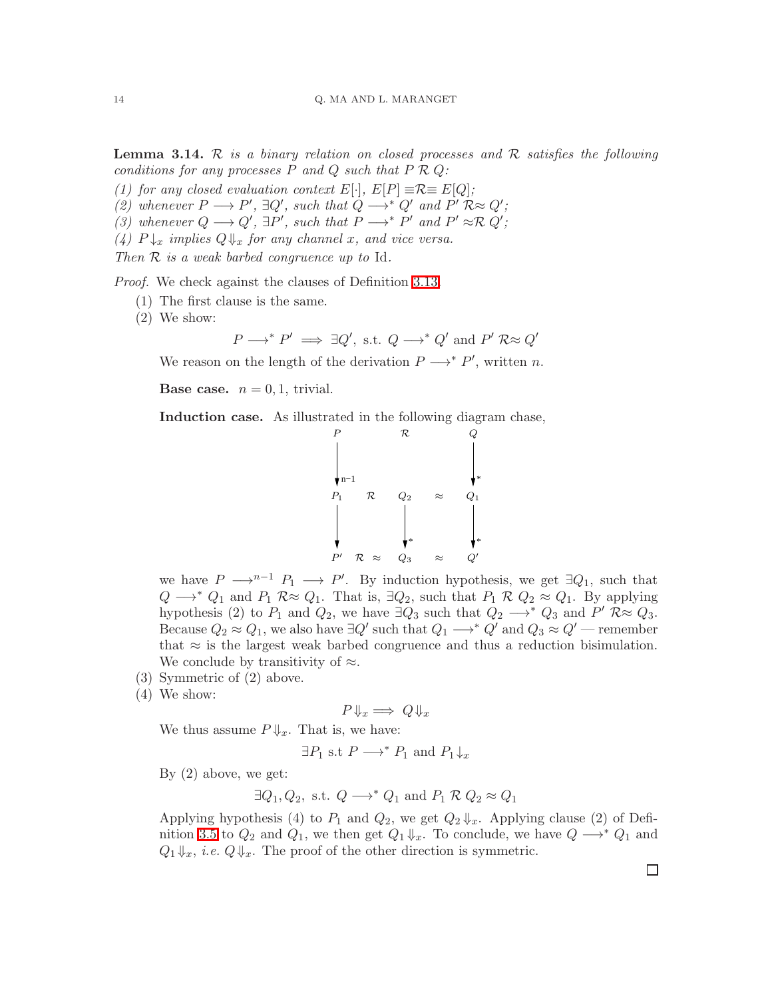**Lemma 3.14.** R is a binary relation on closed processes and R satisfies the following conditions for any processes P and Q such that  $P \mathcal{R} Q$ :

(1) for any closed evaluation context  $E[\cdot], E[P] \equiv \mathcal{R} \equiv E[Q];$ 

(2) whenever  $P \longrightarrow P'$ ,  $\exists Q'$ , such that  $Q \longrightarrow^* Q'$  and  $P' \mathcal{R} \approx Q'$ ;

(3) whenever  $Q \longrightarrow Q'$ ,  $\exists P'$ , such that  $P \longrightarrow^* P'$  and  $P' \approx \mathcal{R} Q'$ ;

(4)  $P \downarrow_x$  implies  $Q \Downarrow_x$  for any channel x, and vice versa.

Then  $R$  is a weak barbed congruence up to Id.

Proof. We check against the clauses of Definition [3.13.](#page-12-1)

- (1) The first clause is the same.
- (2) We show:

$$
P \longrightarrow^* P' \implies \exists Q', \text{ s.t. } Q \longrightarrow^* Q' \text{ and } P' R \approx Q'
$$

We reason on the length of the derivation  $P \longrightarrow^* P'$ , written n.

**Base case.**  $n = 0, 1$ , trivial.

Induction case. As illustrated in the following diagram chase,



we have  $P \longrightarrow^{n-1} P_1 \longrightarrow P'$ . By induction hypothesis, we get  $\exists Q_1$ , such that  $Q \longrightarrow^* Q_1$  and  $P_1 \mathcal{R} \approx Q_1$ . That is,  $\exists Q_2$ , such that  $P_1 \mathcal{R} Q_2 \approx Q_1$ . By applying hypothesis (2) to  $P_1$  and  $Q_2$ , we have  $\exists Q_3$  such that  $Q_2 \longrightarrow^* Q_3$  and  $P' \mathcal{R} \approx Q_3$ . Because  $Q_2 \approx Q_1$ , we also have  $\exists Q'$  such that  $Q_1 \longrightarrow^* Q'$  and  $Q_3 \approx Q'$  — remember that  $\approx$  is the largest weak barbed congruence and thus a reduction bisimulation. We conclude by transitivity of  $\approx$ .

(3) Symmetric of (2) above.

(4) We show:

$$
P\Downarrow_x \Longrightarrow Q\Downarrow_x
$$

We thus assume  $P \Downarrow_x$ . That is, we have:

$$
\exists P_1 \text{ s.t } P \longrightarrow^* P_1 \text{ and } P_1 \downarrow_x
$$

By (2) above, we get:

$$
\exists Q_1, Q_2
$$
, s.t.  $Q \longrightarrow^* Q_1$  and  $P_1 \mathcal{R} Q_2 \approx Q_1$ 

Applying hypothesis (4) to  $P_1$  and  $Q_2$ , we get  $Q_2 \Downarrow_x$ . Applying clause (2) of Defi-nition [3.5](#page-9-0) to  $Q_2$  and  $Q_1$ , we then get  $Q_1 \Downarrow_x$ . To conclude, we have  $Q \longrightarrow^* Q_1$  and  $Q_1 \Downarrow_x$ , *i.e.*  $Q \Downarrow_x$ . The proof of the other direction is symmetric.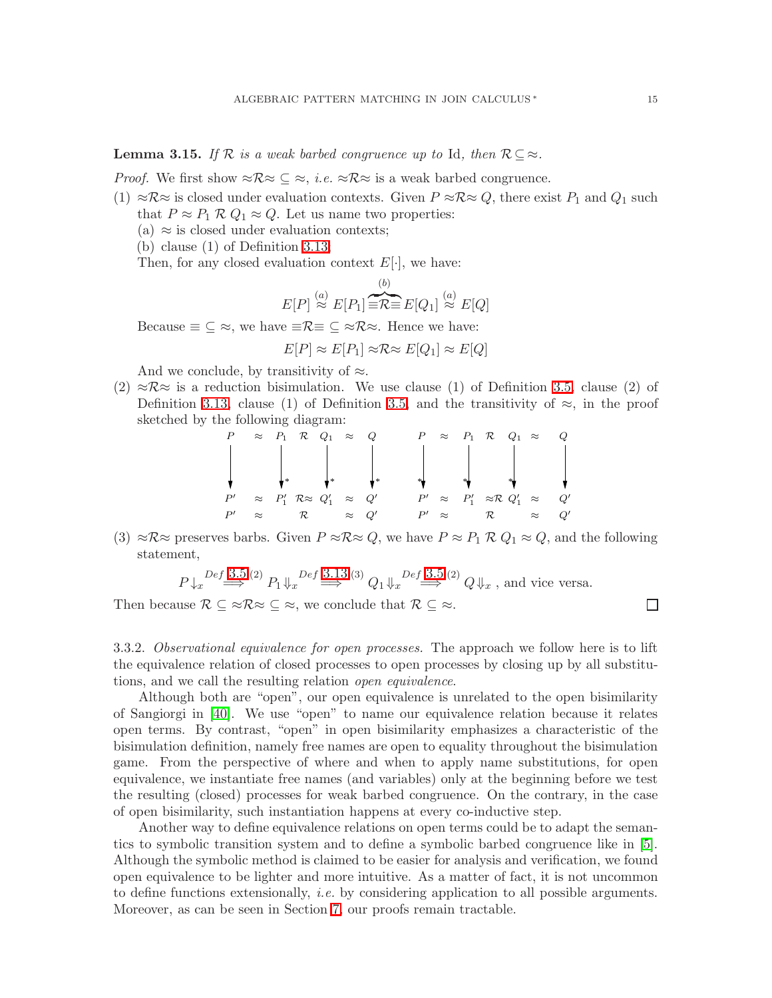<span id="page-14-0"></span>**Lemma 3.15.** If R is a weak barbed congruence up to Id, then  $R \subseteq \approx$ .

*Proof.* We first show  $\approx \mathcal{R} \approx \subseteq \approx$ , *i.e.*  $\approx \mathcal{R} \approx$  is a weak barbed congruence.

- $(1) \approx \mathcal{R} \approx$  is closed under evaluation contexts. Given  $P \approx \mathcal{R} \approx Q$ , there exist  $P_1$  and  $Q_1$  such that  $P \approx P_1 \mathcal{R} Q_1 \approx Q$ . Let us name two properties:
	- (a)  $\approx$  is closed under evaluation contexts;
	- (b) clause (1) of Definition [3.13;](#page-12-1)

Then, for any closed evaluation context  $E[\cdot]$ , we have:

$$
E[P] \stackrel{(a)}{\approx} E[P_1] \stackrel{(b)}{\equiv} \stackrel{(b)}{\approx} E[Q_1] \stackrel{(a)}{\approx} E[Q]
$$

Because  $\equiv \subseteq \approx$ , we have  $\equiv \mathcal{R} \equiv \subseteq \approx \mathcal{R} \approx$ . Hence we have:

$$
E[P] \approx E[P_1] \approx \mathcal{R} \approx E[Q_1] \approx E[Q]
$$

And we conclude, by transitivity of  $\approx$ .

(2) ≈ $\mathcal{R}$ ≈ is a reduction bisimulation. We use clause (1) of Definition [3.5,](#page-9-0) clause (2) of Definition [3.13,](#page-12-1) clause (1) of Definition [3.5,](#page-9-0) and the transitivity of  $\approx$ , in the proof sketched by the following diagram:

\* \* \* \* \* \* Q′ P R≈ <sup>1</sup> ′ P ≈ <sup>1</sup> ′ ≈ Q′ Q′ P ′ <sup>1</sup> ≈R Q′ P ′ ≈ <sup>1</sup> ≈ P ≈ P1 R Q1 ≈ Q P ≈ P1 R Q1 ≈ Q P ′ ≈ R ≈ Q′ ≈ ≈ Q′ P ′ R

(3)  $\approx \mathcal{R} \approx$  preserves barbs. Given  $P \approx \mathcal{R} \approx Q$ , we have  $P \approx P_1 \mathcal{R} Q_1 \approx Q$ , and the following statement,

$$
P \downarrow_x \stackrel{Def. 3.5. (2)}{\Longrightarrow} P_1 \downarrow_x \stackrel{Def. 3.13. (3)}{\Longrightarrow} Q_1 \downarrow_x \stackrel{Def. 3.5. (2)}{\Longrightarrow} Q \downarrow_x
$$
, and vice versa.

Then because  $\mathcal{R} \subseteq \mathbb{R} \mathbb{R} \subseteq \mathbb{R}$ , we conclude that  $\mathcal{R} \subseteq \mathbb{R}$ .

3.3.2. Observational equivalence for open processes. The approach we follow here is to lift the equivalence relation of closed processes to open processes by closing up by all substitutions, and we call the resulting relation open equivalence.

Although both are "open", our open equivalence is unrelated to the open bisimilarity of Sangiorgi in [\[40\]](#page-40-6). We use "open" to name our equivalence relation because it relates open terms. By contrast, "open" in open bisimilarity emphasizes a characteristic of the bisimulation definition, namely free names are open to equality throughout the bisimulation game. From the perspective of where and when to apply name substitutions, for open equivalence, we instantiate free names (and variables) only at the beginning before we test the resulting (closed) processes for weak barbed congruence. On the contrary, in the case of open bisimilarity, such instantiation happens at every co-inductive step.

Another way to define equivalence relations on open terms could be to adapt the semantics to symbolic transition system and to define a symbolic barbed congruence like in [\[5\]](#page-39-7). Although the symbolic method is claimed to be easier for analysis and verification, we found open equivalence to be lighter and more intuitive. As a matter of fact, it is not uncommon to define functions extensionally, i.e. by considering application to all possible arguments. Moreover, as can be seen in Section [7,](#page-24-0) our proofs remain tractable.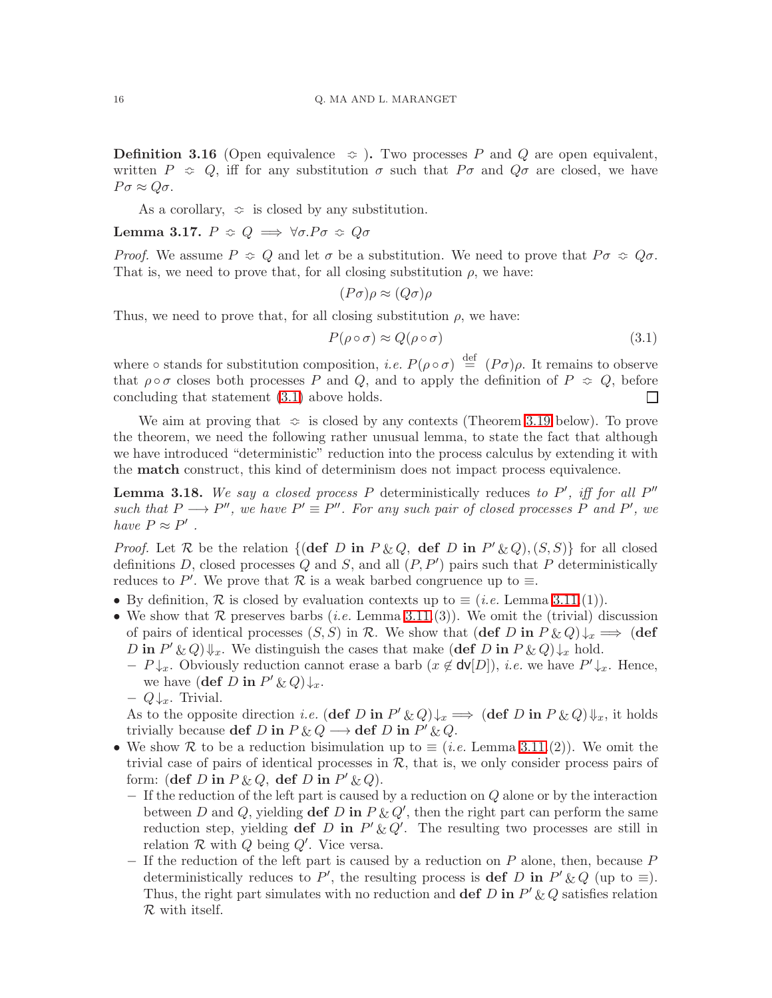**Definition 3.16** (Open equivalence  $\approx$  ). Two processes P and Q are open equivalent, written  $P \cong Q$ , iff for any substitution  $\sigma$  such that  $P\sigma$  and  $Q\sigma$  are closed, we have  $P\sigma \approx Q\sigma$ .

As a corollary,  $\Leftrightarrow$  is closed by any substitution.

<span id="page-15-0"></span>Lemma 3.17.  $P \text{ } \approx \text{ } Q \implies \forall \sigma.P\sigma \text{ } \approx \text{ } Q\sigma$ 

*Proof.* We assume  $P \cong Q$  and let  $\sigma$  be a substitution. We need to prove that  $P\sigma \cong Q\sigma$ . That is, we need to prove that, for all closing substitution  $\rho$ , we have:

$$
(P\sigma)\rho \approx (Q\sigma)\rho
$$

Thus, we need to prove that, for all closing substitution  $\rho$ , we have:

$$
P(\rho \circ \sigma) \approx Q(\rho \circ \sigma) \tag{3.1}
$$

where  $\circ$  stands for substitution composition, *i.e.*  $P(\rho \circ \sigma) \stackrel{\text{def}}{=} (P\sigma)\rho$ . It remains to observe that  $\rho \circ \sigma$  closes both processes P and Q, and to apply the definition of  $P \cong Q$ , before concluding that statement [\(3.1\)](#page-16-1) above holds.  $\Box$ 

We aim at proving that ≎ is closed by any contexts (Theorem [3.19](#page-16-0) below). To prove the theorem, we need the following rather unusual lemma, to state the fact that although we have introduced "deterministic" reduction into the process calculus by extending it with the match construct, this kind of determinism does not impact process equivalence.

<span id="page-15-1"></span>**Lemma 3.18.** We say a closed process P deterministically reduces to P', iff for all  $P''$ such that  $P \longrightarrow P''$ , we have  $P' \equiv P''$ . For any such pair of closed processes P and P', we have  $P \approx P'$ .

*Proof.* Let R be the relation  $\{(\text{def } D \text{ in } P \& Q, \text{def } D \text{ in } P' \& Q), (S, S)\}\)$  for all closed definitions  $D$ , closed processes  $Q$  and  $S$ , and all  $(P, P')$  pairs such that  $P$  deterministically reduces to P'. We prove that  $R$  is a weak barbed congruence up to  $\equiv$ .

- By definition, R is closed by evaluation contexts up to  $\equiv (i.e.$  Lemma [3.11.](#page-11-0)(1)).
- We show that R preserves barbs (*i.e.* Lemma [3.11.](#page-11-0)(3)). We omit the (trivial) discussion of pairs of identical processes  $(S, S)$  in R. We show that  $(\text{def } D \text{ in } P \& Q) \downarrow_x \Longrightarrow (\text{def } P)$ D in  $P' \& Q \Downarrow_x$ . We distinguish the cases that make (def D in  $P \& Q \downarrow_x$  hold.
	- −  $P \downarrow_x$ . Obviously reduction cannot erase a barb  $(x \notin d\mathsf{v}[D])$ , *i.e.* we have  $P' \downarrow_x$ . Hence, we have  $(\text{def } D \text{ in } P' \& Q) \downarrow_x$ .
	- $Q \downarrow_x$ . Trivial.

As to the opposite direction *i.e.* (def D in  $P' \& Q \downarrow_x \Longrightarrow$  (def D in  $P \& Q \downarrow_x$ , it holds trivially because **def** D in  $P \& Q \longrightarrow$  **def** D in  $P' \& Q$ .

- We show R to be a reduction bisimulation up to  $\equiv$  (*i.e.* Lemma [3.11.](#page-11-0)(2)). We omit the trivial case of pairs of identical processes in  $R$ , that is, we only consider process pairs of form: (def  $D$  in  $P \& Q$ , def  $D$  in  $P' \& Q$ ).
	- $-$  If the reduction of the left part is caused by a reduction on  $Q$  alone or by the interaction between D and Q, yielding **def** D in  $P \& Q'$ , then the right part can perform the same reduction step, yielding **def** D in  $P' \& Q'$ . The resulting two processes are still in relation  $R$  with  $Q$  being  $Q'$ . Vice versa.
	- $-$  If the reduction of the left part is caused by a reduction on P alone, then, because P deterministically reduces to P', the resulting process is **def** D in  $P' \& Q$  (up to  $\equiv$ ). Thus, the right part simulates with no reduction and **def** D in  $P' \& Q$  satisfies relation R with itself.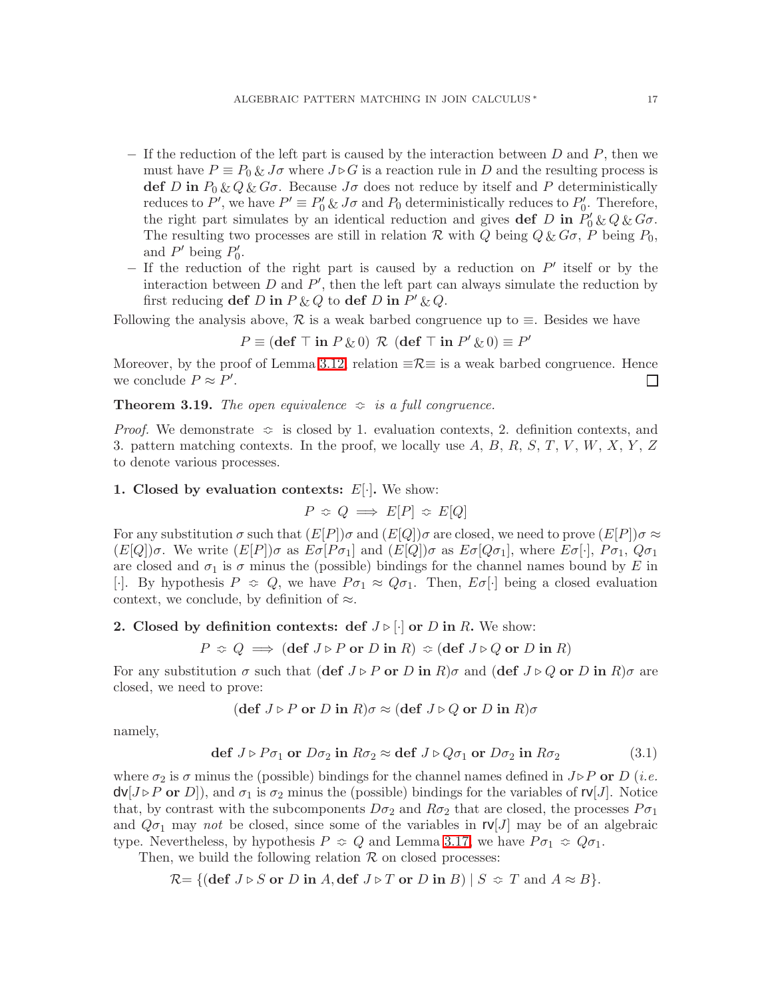- $-$  If the reduction of the left part is caused by the interaction between D and P, then we must have  $P \equiv P_0 \& J\sigma$  where  $J \triangleright G$  is a reaction rule in D and the resulting process is def D in  $P_0 \& Q \& G\sigma$ . Because  $J\sigma$  does not reduce by itself and P deterministically reduces to P', we have  $P' \equiv P'_0 \& J\sigma$  and  $P_0$  deterministically reduces to  $P'_0$ . Therefore, the right part simulates by an identical reduction and gives **def** D in  $\tilde{P}'_0 \& Q \& G\sigma$ . The resulting two processes are still in relation R with Q being  $Q \& G\sigma$ , P being  $P_0$ , and  $P'$  being  $P'_0$ .
- $-$  If the reduction of the right part is caused by a reduction on  $P'$  itself or by the interaction between  $D$  and  $P'$ , then the left part can always simulate the reduction by first reducing **def** D in  $P \& Q$  to **def** D in  $P' \& Q$ .

Following the analysis above, R is a weak barbed congruence up to  $\equiv$ . Besides we have

$$
P \equiv (\text{def } \top \text{ in } P \& 0) \mathcal{R} (\text{def } \top \text{ in } P' \& 0) \equiv P'
$$

Moreover, by the proof of Lemma [3.12,](#page-12-2) relation  $\equiv \mathcal{R} \equiv$  is a weak barbed congruence. Hence we conclude  $P \approx P'$ .  $\Box$ 

<span id="page-16-0"></span>**Theorem 3.19.** The open equivalence  $\Leftrightarrow$  is a full congruence.

*Proof.* We demonstrate  $\Leftrightarrow$  is closed by 1. evaluation contexts, 2. definition contexts, and 3. pattern matching contexts. In the proof, we locally use  $A, B, R, S, T, V, W, X, Y, Z$ to denote various processes.

1. Closed by evaluation contexts:  $E[\cdot]$ . We show:

$$
P \; \approx \; Q \; \Longrightarrow \; E[P] \; \approx \; E[Q]
$$

For any substitution  $\sigma$  such that  $(E[P])\sigma$  and  $(E[Q])\sigma$  are closed, we need to prove  $(E[P])\sigma \approx$  $(E[Q])\sigma$ . We write  $(E[P])\sigma$  as  $E\sigma[P\sigma_1]$  and  $(E[Q])\sigma$  as  $E\sigma[Q\sigma_1]$ , where  $E\sigma[\cdot]$ ,  $P\sigma_1$ ,  $Q\sigma_1$ are closed and  $\sigma_1$  is  $\sigma$  minus the (possible) bindings for the channel names bound by E in [·]. By hypothesis  $P \cong Q$ , we have  $P_{\sigma_1} \approx Q_{\sigma_1}$ . Then,  $E_{\sigma}$ [·] being a closed evaluation context, we conclude, by definition of  $\approx$ .

2. Closed by definition contexts: def  $J \triangleright [\cdot]$  or D in R. We show:

$$
P \Leftrightarrow Q \implies (\text{def } J \triangleright P \text{ or } D \text{ in } R) \Leftrightarrow (\text{def } J \triangleright Q \text{ or } D \text{ in } R)
$$

For any substitution  $\sigma$  such that (def  $J \triangleright P$  or D in  $R$ ) $\sigma$  and (def  $J \triangleright Q$  or D in  $R$ ) $\sigma$  are closed, we need to prove:

<span id="page-16-1"></span> $(\text{def }J \triangleright P \text{ or } D \text{ in } R)\sigma \approx (\text{def }J \triangleright Q \text{ or } D \text{ in } R)\sigma$ 

namely,

$$
\text{def } J \triangleright P \sigma_1 \text{ or } D \sigma_2 \text{ in } R \sigma_2 \approx \text{def } J \triangleright Q \sigma_1 \text{ or } D \sigma_2 \text{ in } R \sigma_2 \tag{3.1}
$$

where  $\sigma_2$  is  $\sigma$  minus the (possible) bindings for the channel names defined in  $J \triangleright P$  or D (*i.e.*  $\text{dv}[J \triangleright P \text{ or } D]$ , and  $\sigma_1$  is  $\sigma_2$  minus the (possible) bindings for the variables of  $\text{rv}[J]$ . Notice that, by contrast with the subcomponents  $D\sigma_2$  and  $R\sigma_2$  that are closed, the processes  $P\sigma_1$ and  $Q\sigma_1$  may not be closed, since some of the variables in  $\text{rv}[J]$  may be of an algebraic type. Nevertheless, by hypothesis  $P \text{ } \approx \text{ } Q$  and Lemma [3.17,](#page-15-0) we have  $P \sigma_1 \text{ } \approx \text{ } Q \sigma_1$ .

Then, we build the following relation  $\mathcal R$  on closed processes:

$$
\mathcal{R} = \{ (\text{def } J \triangleright S \text{ or } D \text{ in } A, \text{def } J \triangleright T \text{ or } D \text{ in } B) \mid S \rightleftarrows T \text{ and } A \approx B \}.
$$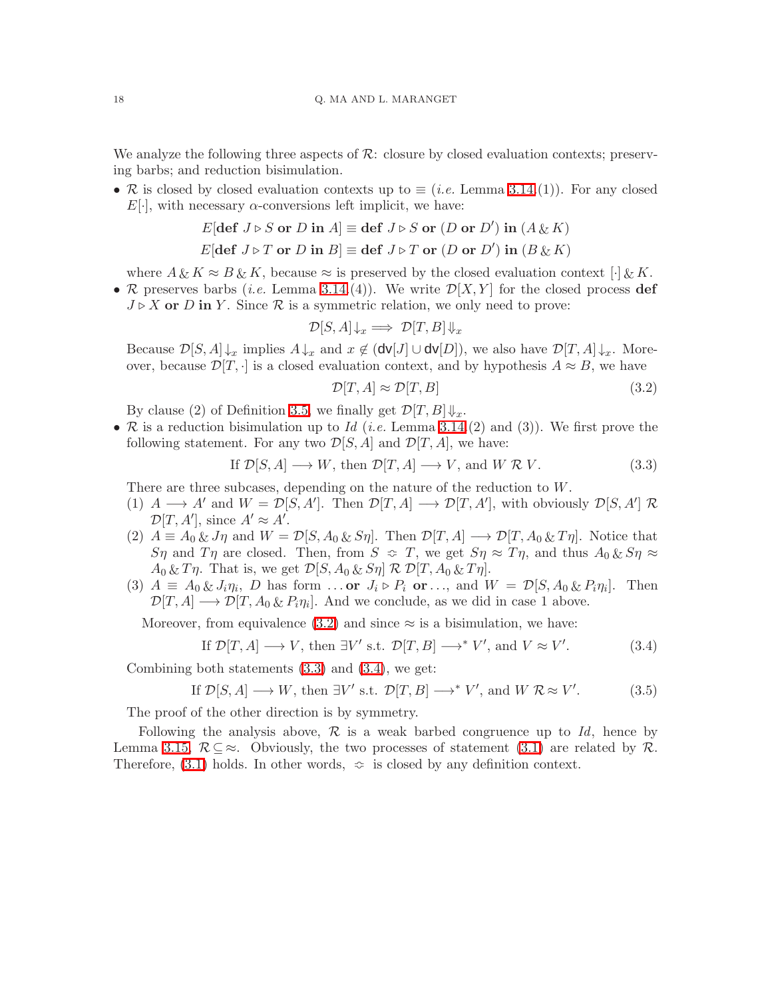We analyze the following three aspects of  $\mathcal{R}$ : closure by closed evaluation contexts; preserving barbs; and reduction bisimulation.

• R is closed by closed evaluation contexts up to  $\equiv (i.e.$  Lemma [3.14.](#page-12-3)(1)). For any closed  $E[\cdot]$ , with necessary  $\alpha$ -conversions left implicit, we have:

$$
E[\text{def } J \triangleright S \text{ or } D \text{ in } A] \equiv \text{def } J \triangleright S \text{ or } (D \text{ or } D') \text{ in } (A \& K)
$$

$$
E[\text{def } J \triangleright T \text{ or } D \text{ in } B] \equiv \text{def } J \triangleright T \text{ or } (D \text{ or } D') \text{ in } (B \& K)
$$

where  $A \& K \approx B \& K$ , because  $\approx$  is preserved by the closed evaluation context  $[\cdot] \& K$ .

• R preserves barbs (*i.e.* Lemma [3.14.](#page-12-3)(4)). We write  $\mathcal{D}[X, Y]$  for the closed process def  $J \triangleright X$  or D in Y. Since  $\mathcal R$  is a symmetric relation, we only need to prove:

$$
\mathcal{D}[S,A] \downarrow_x \implies \mathcal{D}[T,B] \Downarrow_x
$$

Because  $\mathcal{D}[S, A] \downarrow_x$  implies  $A \downarrow_x$  and  $x \notin (\text{dv}[J] \cup \text{dv}[D])$ , we also have  $\mathcal{D}[T, A] \downarrow_x$ . Moreover, because  $\mathcal{D}[T, \cdot]$  is a closed evaluation context, and by hypothesis  $A \approx B$ , we have

<span id="page-17-2"></span><span id="page-17-1"></span><span id="page-17-0"></span>
$$
\mathcal{D}[T,A] \approx \mathcal{D}[T,B] \tag{3.2}
$$

By clause (2) of Definition [3.5,](#page-9-0) we finally get  $\mathcal{D}[T, B]\Downarrow_x$ .

• R is a reduction bisimulation up to Id (i.e. Lemma [3.14.](#page-12-3)(2) and (3)). We first prove the following statement. For any two  $\mathcal{D}[S, A]$  and  $\mathcal{D}[T, A]$ , we have:

If 
$$
\mathcal{D}[S, A] \longrightarrow W
$$
, then  $\mathcal{D}[T, A] \longrightarrow V$ , and  $W \mathcal{R} V$ . (3.3)

There are three subcases, depending on the nature of the reduction to W.

- (1)  $A \longrightarrow A'$  and  $W = \mathcal{D}[S, A']$ . Then  $\mathcal{D}[T, A] \longrightarrow \mathcal{D}[T, A']$ , with obviously  $\mathcal{D}[S, A']$  R  $\mathcal{D}[T, A'],$  since  $A' \approx A'.$
- (2)  $A \equiv A_0 \& J\eta$  and  $W = \mathcal{D}[S, A_0 \& S\eta]$ . Then  $\mathcal{D}[T, A] \longrightarrow \mathcal{D}[T, A_0 \& T\eta]$ . Notice that Sη and Tη are closed. Then, from  $S \cong T$ , we get  $S\eta \approx T\eta$ , and thus  $A_0 \& S\eta \approx T$  $A_0 \& T\eta$ . That is, we get  $\mathcal{D}[S, A_0 \& S\eta] \mathcal{R} \mathcal{D}[T, A_0 \& T\eta]$ .
- (3)  $A \equiv A_0 \& J_i \eta_i$ , D has form ... or  $J_i \triangleright P_i$  or ..., and  $W = \mathcal{D}[S, A_0 \& P_i \eta_i]$ . Then  $\mathcal{D}[T, A] \longrightarrow \mathcal{D}[T, A_0 \& P_i \eta_i].$  And we conclude, as we did in case 1 above.

Moreover, from equivalence [\(3.2\)](#page-17-0) and since  $\approx$  is a bisimulation, we have:

If 
$$
\mathcal{D}[T, A] \longrightarrow V
$$
, then  $\exists V'$  s.t.  $\mathcal{D}[T, B] \longrightarrow^* V'$ , and  $V \approx V'$ . (3.4)

Combining both statements  $(3.3)$  and  $(3.4)$ , we get:

If 
$$
\mathcal{D}[S, A] \longrightarrow W
$$
, then  $\exists V'$  s.t.  $\mathcal{D}[T, B] \longrightarrow^* V'$ , and  $W \mathcal{R} \approx V'$ . (3.5)

The proof of the other direction is by symmetry.

Following the analysis above,  $\mathcal R$  is a weak barbed congruence up to Id, hence by Lemma [3.15,](#page-14-0)  $\mathcal{R} \subseteq \infty$ . Obviously, the two processes of statement [\(3.1\)](#page-16-1) are related by  $\mathcal{R}$ . Therefore,  $(3.1)$  holds. In other words,  $\Leftrightarrow$  is closed by any definition context.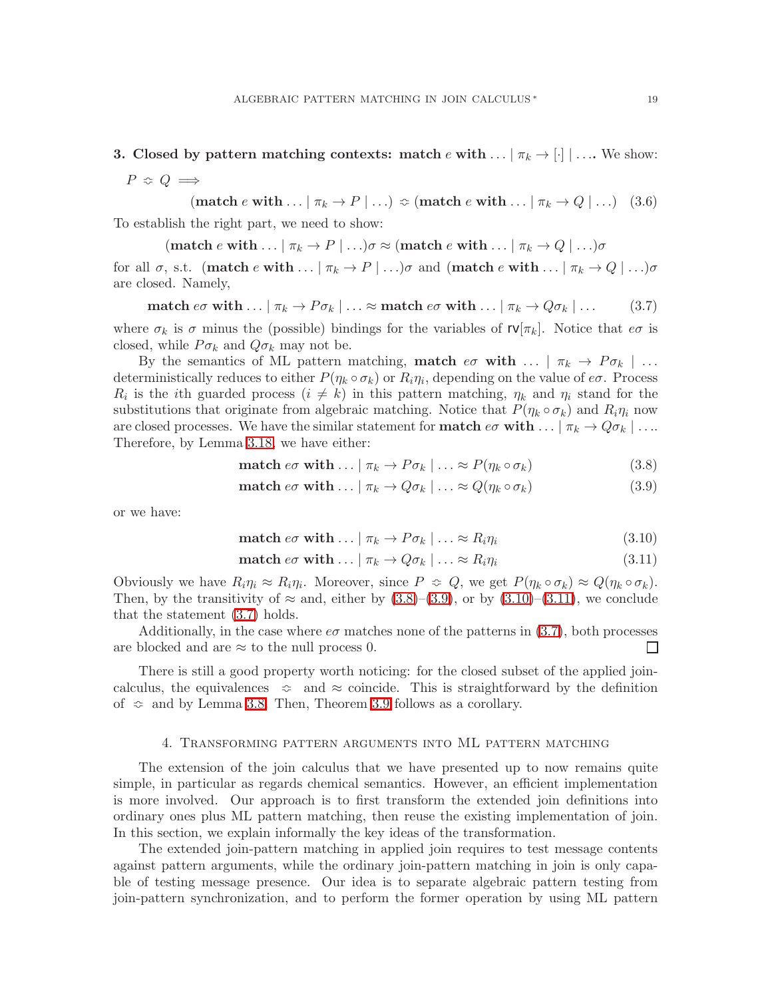# 3. Closed by pattern matching contexts: match e with  $\ldots | \pi_k \to [\cdot] | \ldots$  We show:  $P \Rightarrow Q \implies$

$$
(\text{match } e \text{ with } \dots | \pi_k \to P | \dots) \approx (\text{match } e \text{ with } \dots | \pi_k \to Q | \dots)
$$
 (3.6)

To establish the right part, we need to show:

(match e with ...  $|\pi_k \to P | ... \rangle \sigma \approx$  (match e with  $... | \pi_k \to Q | ... \rangle \sigma$ 

for all  $\sigma$ , s.t. (match e with ...  $|\pi_k \to P | \ldots \rangle \sigma$  and (match e with ...  $|\pi_k \to Q | \ldots \rangle \sigma$ are closed. Namely,

$$
\text{match } e\sigma \text{ with } \dots \mid \pi_k \to P\sigma_k \mid \dots \approx \text{match } e\sigma \text{ with } \dots \mid \pi_k \to Q\sigma_k \mid \dots \tag{3.7}
$$

where  $\sigma_k$  is  $\sigma$  minus the (possible) bindings for the variables of  $\text{rv}[\pi_k]$ . Notice that  $e\sigma$  is closed, while  $P\sigma_k$  and  $Q\sigma_k$  may not be.

By the semantics of ML pattern matching, **match**  $e\sigma$  with  $\ldots$   $\pi_k \to P\sigma_k$  ... deterministically reduces to either  $P(\eta_k \circ \sigma_k)$  or  $R_i \eta_i$ , depending on the value of  $e\sigma$ . Process  $R_i$  is the *i*th guarded process  $(i \neq k)$  in this pattern matching,  $\eta_k$  and  $\eta_i$  stand for the substitutions that originate from algebraic matching. Notice that  $P(\eta_k \circ \sigma_k)$  and  $R_i \eta_i$  now are closed processes. We have the similar statement for **match**  $e\sigma$  with ...  $\pi_k \to Q\sigma_k \mid \ldots$ Therefore, by Lemma [3.18,](#page-15-1) we have either:

<span id="page-18-5"></span><span id="page-18-2"></span><span id="page-18-1"></span>
$$
\text{match } e\sigma \text{ with } \dots \mid \pi_k \to P\sigma_k \mid \dots \approx P(\eta_k \circ \sigma_k) \tag{3.8}
$$

$$
\text{match } e\sigma \text{ with } \dots \mid \pi_k \to Q\sigma_k \mid \dots \approx Q(\eta_k \circ \sigma_k) \tag{3.9}
$$

or we have:

<span id="page-18-4"></span><span id="page-18-3"></span>
$$
\text{match } e\sigma \text{ with } \dots \mid \pi_k \to P\sigma_k \mid \dots \approx R_i \eta_i \tag{3.10}
$$

$$
\text{match } e\sigma \text{ with } \dots \mid \pi_k \to Q\sigma_k \mid \dots \approx R_i \eta_i \tag{3.11}
$$

Obviously we have  $R_i \eta_i \approx R_i \eta_i$ . Moreover, since  $P \approx Q$ , we get  $P(\eta_k \circ \sigma_k) \approx Q(\eta_k \circ \sigma_k)$ . Then, by the transitivity of  $\approx$  and, either by [\(3.8\)](#page-18-1)–[\(3.9\)](#page-18-2), or by [\(3.10\)](#page-18-3)–[\(3.11\)](#page-18-4), we conclude that the statement [\(3.7\)](#page-18-5) holds.

Additionally, in the case where  $e\sigma$  matches none of the patterns in [\(3.7\)](#page-18-5), both processes are blocked and are  $\approx$  to the null process 0. ப

There is still a good property worth noticing: for the closed subset of the applied joincalculus, the equivalences  $\approx$  and  $\approx$  coincide. This is straightforward by the definition of  $\approx$  and by Lemma [3.8.](#page-10-1) Then, Theorem [3.9](#page-10-2) follows as a corollary.

# 4. Transforming pattern arguments into ML pattern matching

<span id="page-18-0"></span>The extension of the join calculus that we have presented up to now remains quite simple, in particular as regards chemical semantics. However, an efficient implementation is more involved. Our approach is to first transform the extended join definitions into ordinary ones plus ML pattern matching, then reuse the existing implementation of join. In this section, we explain informally the key ideas of the transformation.

The extended join-pattern matching in applied join requires to test message contents against pattern arguments, while the ordinary join-pattern matching in join is only capable of testing message presence. Our idea is to separate algebraic pattern testing from join-pattern synchronization, and to perform the former operation by using ML pattern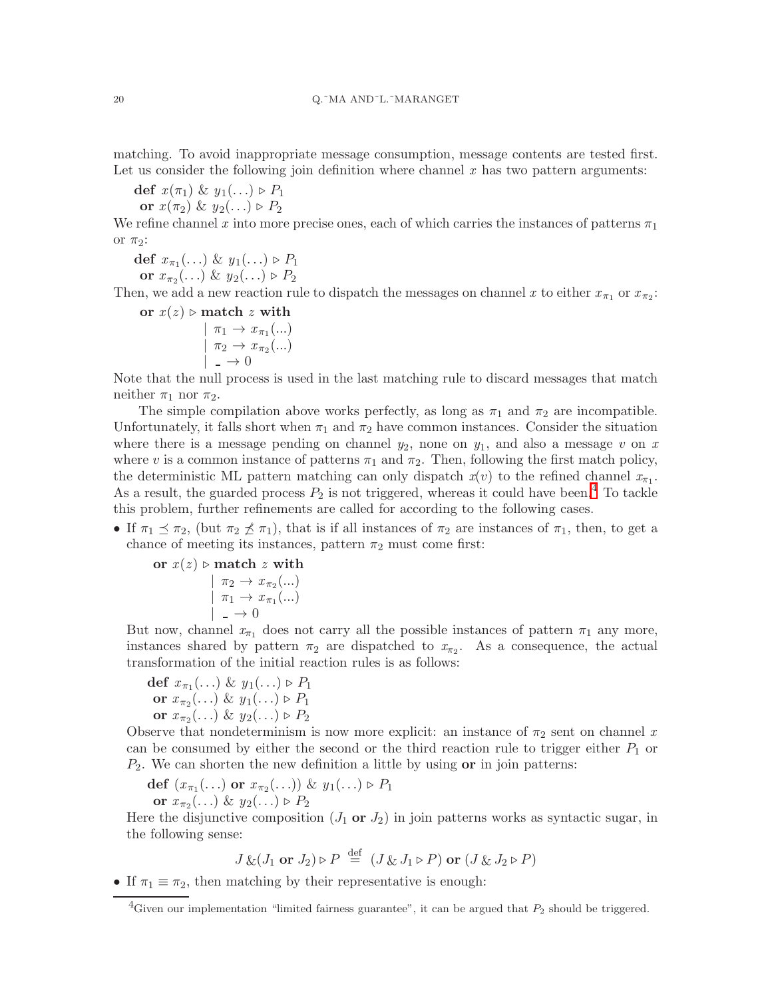matching. To avoid inappropriate message consumption, message contents are tested first. Let us consider the following join definition where channel  $x$  has two pattern arguments:

def  $x(\pi_1) \& y_1(\ldots) \triangleright P_1$ 

or  $x(\pi_2) \& y_2(\ldots) \triangleright P_2$ 

We refine channel x into more precise ones, each of which carries the instances of patterns  $\pi_1$ or  $\pi_2$ :

def  $x_{\pi_1}(\ldots) \& y_1(\ldots) \triangleright P_1$ 

or  $x_{\pi_2}(\ldots) \& y_2(\ldots) \triangleright P_2$ 

Then, we add a new reaction rule to dispatch the messages on channel x to either  $x_{\pi_1}$  or  $x_{\pi_2}$ :

or  $x(z)$  ⊳ match z with

$$
\begin{array}{ccc} \n\mid & \pi_1 \to x_{\pi_1}(\ldots) \\
\mid & \pi_2 \to x_{\pi_2}(\ldots) \\
\mid & \to 0\n\end{array}
$$

Note that the null process is used in the last matching rule to discard messages that match neither  $\pi_1$  nor  $\pi_2$ .

The simple compilation above works perfectly, as long as  $\pi_1$  and  $\pi_2$  are incompatible. Unfortunately, it falls short when  $\pi_1$  and  $\pi_2$  have common instances. Consider the situation where there is a message pending on channel  $y_2$ , none on  $y_1$ , and also a message v on x where v is a common instance of patterns  $\pi_1$  and  $\pi_2$ . Then, following the first match policy, the deterministic ML pattern matching can only dispatch  $x(v)$  to the refined channel  $x_{\pi_1}$ . As a result, the guarded process  $P_2$  is not triggered, whereas it could have been.<sup>[4](#page-19-0)</sup> To tackle this problem, further refinements are called for according to the following cases.

• If  $\pi_1 \preceq \pi_2$ , (but  $\pi_2 \npreceq \pi_1$ ), that is if all instances of  $\pi_2$  are instances of  $\pi_1$ , then, to get a chance of meeting its instances, pattern  $\pi_2$  must come first:

$$
\begin{array}{c}\n\text{or } x(z) \triangleright \text{match } z \text{ with} \\
\begin{array}{c}\n\pi_2 \rightarrow x_{\pi_2}(\dots) \\
\pi_1 \rightarrow x_{\pi_1}(\dots) \\
\hline\n-\rightarrow 0\n\end{array}\n\end{array}
$$

But now, channel  $x_{\pi_1}$  does not carry all the possible instances of pattern  $\pi_1$  any more, instances shared by pattern  $\pi_2$  are dispatched to  $x_{\pi_2}$ . As a consequence, the actual transformation of the initial reaction rules is as follows:

$$
\begin{array}{l}\n\text{def } x_{\pi_1}(\ldots) \& y_1(\ldots) \triangleright P_1 \\
\text{or } x_{\pi_2}(\ldots) \& y_1(\ldots) \triangleright P_1 \\
\text{or } x_{\pi_2}(\ldots) \& y_2(\ldots) \triangleright P_2\n\end{array}
$$

Observe that nondeterminism is now more explicit: an instance of  $\pi_2$  sent on channel x can be consumed by either the second or the third reaction rule to trigger either  $P_1$  or  $P_2$ . We can shorten the new definition a little by using  $or$  in join patterns:

def  $(x_{\pi_1}(\ldots) \text{ or } x_{\pi_2}(\ldots)) \& y_1(\ldots) \triangleright P_1$ 

or  $x_{\pi_2}(\ldots) \& y_2(\ldots) \triangleright P_2$ Here the disjunctive composition  $(J_1 \text{ or } J_2)$  in join patterns works as syntactic sugar, in the following sense:

$$
J \& (J_1 \text{ or } J_2) \triangleright P \stackrel{\text{def}}{=} (J \& J_1 \triangleright P) \text{ or } (J \& J_2 \triangleright P)
$$

<span id="page-19-0"></span>• If  $\pi_1 \equiv \pi_2$ , then matching by their representative is enough:

<sup>&</sup>lt;sup>4</sup>Given our implementation "limited fairness guarantee", it can be argued that  $P_2$  should be triggered.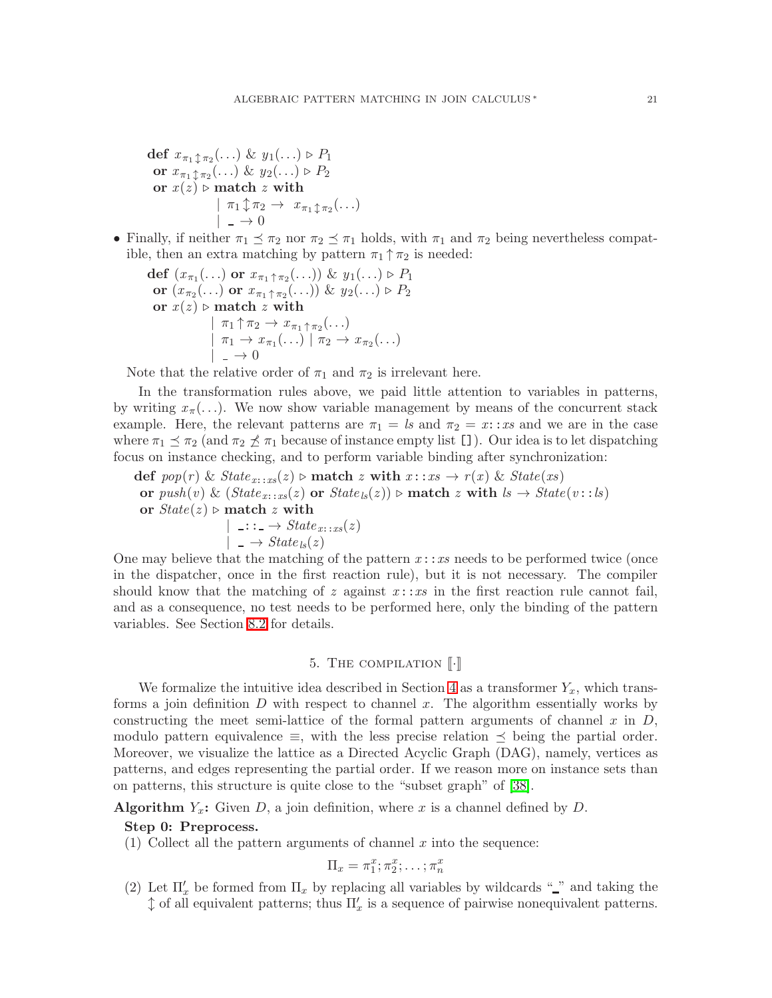```
def x_{\pi_1\updownarrow \pi_2}(\ldots) & y_1(\ldots) \triangleright P_1or x_{\pi_1\updownarrow \pi_2}(\ldots) & y_2(\ldots) \triangleright P_2or x(z) \triangleright match z with
                          \mid \pi_1 \updownarrow \pi_2 \rightarrow x_{\pi_1 \updownarrow \pi_2}(\ldots)| - \rightarrow 0
```
• Finally, if neither  $\pi_1 \preceq \pi_2$  nor  $\pi_2 \preceq \pi_1$  holds, with  $\pi_1$  and  $\pi_2$  being nevertheless compatible, then an extra matching by pattern  $\pi_1 \uparrow \pi_2$  is needed:

def 
$$
(x_{\pi_1}(\ldots)
$$
 or  $x_{\pi_1 \uparrow \pi_2}(\ldots)$ ) &  $y_1(\ldots) \triangleright P_1$   
or  $(x_{\pi_2}(\ldots)$  or  $x_{\pi_1 \uparrow \pi_2}(\ldots)$ ) &  $y_2(\ldots) \triangleright P_2$   
or  $x(z) \triangleright$  match  $z$  with  

$$
\begin{array}{c} \mid \pi_1 \uparrow \pi_2 \rightarrow x_{\pi_1 \uparrow \pi_2}(\ldots) \\ \mid \pi_1 \rightarrow x_{\pi_1}(\ldots) \mid \pi_2 \rightarrow x_{\pi_2}(\ldots) \\ \mid -\rightarrow 0 \end{array}
$$

Note that the relative order of  $\pi_1$  and  $\pi_2$  is irrelevant here.

In the transformation rules above, we paid little attention to variables in patterns, by writing  $x_{\pi}(\ldots)$ . We now show variable management by means of the concurrent stack example. Here, the relevant patterns are  $\pi_1 = ls$  and  $\pi_2 = x$ : xs and we are in the case where  $\pi_1 \preceq \pi_2$  (and  $\pi_2 \npreceq \pi_1$  because of instance empty list []). Our idea is to let dispatching focus on instance checking, and to perform variable binding after synchronization:

def pop(r) & State<sub>x::xs</sub>(z) ⊳ match z with  $x::xs \rightarrow r(x)$  & State(xs) or push(v) & (State<sub>x::xs</sub>(z) or State<sub>ls</sub>(z)) ⊳ match z with  $ls \rightarrow State(v::ls)$ or  $State(z) \triangleright \text{match } z \text{ with}$ |  $\therefore : \Rightarrow State_{x::xs}(z)$ 

 $|\rightarrow State_{ls}(z)|$ 

One may believe that the matching of the pattern  $x::xs$  needs to be performed twice (once in the dispatcher, once in the first reaction rule), but it is not necessary. The compiler should know that the matching of z against  $x::xs$  in the first reaction rule cannot fail, and as a consequence, no test needs to be performed here, only the binding of the pattern variables. See Section [8.2](#page-30-0) for details.

# 5. THE COMPILATION  $\lbrack \cdot \rbrack$

<span id="page-20-0"></span>We formalize the intuitive idea described in Section [4](#page-18-0) as a transformer  $Y_x$ , which transforms a join definition D with respect to channel x. The algorithm essentially works by constructing the meet semi-lattice of the formal pattern arguments of channel x in  $D$ , modulo pattern equivalence  $\equiv$ , with the less precise relation  $\prec$  being the partial order. Moreover, we visualize the lattice as a Directed Acyclic Graph (DAG), namely, vertices as patterns, and edges representing the partial order. If we reason more on instance sets than on patterns, this structure is quite close to the "subset graph" of [\[38\]](#page-40-7).

**Algorithm**  $Y_x$ : Given D, a join definition, where x is a channel defined by D.

#### Step 0: Preprocess.

(1) Collect all the pattern arguments of channel  $x$  into the sequence:

$$
\Pi_x = \pi_1^x; \pi_2^x; \ldots; \pi_n^x
$$

(2) Let  $\Pi'_x$  be formed from  $\Pi_x$  by replacing all variables by wildcards "<sup>"</sup> and taking the  $\updownarrow$  of all equivalent patterns; thus  $\Pi'_x$  is a sequence of pairwise nonequivalent patterns.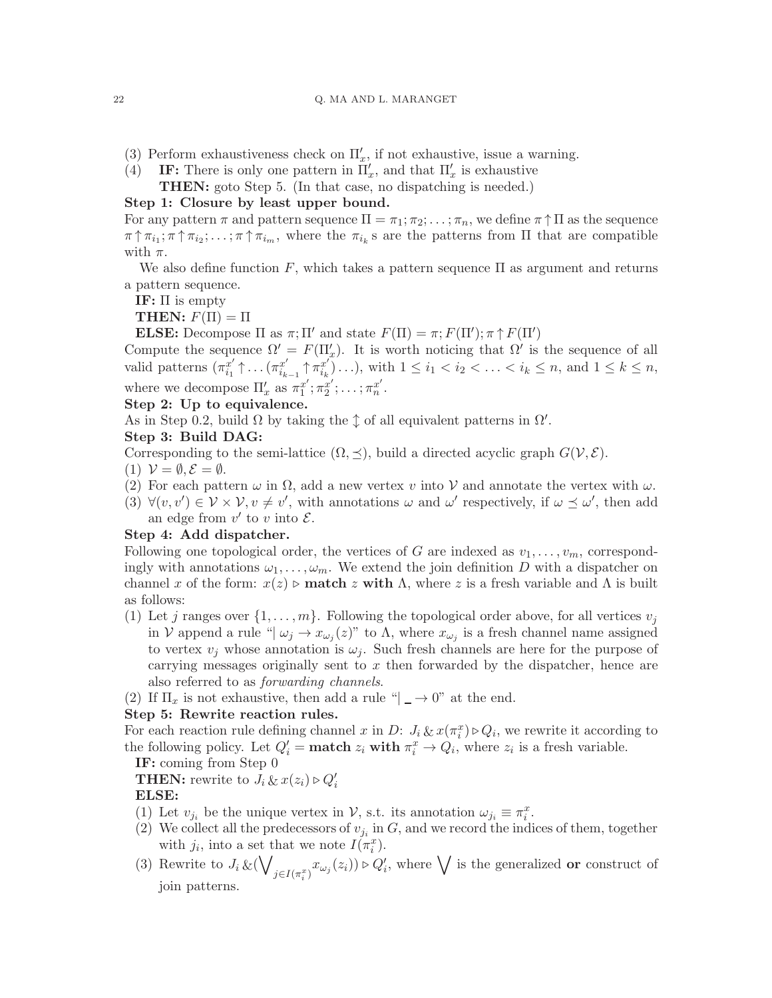- (3) Perform exhaustiveness check on  $\Pi'_x$ , if not exhaustive, issue a warning.
- (4) IF: There is only one pattern in  $\Pi'_x$ , and that  $\Pi'_x$  is exhaustive
- THEN: goto Step 5. (In that case, no dispatching is needed.)

# Step 1: Closure by least upper bound.

For any pattern  $\pi$  and pattern sequence  $\Pi = \pi_1; \pi_2; \ldots; \pi_n$ , we define  $\pi \uparrow \Pi$  as the sequence  $\pi \uparrow \pi_{i_1}; \pi \uparrow \pi_{i_2}; \ldots; \pi \uparrow \pi_{i_m}$ , where the  $\pi_{i_k}$  s are the patterns from  $\Pi$  that are compatible with  $\pi$ .

We also define function F, which takes a pattern sequence  $\Pi$  as argument and returns a pattern sequence.

IF:  $\Pi$  is empty

**THEN:**  $F(\Pi) = \Pi$ 

**ELSE:** Decompose  $\Pi$  as  $\pi$ ;  $\Pi'$  and state  $F(\Pi) = \pi$ ;  $F(\Pi')$ ;  $\pi \uparrow F(\Pi')$ 

Compute the sequence  $\Omega' = F(\Pi'_x)$ . It is worth noticing that  $\Omega'$  is the sequence of all valid patterns  $(\pi_{i_1}^{x'}$  $x'_{i_1} \uparrow \ldots (\pi^{x'}_{i_k})$  $x_{i_{k-1}}^{\prime} \uparrow \pi_{i_k}^{x^{\prime}}$  $\binom{x'}{i_k}$ ...), with  $1 \leq i_1 < i_2 < \ldots < i_k \leq n$ , and  $1 \leq k \leq n$ , where we decompose  $\Pi'_x$  as  $\pi_1^{x'}$  $x'_{1}; \pi_{2}^{x'}$  $x'_{2}; \ldots; \pi_{n}^{x'}.$ 

# Step 2: Up to equivalence.

As in Step 0.2, build  $\Omega$  by taking the  $\updownarrow$  of all equivalent patterns in  $\Omega'$ .

# Step 3: Build DAG:

Corresponding to the semi-lattice  $(\Omega, \preceq)$ , build a directed acyclic graph  $G(V, \mathcal{E})$ .

(1)  $\mathcal{V} = \emptyset, \mathcal{E} = \emptyset$ .

- (2) For each pattern  $\omega$  in  $\Omega$ , add a new vertex v into V and annotate the vertex with  $\omega$ .
- (3)  $\forall (v, v') \in \mathcal{V} \times \mathcal{V}, v \neq v'$ , with annotations  $\omega$  and  $\omega'$  respectively, if  $\omega \preceq \omega'$ , then add an edge from  $v'$  to v into  $\mathcal{E}$ .

#### Step 4: Add dispatcher.

Following one topological order, the vertices of G are indexed as  $v_1, \ldots, v_m$ , correspondingly with annotations  $\omega_1, \ldots, \omega_m$ . We extend the join definition D with a dispatcher on channel x of the form:  $x(z) \triangleright$  match z with  $\Lambda$ , where z is a fresh variable and  $\Lambda$  is built as follows:

- (1) Let j ranges over  $\{1, \ldots, m\}$ . Following the topological order above, for all vertices  $v_j$ in V append a rule " $\omega_j \to x_{\omega_j}(z)$ " to  $\Lambda$ , where  $x_{\omega_j}$  is a fresh channel name assigned to vertex  $v_i$  whose annotation is  $\omega_i$ . Such fresh channels are here for the purpose of carrying messages originally sent to  $x$  then forwarded by the dispatcher, hence are also referred to as forwarding channels.
- (2) If  $\Pi_x$  is not exhaustive, then add a rule " $\vert \rightarrow 0$ " at the end.

# Step 5: Rewrite reaction rules.

For each reaction rule defining channel x in D:  $J_i \& x(\pi_i^x) \triangleright Q_i$ , we rewrite it according to the following policy. Let  $Q'_i = \textbf{match} \ z_i \textbf{ with } \pi_i^x \to Q_i$ , where  $z_i$  is a fresh variable.

IF: coming from Step 0

**THEN:** rewrite to  $J_i \& x(z_i) \triangleright Q'_i$ 

#### ELSE:

- (1) Let  $v_{j_i}$  be the unique vertex in  $\mathcal{V}$ , s.t. its annotation  $\omega_{j_i} \equiv \pi_i^x$ .
- (2) We collect all the predecessors of  $v_{j_i}$  in G, and we record the indices of them, together with  $j_i$ , into a set that we note  $I(\pi_i^x)$ .
- (3) Rewrite to  $J_i \& \left(\bigvee$  $j\in I(\pi_i^x)$  $x_{\omega_j}(z_i)$   $\triangleright Q'_i$ , where  $\bigvee$  is the generalized **or** construct of join patterns.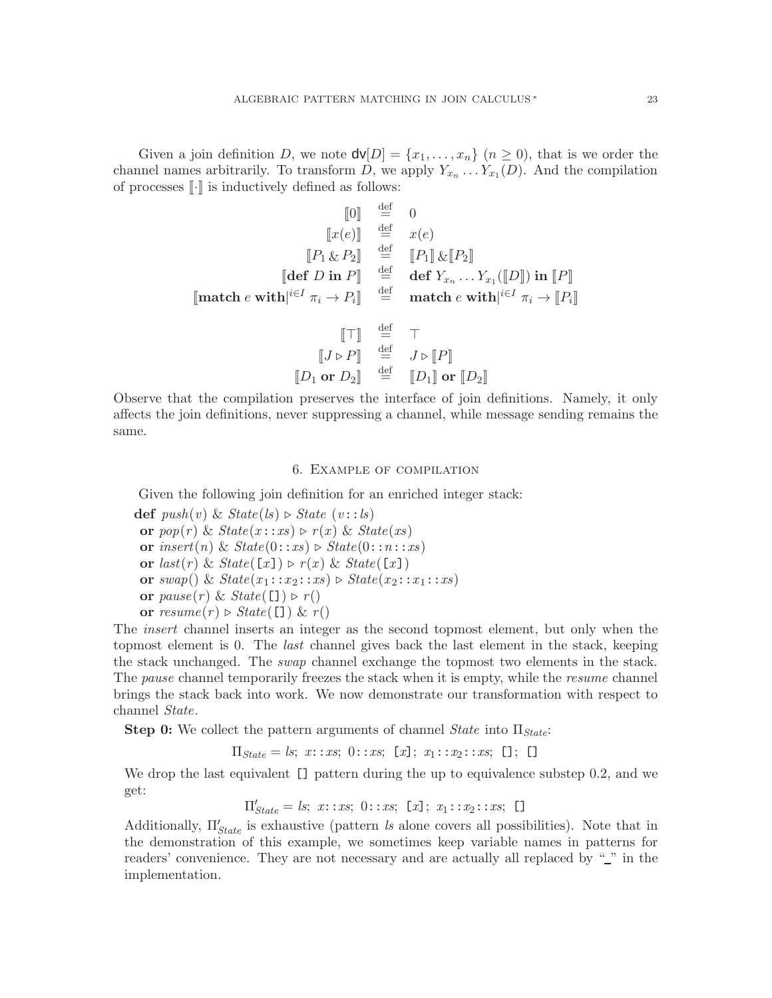Given a join definition D, we note  $d\mathbf{v}[D] = \{x_1, \ldots, x_n\}$   $(n \geq 0)$ , that is we order the channel names arbitrarily. To transform D, we apply  $Y_{x_n} \dots Y_{x_1}(D)$ . And the compilation of processes  $\lbrack \cdot \rbrack$  is inductively defined as follows:

$$
\begin{array}{rcl}\n\llbracket 0 \rrbracket & \stackrel{\text{def}}{=} & 0 \\
\llbracket x(e) \rrbracket & \stackrel{\text{def}}{=} & x(e) \\
\llbracket P_1 \& P_2 \rrbracket & \stackrel{\text{def}}{=} & \llbracket P_1 \rrbracket \& \llbracket P_2 \rrbracket \\
\llbracket \det D \text{ in } P \rrbracket & \stackrel{\text{def}}{=} & \det Y_{x_n} \dots Y_{x_1} (\llbracket D \rrbracket) \text{ in } \llbracket P \rrbracket \\
\llbracket \operatorname{match} e \text{ with} |^{i \in I} \pi_i \to P_i \rrbracket & \stackrel{\text{def}}{=} & \operatorname{match} e \text{ with} |^{i \in I} \pi_i \to \llbracket P_i \rrbracket \\
\llbracket J \triangleright P \rrbracket & \stackrel{\text{def}}{=} & J \triangleright \llbracket P \rrbracket \\
\llbracket D_1 \text{ or } D_2 \rrbracket & \stackrel{\text{def}}{=} & [D_1] \text{ or } [D_2]\n\end{array}
$$

<span id="page-22-0"></span>Observe that the compilation preserves the interface of join definitions. Namely, it only affects the join definitions, never suppressing a channel, while message sending remains the same.

# 6. Example of compilation

Given the following join definition for an enriched integer stack:

def  $push(v) \& State(ls) \triangleright State(v::ls)$ or pop(r) & State(x::xs) ⊳ r(x) & State(xs) or insert(n) & State(0::xs) ⊳ State(0::n::xs) or  $last(r) \& State([x]) \triangleright r(x) \& State([x])$ or swap() &  $State(x_1::x_2::xs) \triangleright State(x_2::x_1::xs)$ or pause(r) & State( $[1]$ ) ⊳ r() or  $resume(r) \triangleright State(\Box) \& r()$ 

The insert channel inserts an integer as the second topmost element, but only when the topmost element is 0. The last channel gives back the last element in the stack, keeping the stack unchanged. The swap channel exchange the topmost two elements in the stack. The pause channel temporarily freezes the stack when it is empty, while the *resume* channel brings the stack back into work. We now demonstrate our transformation with respect to channel State.

**Step 0:** We collect the pattern arguments of channel *State* into  $\Pi_{State}$ :

$$
\Pi_{State} = ls; x::xs; 0::xs; [x]; x_1::x_2::xs; [1; [1]
$$

We drop the last equivalent [] pattern during the up to equivalence substep 0.2, and we get:

 $\Pi'_{State} = ls; x:xs; 0:xs; [x]; x_1::x_2:xs; [1]$ 

Additionally,  $\Pi'_{State}$  is exhaustive (pattern ls alone covers all possibilities). Note that in the demonstration of this example, we sometimes keep variable names in patterns for readers' convenience. They are not necessary and are actually all replaced by "\_" in the implementation.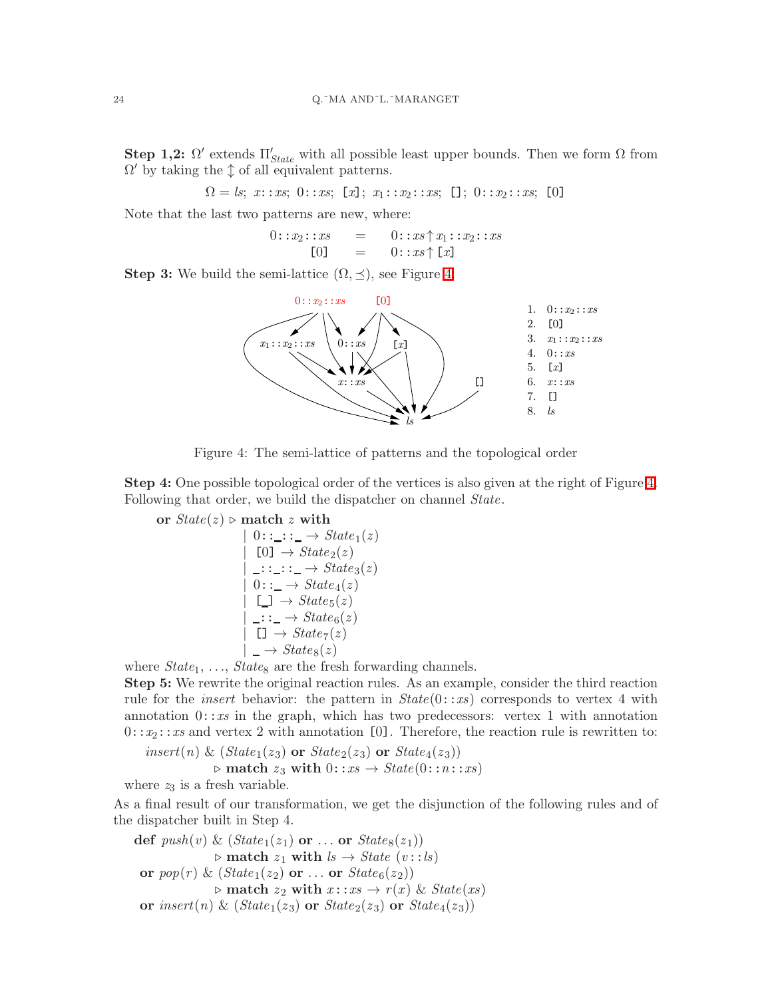Step 1,2:  $\Omega'$  extends  $\Pi'_{State}$  with all possible least upper bounds. Then we form  $\Omega$  from  $\Omega'$  by taking the  $\updownarrow$  of all equivalent patterns.

 $\Omega = ls; x::xs; 0::xs; [x]; x_1::x_2::xs; [], 0::x_2::xs; [0]$ 

Note that the last two patterns are new, where:

 $0::x_2::xs = 0::xs \uparrow x_1::x_2::xs$  $[0] = 0$ :: $xs \uparrow [x]$ 

**Step 3:** We build the semi-lattice  $(\Omega, \preceq)$ , see Figure [4.](#page-23-0)



<span id="page-23-0"></span>Figure 4: The semi-lattice of patterns and the topological order

Step 4: One possible topological order of the vertices is also given at the right of Figure [4.](#page-23-0) Following that order, we build the dispatcher on channel *State*.

or  $State(z)$  ⊳ match z with  $| 0: : \underline{\cdot}: : \underline{\cdot} \rightarrow State_1(z)$  $[0] \rightarrow State_2(z)$  $\bot : \bot : \bot \rightarrow State_3(z)$  $0:\underline{\cdot} \to State_4(z)$  $\Box \rightarrow State_5(z)$  $\Rightarrow State_6(z)$  $[] \rightarrow State_7(z)$  $\rightarrow$  State<sub>8</sub>(z)

where  $State_1, \ldots, State_8$  are the fresh forwarding channels.

Step 5: We rewrite the original reaction rules. As an example, consider the third reaction rule for the *insert* behavior: the pattern in  $State(0::xs)$  corresponds to vertex 4 with annotation  $0::xs$  in the graph, which has two predecessors: vertex 1 with annotation  $0:xy:xs$  and vertex 2 with annotation [0]. Therefore, the reaction rule is rewritten to:

insert(n) & (State<sub>1</sub>(z<sub>3</sub>) or State<sub>2</sub>(z<sub>3</sub>) or State<sub>4</sub>(z<sub>3</sub>))  $\triangleright$  match  $z_3$  with  $0::xs \rightarrow State(0::n::xs)$ where  $z_3$  is a fresh variable.

As a final result of our transformation, we get the disjunction of the following rules and of the dispatcher built in Step 4.

def  $push(v) \& (State_1(z_1)$  or ... or  $State_8(z_1))$  $\triangleright$  match  $z_1$  with  $ls \rightarrow State(v::ls)$ or  $pop(r) \& (State_1(z_2)$  or ... or  $State_6(z_2))$  $\triangleright$  match  $z_2$  with  $x::xs \rightarrow r(x) \& State(xs)$ or insert(n) & (State<sub>1</sub>(z<sub>3</sub>) or State<sub>2</sub>(z<sub>3</sub>) or State<sub>4</sub>(z<sub>3</sub>))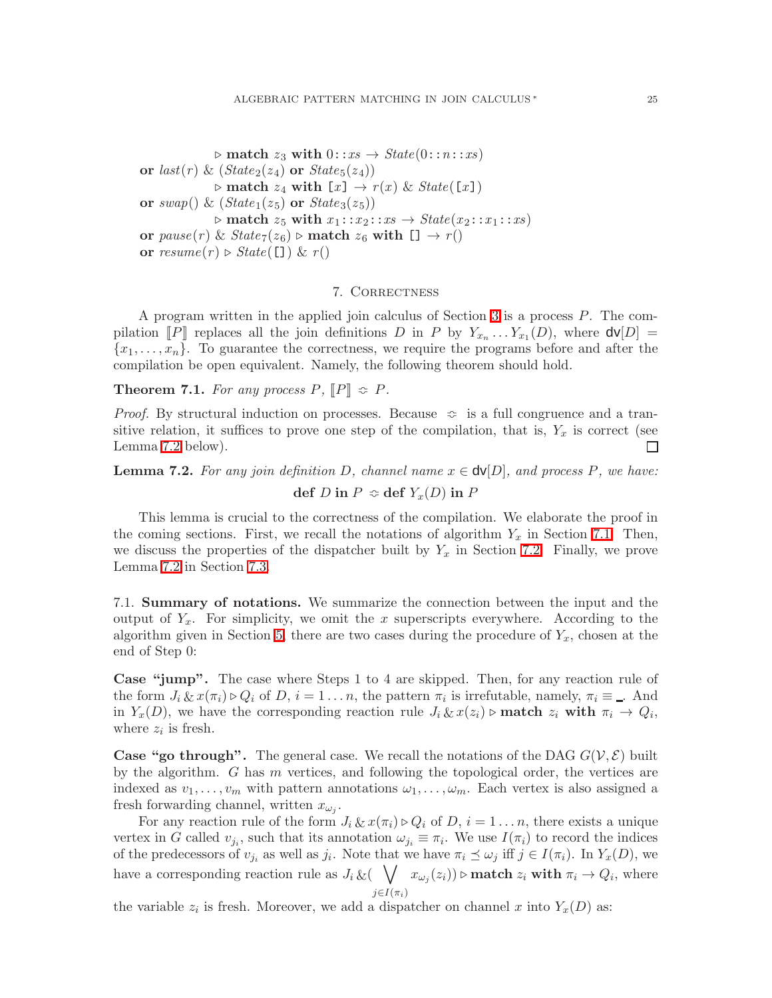$\triangleright$  match  $z_3$  with  $0::xs \rightarrow State(0::n::xs)$ or  $last(r) \& (State_2(z_4)$  or  $State_5(z_4))$  $\triangleright$  match  $z_4$  with  $[x] \rightarrow r(x) \&$  State([x]) or swap() &  $(State_1(z_5)$  or  $State_3(z_5))$  $\triangleright$  match  $z_5$  with  $x_1$ :: $x_2$ :: $xs \rightarrow State(x_2$ :: $x_1$ :: $xs)$ or pause(r) & State<sub>7</sub>( $z_6$ ) ⊳ match  $z_6$  with []  $\rightarrow r()$ or  $resume(r) \triangleright State(\Box) \& r()$ 

#### 7. Correctness

<span id="page-24-0"></span>A program written in the applied join calculus of Section [3](#page-4-0) is a process P. The compilation  $[P]$  replaces all the join definitions D in P by  $Y_{x_n} \dots Y_{x_1}(D)$ , where  $dV[D] =$  ${x_1, \ldots, x_n}$ . To guarantee the correctness, we require the programs before and after the compilation be open equivalent. Namely, the following theorem should hold.

Theorem 7.1. For any process P,  $\llbracket P \rrbracket \Rightarrow P$ .

*Proof.* By structural induction on processes. Because  $\approx$  is a full congruence and a transitive relation, it suffices to prove one step of the compilation, that is,  $Y_x$  is correct (see Lemma [7.2](#page-24-1) below). ⊔

<span id="page-24-1"></span>**Lemma 7.2.** For any join definition D, channel name  $x \in \text{dv}[D]$ , and process P, we have:

def D in  $P \cong$  def  $Y_x(D)$  in P

This lemma is crucial to the correctness of the compilation. We elaborate the proof in the coming sections. First, we recall the notations of algorithm  $Y_x$  in Section [7.1.](#page-24-2) Then, we discuss the properties of the dispatcher built by  $Y_x$  in Section [7.2.](#page-25-0) Finally, we prove Lemma [7.2](#page-24-1) in Section [7.3.](#page-25-1)

<span id="page-24-2"></span>7.1. Summary of notations. We summarize the connection between the input and the output of  $Y_x$ . For simplicity, we omit the x superscripts everywhere. According to the algorithm given in Section [5,](#page-20-0) there are two cases during the procedure of  $Y_x$ , chosen at the end of Step 0:

Case "jump". The case where Steps 1 to 4 are skipped. Then, for any reaction rule of the form  $J_i \& x(\pi_i) \triangleright Q_i$  of  $D, i = 1 \dots n$ , the pattern  $\pi_i$  is irrefutable, namely,  $\pi_i \equiv \_$ . And in  $Y_x(D)$ , we have the corresponding reaction rule  $J_i \& x(z_i) \triangleright \textbf{match}$   $z_i \textbf{ with } \pi_i \to Q_i$ , where  $z_i$  is fresh.

**Case "go through".** The general case. We recall the notations of the DAG  $G(\mathcal{V}, \mathcal{E})$  built by the algorithm. G has  $m$  vertices, and following the topological order, the vertices are indexed as  $v_1, \ldots, v_m$  with pattern annotations  $\omega_1, \ldots, \omega_m$ . Each vertex is also assigned a fresh forwarding channel, written  $x_{\omega_j}$ .

For any reaction rule of the form  $J_i \& x(\pi_i) \triangleright Q_i$  of  $D, i = 1 \dots n$ , there exists a unique vertex in G called  $v_{j_i}$ , such that its annotation  $\omega_{j_i} \equiv \pi_i$ . We use  $I(\pi_i)$  to record the indices of the predecessors of  $v_{j_i}$  as well as  $j_i$ . Note that we have  $\pi_i \preceq \omega_j$  iff  $j \in I(\pi_i)$ . In  $Y_x(D)$ , we have a corresponding reaction rule as  $J_i \& (\bigvee x_{\omega_j}(z_i)) \triangleright \textbf{match} \; z_i \textbf{ with } \pi_i \to Q_i, \text{ where }$  $j\in I(\pi_i)$ 

the variable  $z_i$  is fresh. Moreover, we add a dispatcher on channel x into  $Y_x(D)$  as: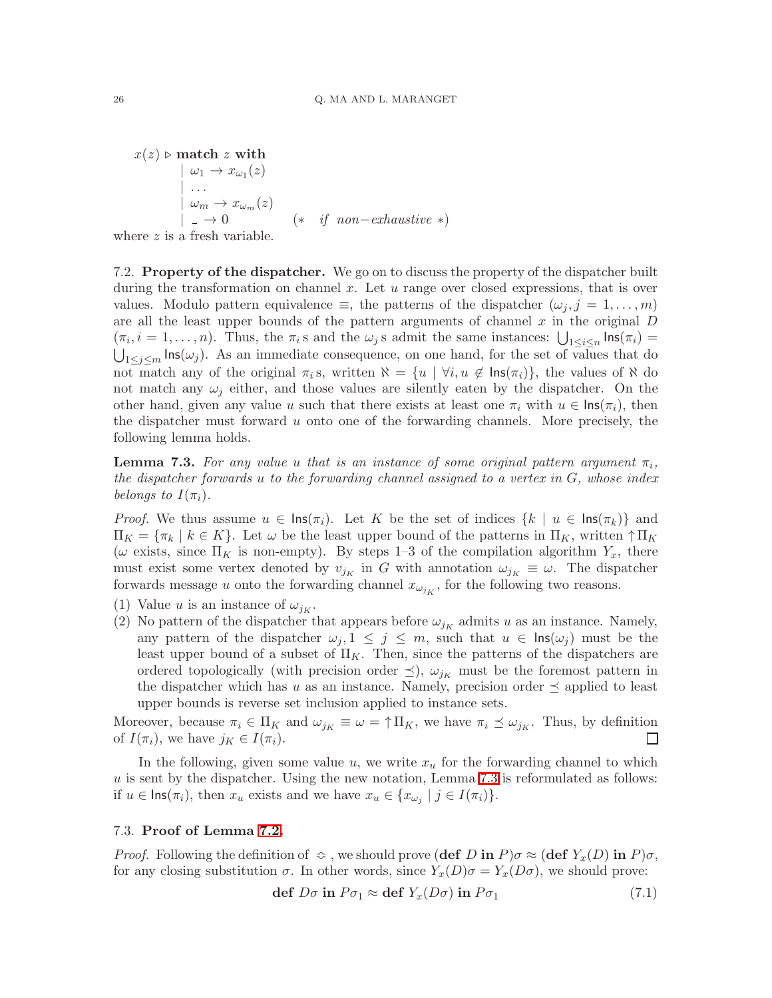$x(z) \triangleright$  match z with  $| \omega_1 \rightarrow x_{\omega_1}(z)$  $\vert \, \ldots$  $| \omega_m \to x_{\omega_m}(z)$  $\lim_{n \to \infty} \frac{1}{n}$  (\* if non-exhaustive \*) where z is a fresh variable.

<span id="page-25-0"></span>7.2. Property of the dispatcher. We go on to discuss the property of the dispatcher built

during the transformation on channel x. Let u range over closed expressions, that is over values. Modulo pattern equivalence  $\equiv$ , the patterns of the dispatcher  $(\omega_i, j = 1, \ldots, m)$ are all the least upper bounds of the pattern arguments of channel  $x$  in the original  $D$  $(\pi_i, i = 1, \ldots, n)$ . Thus, the  $\pi_i$ s and the  $\omega_j$ s admit the same instances:  $\bigcup_{1 \leq i \leq n} \overline{\mathsf{Ins}}(\pi_i) =$  $\bigcup_{1 \leq j \leq m}$  lns $(\omega_j)$ . As an immediate consequence, on one hand, for the set of values that do not match any of the original  $\pi_i$ s, written  $\aleph = \{u \mid \forall i, u \notin \textsf{Ins}(\pi_i)\}\$ , the values of  $\aleph$  do not match any  $\omega_i$  either, and those values are silently eaten by the dispatcher. On the other hand, given any value u such that there exists at least one  $\pi_i$  with  $u \in \text{Ins}(\pi_i)$ , then the dispatcher must forward  $u$  onto one of the forwarding channels. More precisely, the following lemma holds.

<span id="page-25-2"></span>**Lemma 7.3.** For any value u that is an instance of some original pattern argument  $\pi_i$ , the dispatcher forwards u to the forwarding channel assigned to a vertex in  $G$ , whose index belongs to  $I(\pi_i)$ .

*Proof.* We thus assume  $u \in \text{Ins}(\pi_i)$ . Let K be the set of indices  $\{k \mid u \in \text{Ins}(\pi_k)\}\$  and  $\Pi_K = {\pi_k \mid k \in K}$ . Let  $\omega$  be the least upper bound of the patterns in  $\Pi_K$ , written  $\uparrow \Pi_K$ ( $\omega$  exists, since  $\Pi_K$  is non-empty). By steps 1–3 of the compilation algorithm  $Y_x$ , there must exist some vertex denoted by  $v_{j_K}$  in G with annotation  $\omega_{j_K} \equiv \omega$ . The dispatcher forwards message u onto the forwarding channel  $x_{\omega_{j_K}}$ , for the following two reasons.

- (1) Value u is an instance of  $\omega_{j_K}$ .
- (2) No pattern of the dispatcher that appears before  $\omega_{jK}$  admits u as an instance. Namely, any pattern of the dispatcher  $\omega_j$ ,  $1 \leq j \leq m$ , such that  $u \in \text{Ins}(\omega_j)$  must be the least upper bound of a subset of  $\Pi_K$ . Then, since the patterns of the dispatchers are ordered topologically (with precision order  $\preceq$ ),  $\omega_{j_K}$  must be the foremost pattern in the dispatcher which has u as an instance. Namely, precision order  $\preceq$  applied to least upper bounds is reverse set inclusion applied to instance sets.

Moreover, because  $\pi_i \in \Pi_K$  and  $\omega_{j_K} \equiv \omega = \uparrow \Pi_K$ , we have  $\pi_i \preceq \omega_{j_K}$ . Thus, by definition of  $I(\pi_i)$ , we have  $j_K \in I(\pi_i)$ .  $\Box$ 

In the following, given some value  $u$ , we write  $x_u$  for the forwarding channel to which  $u$  is sent by the dispatcher. Using the new notation, Lemma [7.3](#page-25-2) is reformulated as follows: if  $u \in \text{Ins}(\pi_i)$ , then  $x_u$  exists and we have  $x_u \in \{x_{\omega_j} \mid j \in I(\pi_i)\}.$ 

#### <span id="page-25-1"></span>7.3. Proof of Lemma [7.2.](#page-24-1)

*Proof.* Following the definition of  $\Rightarrow$ , we should prove (def D in P) $\sigma \approx$  (def  $Y_x(D)$  in P) $\sigma$ , for any closing substitution  $\sigma$ . In other words, since  $Y_x(D)\sigma = Y_x(D\sigma)$ , we should prove:

<span id="page-25-3"></span>
$$
\text{def } D\sigma \text{ in } P\sigma_1 \approx \text{def } Y_x(D\sigma) \text{ in } P\sigma_1 \tag{7.1}
$$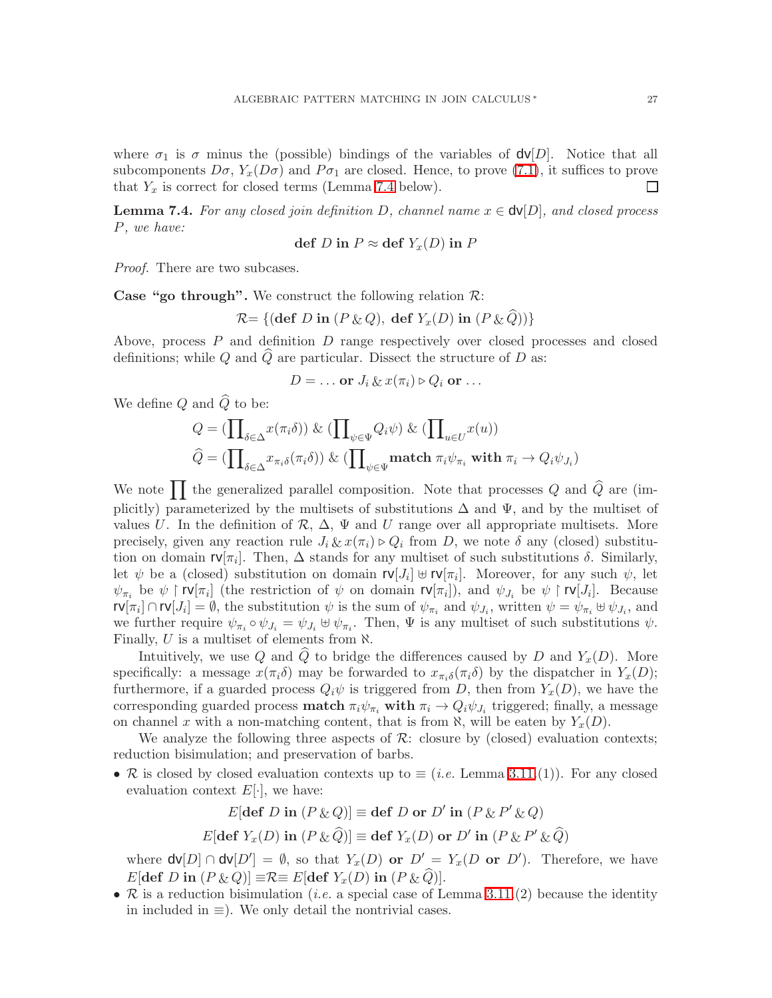where  $\sigma_1$  is  $\sigma$  minus the (possible) bindings of the variables of  $d\nu[D]$ . Notice that all subcomponents  $D\sigma$ ,  $Y_x(D\sigma)$  and  $P\sigma_1$  are closed. Hence, to prove [\(7.1\)](#page-25-3), it suffices to prove that  $Y_x$  is correct for closed terms (Lemma [7.4](#page-26-0) below).  $\Box$ 

<span id="page-26-0"></span>**Lemma 7.4.** For any closed join definition D, channel name  $x \in \text{dv}[D]$ , and closed process P, we have:

$$
\text{def } D \text{ in } P \approx \text{def } Y_x(D) \text{ in } P
$$

Proof. There are two subcases.

**Case "go through".** We construct the following relation  $\mathcal{R}$ :

$$
\mathcal{R} = \{ (\mathbf{def}\ D\ \mathbf{in}\ (P \ \&\ Q),\ \mathbf{def}\ Y_x(D)\ \mathbf{in}\ (P \ \&\ Q))\}
$$

Above, process  $P$  and definition  $D$  range respectively over closed processes and closed definitions; while  $Q$  and  $\widehat{Q}$  are particular. Dissect the structure of  $D$  as:

$$
D = \dots \text{ or } J_i \& x(\pi_i) \triangleright Q_i \text{ or } \dots
$$

We define Q and  $\widehat{Q}$  to be:

$$
\begin{aligned} Q &= (\prod\nolimits_{\delta \in \Delta} x(\pi_i \delta)) \ \& \ (\prod\nolimits_{\psi \in \Psi} Q_i \psi) \ \& \ (\prod\nolimits_{u \in U} x(u)) \\ \widehat{Q} &= (\prod\nolimits_{\delta \in \Delta} x_{\pi_i \delta}(\pi_i \delta)) \ \& \ (\prod\nolimits_{\psi \in \Psi} \textbf{match} \ \pi_i \psi_{\pi_i} \ \textbf{with} \ \pi_i \rightarrow Q_i \psi_{J_i}) \end{aligned}
$$

We note  $\prod$  the generalized parallel composition. Note that processes Q and  $\widehat{Q}$  are (implicitly) parameterized by the multisets of substitutions  $\Delta$  and  $\Psi$ , and by the multiset of values U. In the definition of  $\mathcal{R}, \Delta, \Psi$  and U range over all appropriate multisets. More precisely, given any reaction rule  $J_i \& x(\pi_i) \triangleright Q_i$  from D, we note  $\delta$  any (closed) substitution on domain  $\mathsf{rv}[\pi_i]$ . Then,  $\Delta$  stands for any multiset of such substitutions  $\delta$ . Similarly, let  $\psi$  be a (closed) substitution on domain  $\text{rv}[J_i] \uplus \text{rv}[\pi_i]$ . Moreover, for any such  $\psi$ , let  $\psi_{\pi_i}$  be  $\psi \restriction \mathsf{rv}[\pi_i]$  (the restriction of  $\psi$  on domain  $\mathsf{rv}[\pi_i]$ ), and  $\psi_{J_i}$  be  $\psi \restriction \mathsf{rv}[J_i]$ . Because  $\text{rv}[\pi_i] \cap \text{rv}[J_i] = \emptyset$ , the substitution  $\psi$  is the sum of  $\psi_{\pi_i}$  and  $\psi_{J_i}$ , written  $\psi = \psi_{\pi_i} \oplus \psi_{J_i}$ , and we further require  $\psi_{\pi_i} \circ \psi_{J_i} = \psi_{J_i} \uplus \psi_{\pi_i}$ . Then,  $\Psi$  is any multiset of such substitutions  $\psi$ . Finally,  $U$  is a multiset of elements from  $\aleph$ .

Intuitively, we use Q and Q to bridge the differences caused by D and  $Y_x(D)$ . More specifically: a message  $x(\pi_i\delta)$  may be forwarded to  $x_{\pi_i\delta}(\pi_i\delta)$  by the dispatcher in  $Y_x(D)$ ; furthermore, if a guarded process  $Q_i\psi$  is triggered from D, then from  $Y_x(D)$ , we have the corresponding guarded process **match**  $\pi_i \psi_{\pi_i}$  with  $\pi_i \to Q_i \psi_{J_i}$  triggered; finally, a message on channel x with a non-matching content, that is from  $\aleph$ , will be eaten by  $Y_x(D)$ .

We analyze the following three aspects of  $\mathcal{R}$ : closure by (closed) evaluation contexts; reduction bisimulation; and preservation of barbs.

• R is closed by closed evaluation contexts up to  $\equiv (i.e.$  Lemma [3.11.](#page-11-0)(1)). For any closed evaluation context  $E[\cdot]$ , we have:

$$
E[\text{def }D\text{ in }(P\&Q)] \equiv \text{def }D\text{ or }D'\text{ in }(P\&P'\&Q)
$$

$$
E[\text{def } Y_x(D) \text{ in } (P \& \widehat{Q})] \equiv \text{def } Y_x(D) \text{ or } D' \text{ in } (P \& P' \& \widehat{Q})
$$

where  $\mathsf{dv}[D] \cap \mathsf{dv}[D'] = \emptyset$ , so that  $Y_x(D)$  or  $D' = Y_x(D$  or  $D')$ . Therefore, we have E[def D in  $(P \& Q)$ ]  $\equiv \mathcal{R} \equiv E$ [def  $Y_x(D)$  in  $(P \& Q)$ ].

• R is a reduction bisimulation (*i.e.* a special case of Lemma [3.11.](#page-11-0)(2) because the identity in included in  $\equiv$ ). We only detail the nontrivial cases.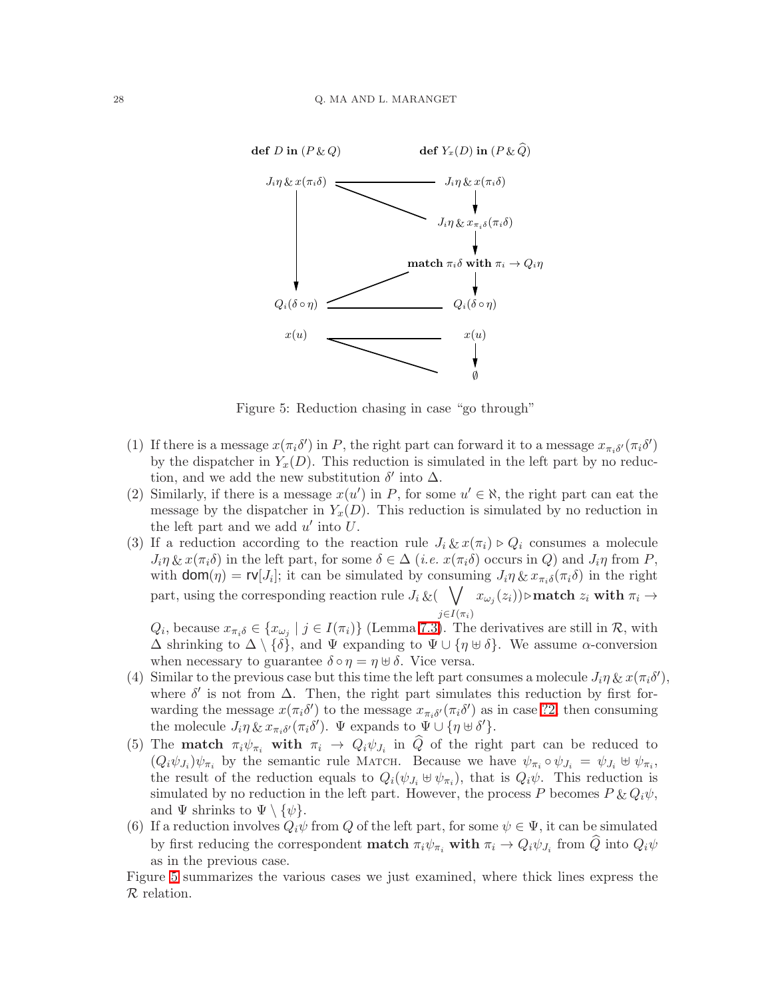

<span id="page-27-1"></span>Figure 5: Reduction chasing in case "go through"

- (1) If there is a message  $x(\pi_i \delta')$  in P, the right part can forward it to a message  $x_{\pi_i \delta'}(\pi_i \delta')$ by the dispatcher in  $Y_x(D)$ . This reduction is simulated in the left part by no reduction, and we add the new substitution  $\delta'$  into  $\Delta$ .
- <span id="page-27-0"></span>(2) Similarly, if there is a message  $x(u')$  in P, for some  $u' \in \aleph$ , the right part can eat the message by the dispatcher in  $Y_x(D)$ . This reduction is simulated by no reduction in the left part and we add  $u'$  into  $U$ .
- (3) If a reduction according to the reaction rule  $J_i \& x(\pi_i) \triangleright Q_i$  consumes a molecule  $J_i\eta \& x(\pi_i\delta)$  in the left part, for some  $\delta \in \Delta$  (*i.e.*  $x(\pi_i\delta)$  occurs in Q) and  $J_i\eta$  from P, with  $\text{dom}(\eta) = \text{rv}[J_i]$ ; it can be simulated by consuming  $J_i \eta \& x_{\pi_i \delta}(\pi_i \delta)$  in the right part, using the corresponding reaction rule  $J_i \& (\bigvee \quad x_{\omega_j}(z_i)) \triangleright \textbf{match} \ z_i \textbf{ with } \pi_i \rightarrow$  $j\in I(\pi_i)$

 $Q_i$ , because  $x_{\pi_i\delta} \in \{x_{\omega_j} \mid j \in I(\pi_i)\}\$  (Lemma [7.3\)](#page-25-2). The derivatives are still in  $\mathcal{R}$ , with  $\Delta$  shrinking to  $\Delta \setminus {\delta}$ , and  $\Psi$  expanding to  $\Psi \cup {\eta \oplus \delta}$ . We assume  $\alpha$ -conversion when necessary to guarantee  $\delta \circ \eta = \eta \oplus \delta$ . Vice versa.

- (4) Similar to the previous case but this time the left part consumes a molecule  $J_i \eta \& x(\pi_i \delta'),$ where  $\delta'$  is not from  $\Delta$ . Then, the right part simulates this reduction by first forwarding the message  $x(\pi_i \delta')$  to the message  $x_{\pi_i \delta'}(\pi_i \delta')$  as in case [?2,](#page-27-0) then consuming the molecule  $J_i \eta \& x_{\pi_i \delta'}(\pi_i \delta')$ .  $\Psi$  expands to  $\Psi \cup {\eta \oplus \delta'}$ .
- (5) The **match**  $\pi_i \psi_{\pi_i}$  with  $\pi_i \to Q_i \psi_{J_i}$  in Q of the right part can be reduced to  $(Q_i \psi_{J_i}) \psi_{\pi_i}$  by the semantic rule MATCH. Because we have  $\psi_{\pi_i} \circ \psi_{J_i} = \psi_{J_i} \oplus \psi_{\pi_i}$ , the result of the reduction equals to  $Q_i(\psi_{J_i} \oplus \psi_{\pi_i})$ , that is  $Q_i \psi$ . This reduction is simulated by no reduction in the left part. However, the process P becomes  $P \& Q_i \psi$ , and  $\Psi$  shrinks to  $\Psi \setminus {\psi}.$
- (6) If a reduction involves  $Q_i\psi$  from Q of the left part, for some  $\psi \in \Psi$ , it can be simulated by first reducing the correspondent **match**  $\pi_i \psi_{\pi_i}$  with  $\pi_i \to Q_i \psi_{J_i}$  from  $Q$  into  $Q_i \psi$ as in the previous case.

Figure [5](#page-27-1) summarizes the various cases we just examined, where thick lines express the R relation.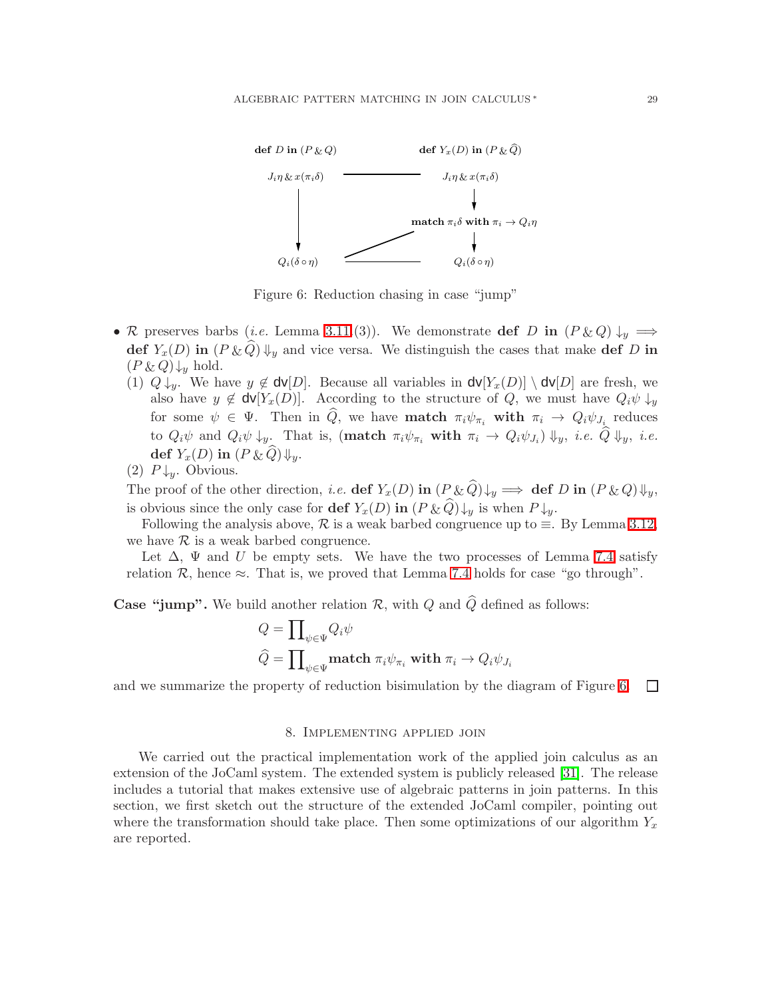

<span id="page-28-1"></span>Figure 6: Reduction chasing in case "jump"

- R preserves barbs (i.e. Lemma [3.11.](#page-11-0)(3)). We demonstrate def D in  $(P \& Q) \downarrow_y \implies$ def  $Y_x(D)$  in  $(P \& Q) \Downarrow_y$  and vice versa. We distinguish the cases that make def D in  $(P \& Q) \downarrow_y$  hold.
	- (1)  $Q \downarrow_{y}$ . We have  $y \notin dV[D]$ . Because all variables in  $dV[Y_x(D)] \setminus dV[D]$  are fresh, we also have  $y \notin \text{dv}[Y_x(D)]$ . According to the structure of Q, we must have  $Q_i\psi \downarrow_y$ for some  $\psi \in \Psi$ . Then in Q, we have **match**  $\pi_i \psi_{\pi_i}$  with  $\pi_i \to Q_i \psi_{J_i}$  reduces to  $Q_i\psi$  and  $Q_i\psi\downarrow_y$ . That is, (match  $\pi_i\psi_{\pi_i}$  with  $\pi_i \to Q_i\psi_{J_i}$ )  $\Downarrow_y$ , *i.e.*  $Q\Downarrow_y$ , *i.e.* def  $Y_x(D)$  in  $(P \& \hat{Q}) \Downarrow_y$ .
	- (2)  $P \downarrow_y$ . Obvious.

The proof of the other direction, *i.e.* def  $Y_x(D)$  in  $(P \& \hat{Q}) \downarrow_y \Longrightarrow$  def D in  $(P \& Q) \Downarrow_y$ , is obvious since the only case for def  $Y_x(D)$  in  $(P \& \hat{Q}) \downarrow_y$  is when  $P \downarrow_y$ .

Following the analysis above,  $\mathcal R$  is a weak barbed congruence up to  $\equiv$ . By Lemma [3.12,](#page-12-2) we have  $\mathcal R$  is a weak barbed congruence.

Let  $\Delta$ ,  $\Psi$  and U be empty sets. We have the two processes of Lemma [7.4](#page-26-0) satisfy relation  $\mathcal{R}$ , hence  $\approx$ . That is, we proved that Lemma [7.4](#page-26-0) holds for case "go through".

**Case "jump".** We build another relation  $\mathcal{R}$ , with  $Q$  and  $\widehat{Q}$  defined as follows:

$$
\begin{aligned} Q &= \prod_{\psi \in \Psi} Q_i \psi \\ \widehat{Q} &= \prod_{\psi \in \Psi} \text{match} \; \pi_i \psi_{\pi_i} \; \text{with} \; \pi_i \rightarrow Q_i \psi_{J_i} \end{aligned}
$$

<span id="page-28-0"></span>and we summarize the property of reduction bisimulation by the diagram of Figure [6.](#page-28-1)  $\Box$ 

#### 8. Implementing applied join

We carried out the practical implementation work of the applied join calculus as an extension of the JoCaml system. The extended system is publicly released [\[31\]](#page-40-8). The release includes a tutorial that makes extensive use of algebraic patterns in join patterns. In this section, we first sketch out the structure of the extended JoCaml compiler, pointing out where the transformation should take place. Then some optimizations of our algorithm  $Y_x$ are reported.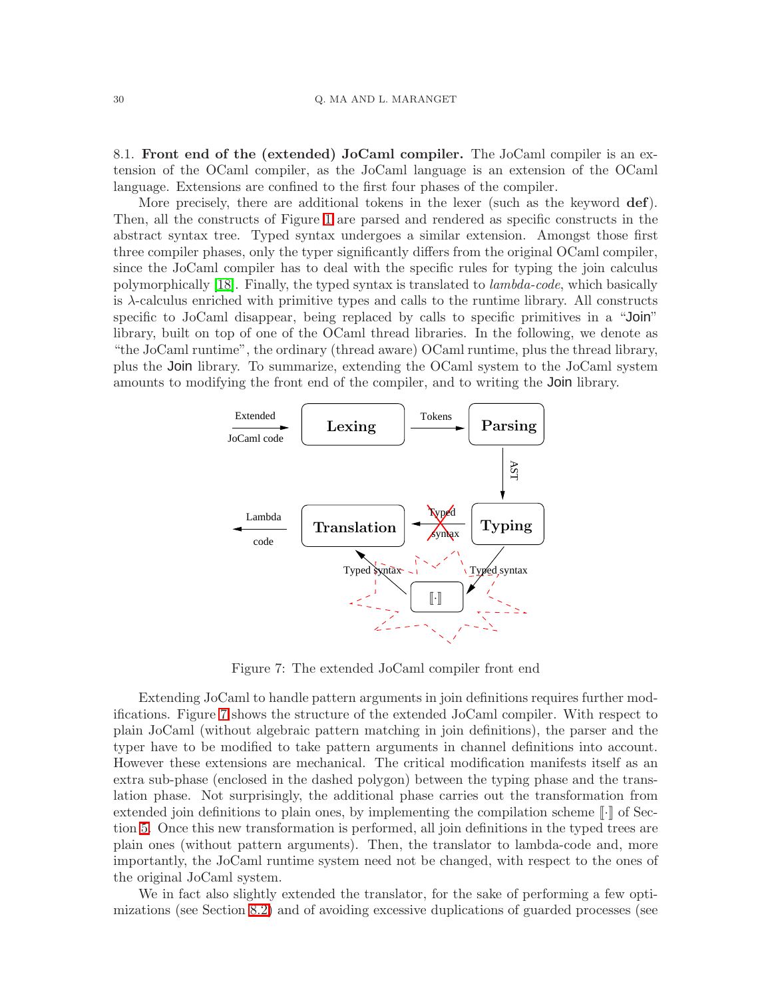8.1. Front end of the (extended) JoCaml compiler. The JoCaml compiler is an extension of the OCaml compiler, as the JoCaml language is an extension of the OCaml language. Extensions are confined to the first four phases of the compiler.

More precisely, there are additional tokens in the lexer (such as the keyword def). Then, all the constructs of Figure [1](#page-5-0) are parsed and rendered as specific constructs in the abstract syntax tree. Typed syntax undergoes a similar extension. Amongst those first three compiler phases, only the typer significantly differs from the original OCaml compiler, since the JoCaml compiler has to deal with the specific rules for typing the join calculus polymorphically [\[18\]](#page-39-4). Finally, the typed syntax is translated to lambda-code, which basically is  $\lambda$ -calculus enriched with primitive types and calls to the runtime library. All constructs specific to JoCaml disappear, being replaced by calls to specific primitives in a "Join" library, built on top of one of the OCaml thread libraries. In the following, we denote as "the JoCaml runtime", the ordinary (thread aware) OCaml runtime, plus the thread library, plus the Join library. To summarize, extending the OCaml system to the JoCaml system amounts to modifying the front end of the compiler, and to writing the **Join** library.



<span id="page-29-0"></span>Figure 7: The extended JoCaml compiler front end

Extending JoCaml to handle pattern arguments in join definitions requires further modifications. Figure [7](#page-29-0) shows the structure of the extended JoCaml compiler. With respect to plain JoCaml (without algebraic pattern matching in join definitions), the parser and the typer have to be modified to take pattern arguments in channel definitions into account. However these extensions are mechanical. The critical modification manifests itself as an extra sub-phase (enclosed in the dashed polygon) between the typing phase and the translation phase. Not surprisingly, the additional phase carries out the transformation from extended join definitions to plain ones, by implementing the compilation scheme  $\llbracket \cdot \rrbracket$  of Section [5.](#page-20-0) Once this new transformation is performed, all join definitions in the typed trees are plain ones (without pattern arguments). Then, the translator to lambda-code and, more importantly, the JoCaml runtime system need not be changed, with respect to the ones of the original JoCaml system.

We in fact also slightly extended the translator, for the sake of performing a few optimizations (see Section [8.2\)](#page-30-0) and of avoiding excessive duplications of guarded processes (see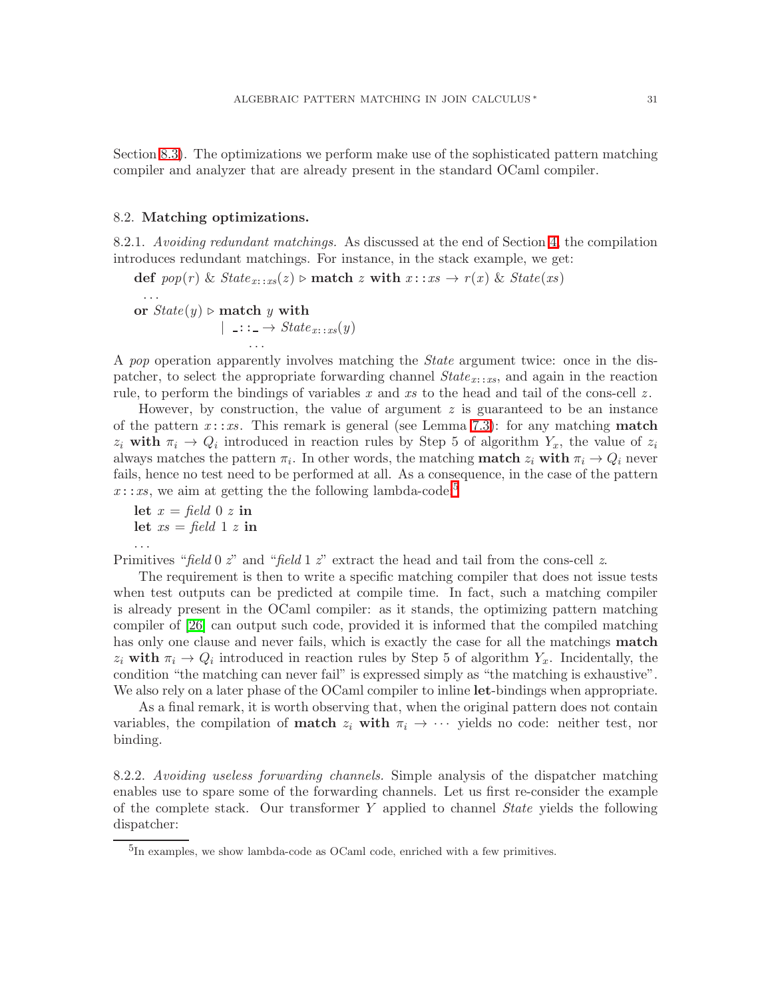Section [8.3\)](#page-32-0). The optimizations we perform make use of the sophisticated pattern matching compiler and analyzer that are already present in the standard OCaml compiler.

### <span id="page-30-0"></span>8.2. Matching optimizations.

8.2.1. Avoiding redundant matchings. As discussed at the end of Section [4,](#page-18-0) the compilation introduces redundant matchings. For instance, in the stack example, we get:

def pop(r) &  $State_{x::xs}(z)$  ⊳ match z with  $x::xs \rightarrow r(x)$  &  $State(xs)$ 

. . . or  $State(y) \triangleright \textbf{match}$  y with  $|\quad \cdots \rightarrow State_{x::xs}(y)$ . . .

A pop operation apparently involves matching the *State* argument twice: once in the dispatcher, to select the appropriate forwarding channel  $State_{x::xs}$ , and again in the reaction rule, to perform the bindings of variables x and xs to the head and tail of the cons-cell  $z$ .

However, by construction, the value of argument  $z$  is guaranteed to be an instance of the pattern  $x:xs.$  This remark is general (see Lemma [7.3\)](#page-25-2): for any matching **match**  $z_i$  with  $\pi_i \to Q_i$  introduced in reaction rules by Step 5 of algorithm  $Y_x$ , the value of  $z_i$ always matches the pattern  $\pi_i$ . In other words, the matching **match**  $z_i$  with  $\pi_i \to Q_i$  never fails, hence no test need to be performed at all. As a consequence, in the case of the pattern  $x::xs$ , we aim at getting the the following lambda-code:<sup>[5](#page-30-1)</sup>

let  $x = \text{field } 0 \text{ z in}$ let  $xs = field 1 z$  in . . .

Primitives "field 0  $z$ " and "field 1  $z$ " extract the head and tail from the cons-cell  $z$ .

The requirement is then to write a specific matching compiler that does not issue tests when test outputs can be predicted at compile time. In fact, such a matching compiler is already present in the OCaml compiler: as it stands, the optimizing pattern matching compiler of [\[26\]](#page-39-3) can output such code, provided it is informed that the compiled matching has only one clause and never fails, which is exactly the case for all the matchings **match**  $z_i$  with  $\pi_i \to Q_i$  introduced in reaction rules by Step 5 of algorithm  $Y_x$ . Incidentally, the condition "the matching can never fail" is expressed simply as "the matching is exhaustive". We also rely on a later phase of the OCaml compiler to inline **let**-bindings when appropriate.

As a final remark, it is worth observing that, when the original pattern does not contain variables, the compilation of **match**  $z_i$  with  $\pi_i \to \cdots$  yields no code: neither test, nor binding.

8.2.2. Avoiding useless forwarding channels. Simple analysis of the dispatcher matching enables use to spare some of the forwarding channels. Let us first re-consider the example of the complete stack. Our transformer Y applied to channel State yields the following dispatcher:

<span id="page-30-1"></span><sup>5</sup> In examples, we show lambda-code as OCaml code, enriched with a few primitives.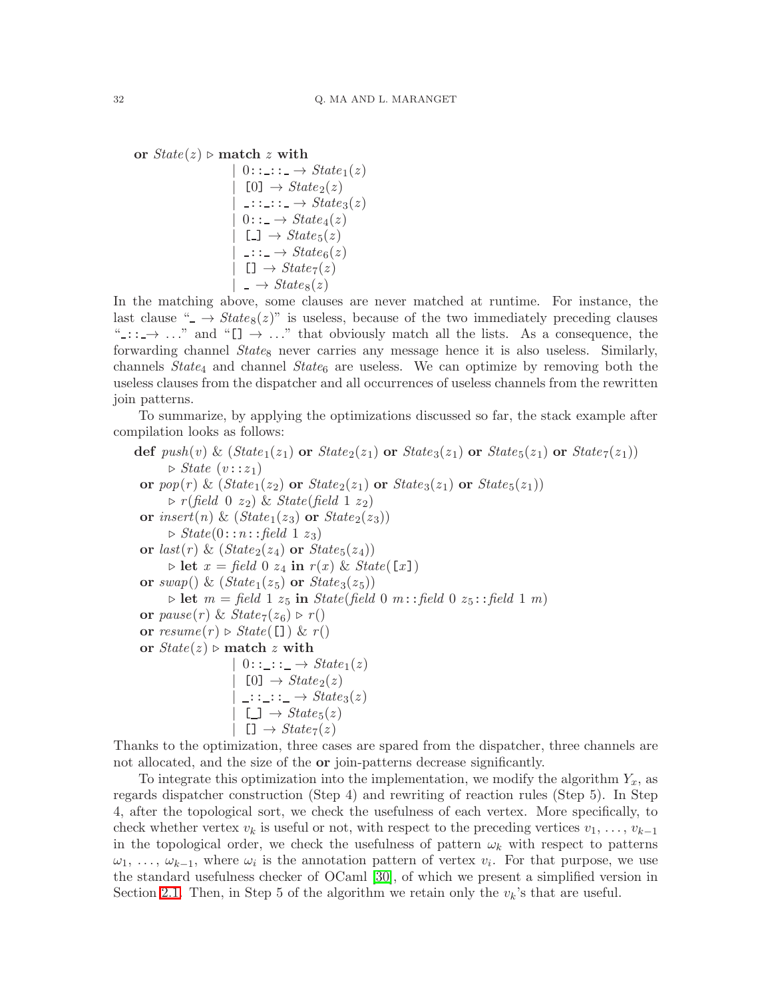$$
\begin{array}{c} \textbf{or}~\textit{State}(z) \triangleright \textbf{match}~z~\textbf{with}\\ |~0::\ldots: \_ \rightarrow \textit{State}_1(z)\\ |~\textbf{[0]} \rightarrow \textit{State}_2(z)\\ |~\ldots: \ldots \rightarrow \textit{State}_3(z)\\ |~0::\_\rightarrow \textit{State}_4(z)\\ |~\textbf{[1]} \rightarrow \textit{State}_5(z)\\ |~\ldots \rightarrow \textit{State}_6(z)\\ |~\textbf{[1]} \rightarrow \textit{State}_7(z)\\ |~\ldots \rightarrow \textit{State}_7(z)\\ |~\ldots \rightarrow \textit{State}_8(z)\\ \end{array}
$$

In the matching above, some clauses are never matched at runtime. For instance, the last clause " $\rightarrow State_8(z)$ " is useless, because of the two immediately preceding clauses " $: : \rightarrow \dots$ " and "[]  $\rightarrow \dots$ " that obviously match all the lists. As a consequence, the forwarding channel  $State_8$  never carries any message hence it is also useless. Similarly, channels  $State_4$  and channel  $State_6$  are useless. We can optimize by removing both the useless clauses from the dispatcher and all occurrences of useless channels from the rewritten join patterns.

To summarize, by applying the optimizations discussed so far, the stack example after compilation looks as follows:

def push(v) & (State<sub>1</sub>(z<sub>1</sub>) or State<sub>2</sub>(z<sub>1</sub>) or State<sub>3</sub>(z<sub>1</sub>) or State<sub>5</sub>(z<sub>1</sub>) or State<sub>7</sub>(z<sub>1</sub>))  $\triangleright$  State  $(v::z_1)$ or pop(r) &  $(State_1(z_2)$  or  $State_2(z_1)$  or  $State_3(z_1)$  or  $State_5(z_1))$  $\triangleright$  r(field 0 z<sub>2</sub>) & State(field 1 z<sub>2</sub>) or insert(n) & ( $State_1(z_3)$  or  $State_2(z_3)$ )  $\triangleright$  State(0::n::field 1  $z_3$ ) or last(r) & (State<sub>2</sub>( $z_4$ ) or State<sub>5</sub>( $z_4$ ))  $\rhd$  let  $x = \text{field } 0 \ z_4$  in  $r(x) \ \& \ \text{State}(\llbracket x \rrbracket)$ or swap() &  $(State_1(z_5)$  or  $State_3(z_5))$  $\triangleright$  let  $m = \text{field} 1 z_5$  in  $State(\text{field} 0 m:: \text{field} 0 z_5:: \text{field} 1 m)$ or pause(r) & State<sub>7</sub>( $z_6$ ) ⊳ r() or  $resume(r) \triangleright State(\Box) \& r()$ or  $State(z) \triangleright \text{match } z \text{ with}$  $| 0 \cdots \cdots \cdots \rightarrow State_1(z)|$  $\vert$  [0]  $\rightarrow$  State<sub>2</sub>(*z*)  $|\;\_\colon : \_\colon : \_\to \mathit{State}_3(z)$  $\Box \rightarrow State_5(z)$  $\Box \rightarrow State_7(z)$ 

Thanks to the optimization, three cases are spared from the dispatcher, three channels are not allocated, and the size of the or join-patterns decrease significantly.

To integrate this optimization into the implementation, we modify the algorithm  $Y_x$ , as regards dispatcher construction (Step 4) and rewriting of reaction rules (Step 5). In Step 4, after the topological sort, we check the usefulness of each vertex. More specifically, to check whether vertex  $v_k$  is useful or not, with respect to the preceding vertices  $v_1, \ldots, v_{k-1}$ in the topological order, we check the usefulness of pattern  $\omega_k$  with respect to patterns  $\omega_1, \ldots, \omega_{k-1}$ , where  $\omega_i$  is the annotation pattern of vertex  $v_i$ . For that purpose, we use the standard usefulness checker of OCaml [\[30\]](#page-40-3), of which we present a simplified version in Section [2.1.](#page-2-2) Then, in Step 5 of the algorithm we retain only the  $v_k$ 's that are useful.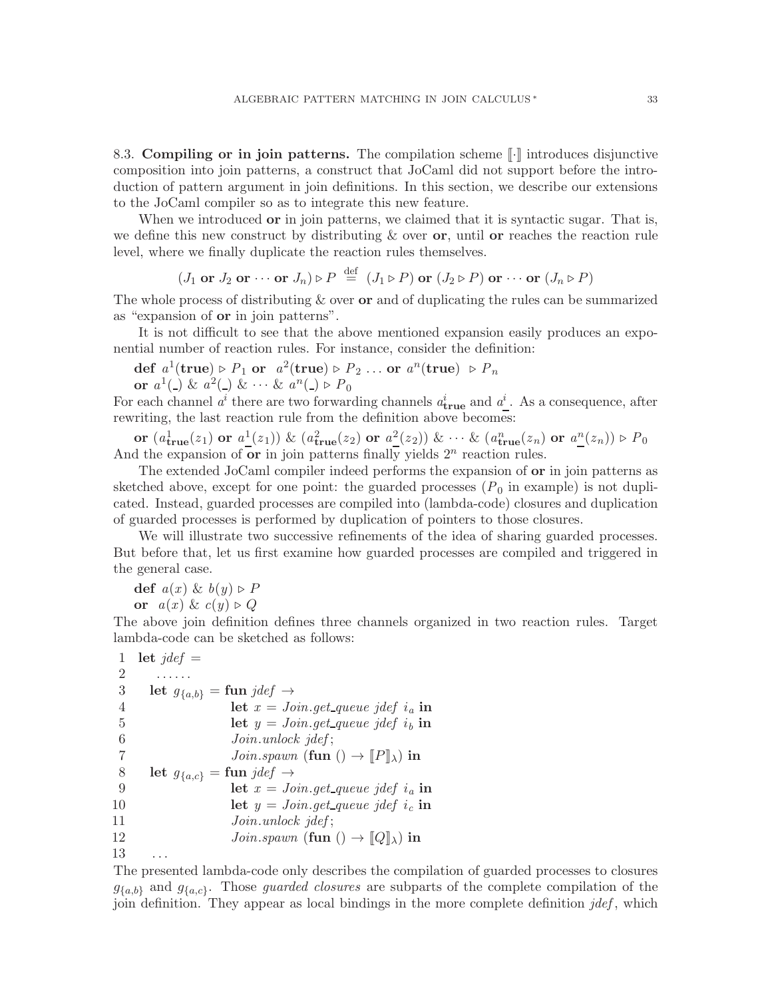<span id="page-32-0"></span>8.3. Compiling or in join patterns. The compilation scheme  $\|\cdot\|$  introduces disjunctive composition into join patterns, a construct that JoCaml did not support before the introduction of pattern argument in join definitions. In this section, we describe our extensions to the JoCaml compiler so as to integrate this new feature.

When we introduced **or** in join patterns, we claimed that it is syntactic sugar. That is, we define this new construct by distributing  $\&$  over  $\mathbf{or}$ , until  $\mathbf{or}$  reaches the reaction rule level, where we finally duplicate the reaction rules themselves.

$$
(J_1 \text{ or } J_2 \text{ or } \cdots \text{ or } J_n) \triangleright P \stackrel{\text{def}}{=} (J_1 \triangleright P) \text{ or } (J_2 \triangleright P) \text{ or } \cdots \text{ or } (J_n \triangleright P)
$$

The whole process of distributing  $\&$  over or and of duplicating the rules can be summarized as "expansion of or in join patterns".

It is not difficult to see that the above mentioned expansion easily produces an exponential number of reaction rules. For instance, consider the definition:

def  $a^1$ (true) ⊳  $P_1$  or  $a^2$ (true) ⊳  $P_2$  ... or  $a^n$ (true) ⊳  $P_n$ 

or  $a^1($ ) &  $a^2($ ) &  $\cdots$  &  $a^n($ )  $\triangleright P_0$ 

For each channel  $a^i$  there are two forwarding channels  $a^i_{\text{true}}$  and  $a^i$ . As a consequence, after rewriting, the last reaction rule from the definition above becomes:

or  $(a^1_{\mathbf{true}}(z_1)$  or  $a^1_-(z_1))$  &  $(a^2_{\mathbf{true}}(z_2)$  or  $a^2_-(z_2))$  &  $\cdots$  &  $(a^n_{\mathbf{true}}(z_n)$  or  $a^n_-(z_n)) \triangleright P_0$ And the expansion of  $\overline{\text{or}}$  in join patterns finally yields  $2^n$  reaction rules.

The extended JoCaml compiler indeed performs the expansion of or in join patterns as sketched above, except for one point: the guarded processes  $(P_0$  in example) is not duplicated. Instead, guarded processes are compiled into (lambda-code) closures and duplication of guarded processes is performed by duplication of pointers to those closures.

We will illustrate two successive refinements of the idea of sharing guarded processes. But before that, let us first examine how guarded processes are compiled and triggered in the general case.

def  $a(x) \& b(y) \triangleright P$ 

or  $a(x) \& c(y) \triangleright Q$ 

The above join definition defines three channels organized in two reaction rules. Target lambda-code can be sketched as follows:

```
1 let jdef =2 . . . . . .
 3 let g_{\{a,b\}} = \text{fun } jdef \rightarrow<br>4 let x = Jolet x = Join.get\_queue jdef i_a in
 5 let y = Join.get\_queue jdef i_b in
 6 Join.unlock jdef;
 7 Join.spawn (fun () \rightarrow [P]\rightarrow) in
8 let g_{\{a,c\}} = \text{fun } jdef \rightarrow<br>9 let x = Jolet x = Join.get\_queue jdef i_a in
10 let y = Join.get\_queue jdef i_c in
11 Join.unlock jdef;
12 Join.\,spam\ (fun\ () \rightarrow ||Q||_{\lambda}) in
13
```
The presented lambda-code only describes the compilation of guarded processes to closures  $g_{\{a,b\}}$  and  $g_{\{a,c\}}$ . Those *guarded closures* are subparts of the complete compilation of the join definition. They appear as local bindings in the more complete definition  $\hat{\mathit{qdef}}$ , which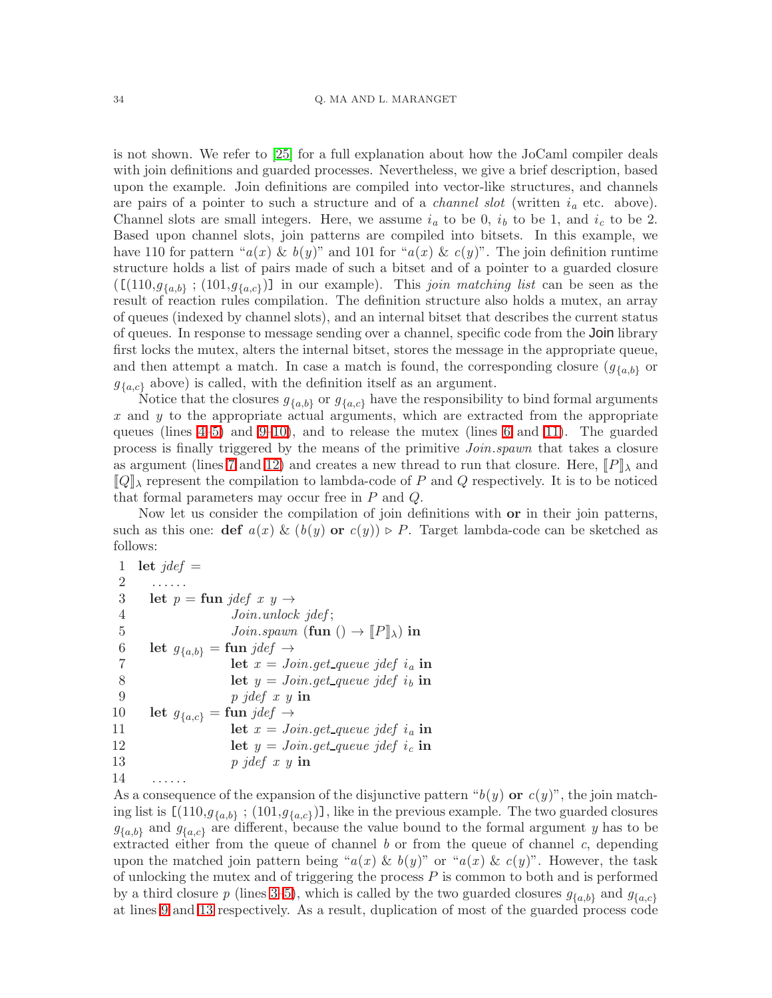is not shown. We refer to [\[25\]](#page-39-8) for a full explanation about how the JoCaml compiler deals with join definitions and guarded processes. Nevertheless, we give a brief description, based upon the example. Join definitions are compiled into vector-like structures, and channels are pairs of a pointer to such a structure and of a *channel slot* (written  $i_a$  etc. above). Channel slots are small integers. Here, we assume  $i_a$  to be 0,  $i_b$  to be 1, and  $i_c$  to be 2. Based upon channel slots, join patterns are compiled into bitsets. In this example, we have 110 for pattern "a(x) & b(y)" and 101 for "a(x) & c(y)". The join definition runtime structure holds a list of pairs made of such a bitset and of a pointer to a guarded closure  $([110, g_{a,b}] ; (101, g_{a,c})]$  in our example). This join matching list can be seen as the result of reaction rules compilation. The definition structure also holds a mutex, an array of queues (indexed by channel slots), and an internal bitset that describes the current status of queues. In response to message sending over a channel, specific code from the Join library first locks the mutex, alters the internal bitset, stores the message in the appropriate queue, and then attempt a match. In case a match is found, the corresponding closure  $(g_{a,b}$  or  $g_{\{a,c\}}$  above) is called, with the definition itself as an argument.

Notice that the closures  $g_{\{a,b\}}$  or  $g_{\{a,c\}}$  have the responsibility to bind formal arguments  $x$  and  $y$  to the appropriate actual arguments, which are extracted from the appropriate queues (lines  $4-5$ ) and  $9-10$ ), and to release the mutex (lines [6](#page-32-1) and [11\)](#page-32-1). The guarded process is finally triggered by the means of the primitive Join.spawn that takes a closure as argument (lines [7](#page-32-1) and [12\)](#page-32-1) and creates a new thread to run that closure. Here,  $\|P\|_{\lambda}$  and  $\llbracket Q \rrbracket$  represent the compilation to lambda-code of P and Q respectively. It is to be noticed that formal parameters may occur free in  $P$  and  $Q$ .

Now let us consider the compilation of join definitions with or in their join patterns, such as this one: def  $a(x) \& (b(y) \text{ or } c(y)) \triangleright P$ . Target lambda-code can be sketched as follows:

<span id="page-33-0"></span>1 let jdef  $=$ 2 . . . . . . 3 let  $p = \text{fun}$  jdef  $x, y \rightarrow$ 4 *Join.unlock jdef*; 5  $Join.\,spam\ (fun\ () \rightarrow [P]_{\lambda})\ in$ 6 let  $g_{\{a,b\}} = \text{fun } jdef \rightarrow$ <br>7 let  $x = Jc$ let  $x = Join.get\_queue$  jdef  $i_a$  in 8 let  $y = Join.get_queue_jdef \,i_h$  in 9  $p \cdot \text{y} \cdot \text{y} \cdot \text{y} \cdot \text{y}$ 10 let  $g_{\{a,c\}} = \textbf{fun} \text{~~jdef} \rightarrow$ 11 **let**  $x = Join.get\_queue~jdef~i_a$  in 12 **let**  $y = Join.get\_queue~jdef~i_c$  in 13 p jdef x y in 14 . . . . . .

As a consequence of the expansion of the disjunctive pattern " $b(y)$  or  $c(y)$ ", the join matching list is  $[(110, g_{a,b}] ; (101, g_{a,c})]$ , like in the previous example. The two guarded closures  $g_{\{a,b\}}$  and  $g_{\{a,c\}}$  are different, because the value bound to the formal argument y has to be extracted either from the queue of channel  $b$  or from the queue of channel  $c$ , depending upon the matched join pattern being "a(x) &  $b(y)$ " or "a(x) &  $c(y)$ ". However, the task of unlocking the mutex and of triggering the process  $P$  is common to both and is performed by a third closure p (lines [3–5\)](#page-33-0), which is called by the two guarded closures  $g_{\{a,b\}}$  and  $g_{\{a,c\}}$ at lines [9](#page-33-0) and [13](#page-33-0) respectively. As a result, duplication of most of the guarded process code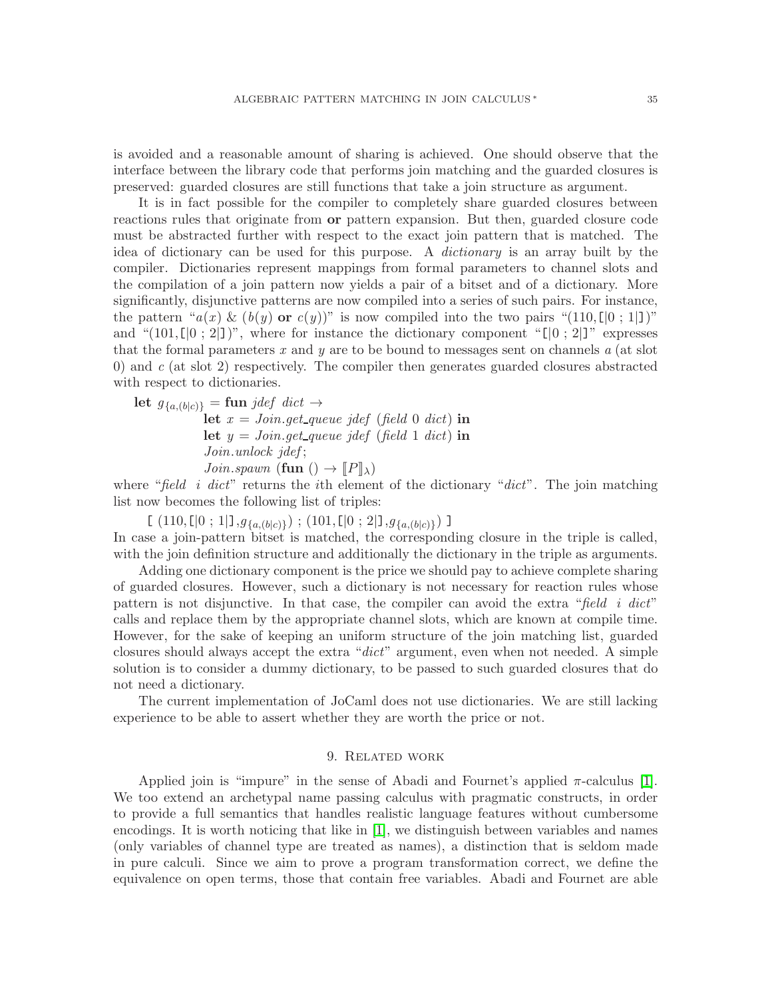is avoided and a reasonable amount of sharing is achieved. One should observe that the interface between the library code that performs join matching and the guarded closures is preserved: guarded closures are still functions that take a join structure as argument.

It is in fact possible for the compiler to completely share guarded closures between reactions rules that originate from or pattern expansion. But then, guarded closure code must be abstracted further with respect to the exact join pattern that is matched. The idea of dictionary can be used for this purpose. A dictionary is an array built by the compiler. Dictionaries represent mappings from formal parameters to channel slots and the compilation of a join pattern now yields a pair of a bitset and of a dictionary. More significantly, disjunctive patterns are now compiled into a series of such pairs. For instance, the pattern " $a(x) \& (b(y) \text{ or } c(y))$ " is now compiled into the two pairs " $(110, [0; 1]$ " and " $(101, [0; 2])$ ", where for instance the dictionary component " $[0; 2]$ " expresses that the formal parameters x and y are to be bound to messages sent on channels  $\alpha$  (at slot 0) and  $c$  (at slot 2) respectively. The compiler then generates guarded closures abstracted with respect to dictionaries.

let  $g_{\{a,(b|c)\}} = \textbf{fun}$  jdef dict  $\rightarrow$ let  $x = Join.get\_queue$  jdef (field 0 dict) in let  $y = Join.get_queue$  jdef (field 1 dict) in Join.unlock jdef ;  $Join.\text{spam } (\textbf{fun }() \rightarrow \llbracket P \rrbracket_{\lambda})$ 

where "field i dict" returns the ith element of the dictionary "dict". The join matching list now becomes the following list of triples:

 $[ (110, [0; 1] \, , g_{a,(b|c)} ) ; (101, [0; 2] \, , g_{a,(b|c)} ) ]$ In case a join-pattern bitset is matched, the corresponding closure in the triple is called, with the join definition structure and additionally the dictionary in the triple as arguments.

Adding one dictionary component is the price we should pay to achieve complete sharing of guarded closures. However, such a dictionary is not necessary for reaction rules whose pattern is not disjunctive. In that case, the compiler can avoid the extra "field i dict" calls and replace them by the appropriate channel slots, which are known at compile time. However, for the sake of keeping an uniform structure of the join matching list, guarded closures should always accept the extra "dict" argument, even when not needed. A simple solution is to consider a dummy dictionary, to be passed to such guarded closures that do not need a dictionary.

The current implementation of JoCaml does not use dictionaries. We are still lacking experience to be able to assert whether they are worth the price or not.

# 9. Related work

Applied join is "impure" in the sense of Abadi and Fournet's applied  $\pi$ -calculus [\[1\]](#page-38-0). We too extend an archetypal name passing calculus with pragmatic constructs, in order to provide a full semantics that handles realistic language features without cumbersome encodings. It is worth noticing that like in [\[1\]](#page-38-0), we distinguish between variables and names (only variables of channel type are treated as names), a distinction that is seldom made in pure calculi. Since we aim to prove a program transformation correct, we define the equivalence on open terms, those that contain free variables. Abadi and Fournet are able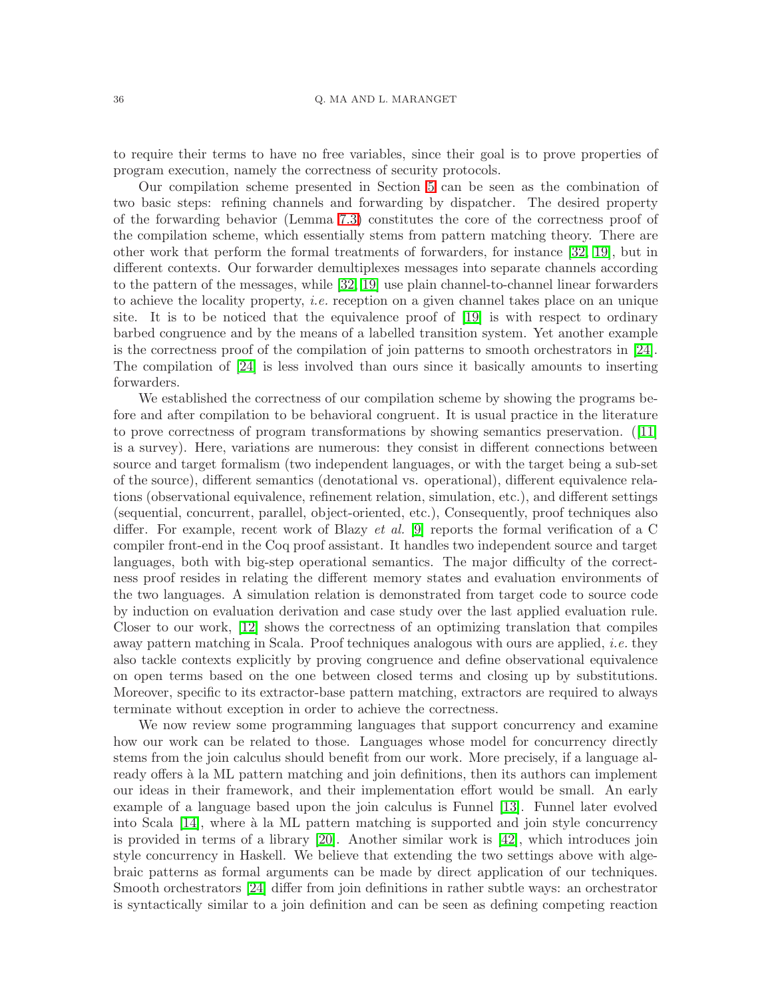to require their terms to have no free variables, since their goal is to prove properties of program execution, namely the correctness of security protocols.

Our compilation scheme presented in Section [5](#page-20-0) can be seen as the combination of two basic steps: refining channels and forwarding by dispatcher. The desired property of the forwarding behavior (Lemma [7.3\)](#page-25-2) constitutes the core of the correctness proof of the compilation scheme, which essentially stems from pattern matching theory. There are other work that perform the formal treatments of forwarders, for instance [\[32,](#page-40-9) [19\]](#page-39-9), but in different contexts. Our forwarder demultiplexes messages into separate channels according to the pattern of the messages, while [\[32,](#page-40-9) [19\]](#page-39-9) use plain channel-to-channel linear forwarders to achieve the locality property, i.e. reception on a given channel takes place on an unique site. It is to be noticed that the equivalence proof of [\[19\]](#page-39-9) is with respect to ordinary barbed congruence and by the means of a labelled transition system. Yet another example is the correctness proof of the compilation of join patterns to smooth orchestrators in [\[24\]](#page-39-10). The compilation of [\[24\]](#page-39-10) is less involved than ours since it basically amounts to inserting forwarders.

We established the correctness of our compilation scheme by showing the programs before and after compilation to be behavioral congruent. It is usual practice in the literature to prove correctness of program transformations by showing semantics preservation. ([\[11\]](#page-39-11) is a survey). Here, variations are numerous: they consist in different connections between source and target formalism (two independent languages, or with the target being a sub-set of the source), different semantics (denotational vs. operational), different equivalence relations (observational equivalence, refinement relation, simulation, etc.), and different settings (sequential, concurrent, parallel, object-oriented, etc.), Consequently, proof techniques also differ. For example, recent work of Blazy *et al.* [\[9\]](#page-39-12) reports the formal verification of a C compiler front-end in the Coq proof assistant. It handles two independent source and target languages, both with big-step operational semantics. The major difficulty of the correctness proof resides in relating the different memory states and evaluation environments of the two languages. A simulation relation is demonstrated from target code to source code by induction on evaluation derivation and case study over the last applied evaluation rule. Closer to our work, [\[12\]](#page-39-13) shows the correctness of an optimizing translation that compiles away pattern matching in Scala. Proof techniques analogous with ours are applied, *i.e.* they also tackle contexts explicitly by proving congruence and define observational equivalence on open terms based on the one between closed terms and closing up by substitutions. Moreover, specific to its extractor-base pattern matching, extractors are required to always terminate without exception in order to achieve the correctness.

We now review some programming languages that support concurrency and examine how our work can be related to those. Languages whose model for concurrency directly stems from the join calculus should benefit from our work. More precisely, if a language already offers à la ML pattern matching and join definitions, then its authors can implement our ideas in their framework, and their implementation effort would be small. An early example of a language based upon the join calculus is Funnel [\[13\]](#page-39-14). Funnel later evolved into Scala [\[14\]](#page-39-15), where à la ML pattern matching is supported and join style concurrency is provided in terms of a library [\[20\]](#page-39-16). Another similar work is [\[42\]](#page-40-10), which introduces join style concurrency in Haskell. We believe that extending the two settings above with algebraic patterns as formal arguments can be made by direct application of our techniques. Smooth orchestrators [\[24\]](#page-39-10) differ from join definitions in rather subtle ways: an orchestrator is syntactically similar to a join definition and can be seen as defining competing reaction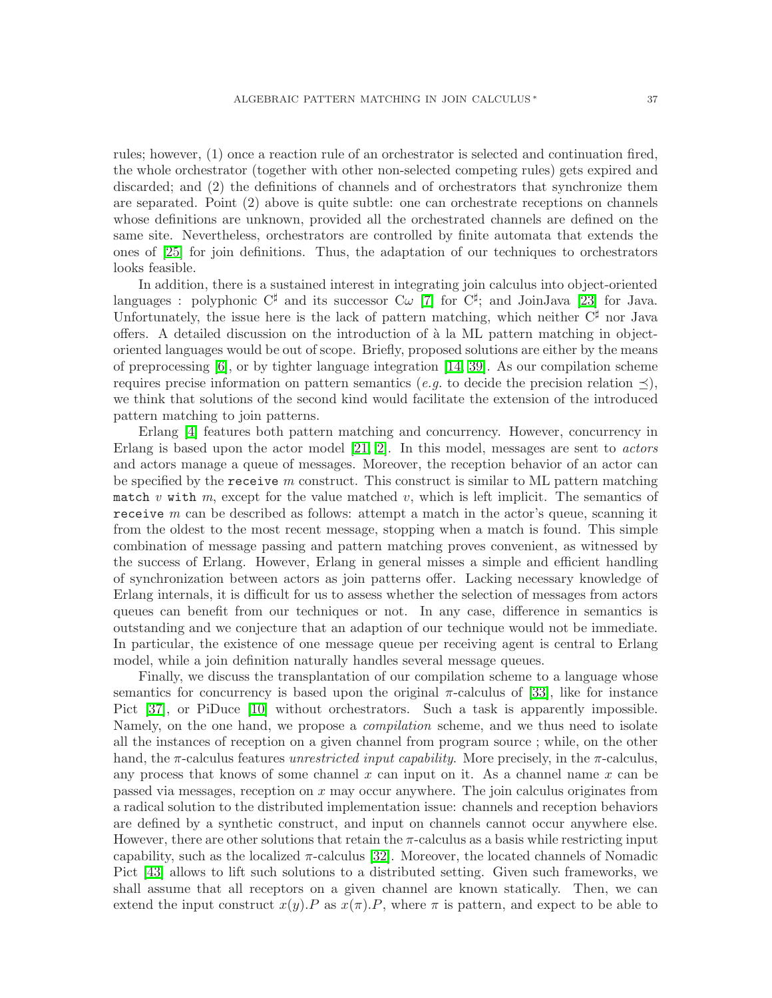rules; however, (1) once a reaction rule of an orchestrator is selected and continuation fired, the whole orchestrator (together with other non-selected competing rules) gets expired and discarded; and (2) the definitions of channels and of orchestrators that synchronize them are separated. Point (2) above is quite subtle: one can orchestrate receptions on channels whose definitions are unknown, provided all the orchestrated channels are defined on the same site. Nevertheless, orchestrators are controlled by finite automata that extends the ones of [\[25\]](#page-39-8) for join definitions. Thus, the adaptation of our techniques to orchestrators looks feasible.

In addition, there is a sustained interest in integrating join calculus into object-oriented languages : polyphonic  $C^{\sharp}$  and its successor  $C\omega$  [\[7\]](#page-39-2) for  $C^{\sharp}$ ; and JoinJava [\[23\]](#page-39-17) for Java. Unfortunately, the issue here is the lack of pattern matching, which neither  $C^{\sharp}$  nor Java offers. A detailed discussion on the introduction of à la ML pattern matching in objectoriented languages would be out of scope. Briefly, proposed solutions are either by the means of preprocessing  $[6]$ , or by tighter language integration  $[14, 39]$  $[14, 39]$ . As our compilation scheme requires precise information on pattern semantics (e.g. to decide the precision relation  $\prec$ ), we think that solutions of the second kind would facilitate the extension of the introduced pattern matching to join patterns.

Erlang [\[4\]](#page-38-2) features both pattern matching and concurrency. However, concurrency in Erlang is based upon the actor model  $[21, 2]$  $[21, 2]$ . In this model, messages are sent to *actors* and actors manage a queue of messages. Moreover, the reception behavior of an actor can be specified by the receive  $m$  construct. This construct is similar to ML pattern matching match v with m, except for the value matched v, which is left implicit. The semantics of receive  $m$  can be described as follows: attempt a match in the actor's queue, scanning it from the oldest to the most recent message, stopping when a match is found. This simple combination of message passing and pattern matching proves convenient, as witnessed by the success of Erlang. However, Erlang in general misses a simple and efficient handling of synchronization between actors as join patterns offer. Lacking necessary knowledge of Erlang internals, it is difficult for us to assess whether the selection of messages from actors queues can benefit from our techniques or not. In any case, difference in semantics is outstanding and we conjecture that an adaption of our technique would not be immediate. In particular, the existence of one message queue per receiving agent is central to Erlang model, while a join definition naturally handles several message queues.

Finally, we discuss the transplantation of our compilation scheme to a language whose semantics for concurrency is based upon the original  $\pi$ -calculus of [\[33\]](#page-40-0), like for instance Pict [\[37\]](#page-40-12), or PiDuce [\[10\]](#page-39-20) without orchestrators. Such a task is apparently impossible. Namely, on the one hand, we propose a *compilation* scheme, and we thus need to isolate all the instances of reception on a given channel from program source ; while, on the other hand, the  $\pi$ -calculus features unrestricted input capability. More precisely, in the  $\pi$ -calculus, any process that knows of some channel x can input on it. As a channel name  $x$  can be passed via messages, reception on  $x$  may occur anywhere. The join calculus originates from a radical solution to the distributed implementation issue: channels and reception behaviors are defined by a synthetic construct, and input on channels cannot occur anywhere else. However, there are other solutions that retain the  $\pi$ -calculus as a basis while restricting input capability, such as the localized  $\pi$ -calculus [\[32\]](#page-40-9). Moreover, the located channels of Nomadic Pict [\[43\]](#page-40-13) allows to lift such solutions to a distributed setting. Given such frameworks, we shall assume that all receptors on a given channel are known statically. Then, we can extend the input construct  $x(y)$ . P as  $x(\pi)$ . P, where  $\pi$  is pattern, and expect to be able to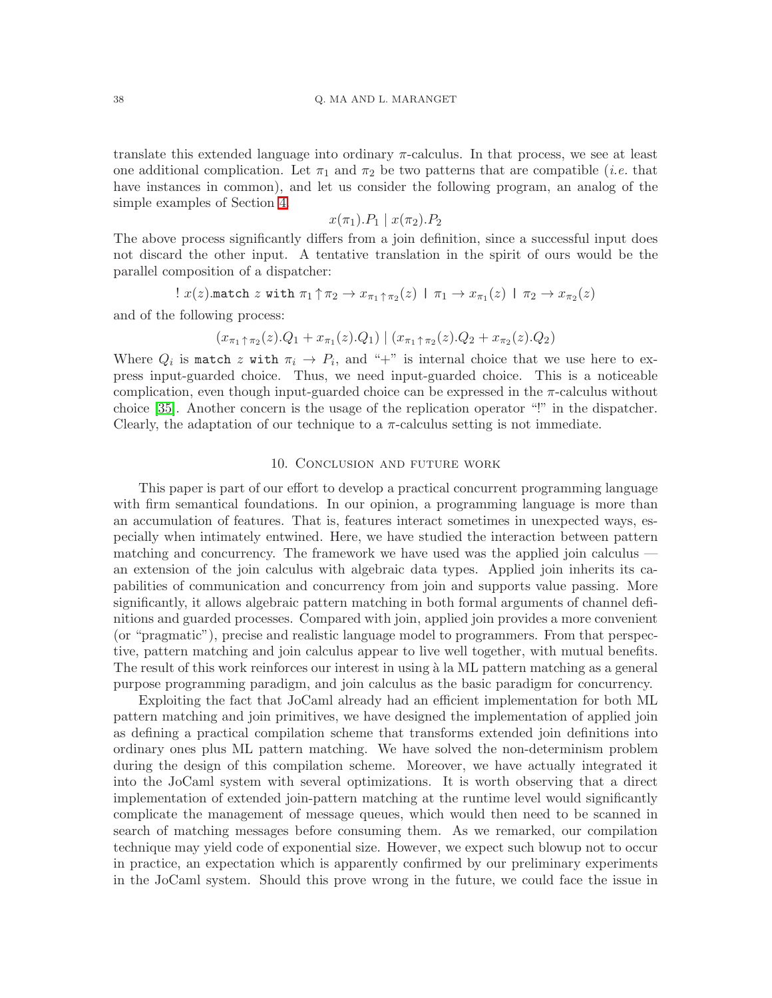translate this extended language into ordinary  $\pi$ -calculus. In that process, we see at least one additional complication. Let  $\pi_1$  and  $\pi_2$  be two patterns that are compatible (*i.e.* that have instances in common), and let us consider the following program, an analog of the simple examples of Section [4.](#page-18-0)

$$
x(\pi_1).P_1 \mid x(\pi_2).P_2
$$

The above process significantly differs from a join definition, since a successful input does not discard the other input. A tentative translation in the spirit of ours would be the parallel composition of a dispatcher:

$$
\exists x(z) \text{.match } z \text{ with } \pi_1 \uparrow \pi_2 \to x_{\pi_1 \uparrow \pi_2}(z) \perp \pi_1 \to x_{\pi_1}(z) \perp \pi_2 \to x_{\pi_2}(z)
$$

and of the following process:

$$
(x_{\pi_1 \uparrow \pi_2}(z).Q_1 + x_{\pi_1}(z).Q_1) \mid (x_{\pi_1 \uparrow \pi_2}(z).Q_2 + x_{\pi_2}(z).Q_2)
$$

Where  $Q_i$  is match z with  $\pi_i \to P_i$ , and "+" is internal choice that we use here to express input-guarded choice. Thus, we need input-guarded choice. This is a noticeable complication, even though input-guarded choice can be expressed in the  $\pi$ -calculus without choice [\[35\]](#page-40-14). Another concern is the usage of the replication operator "!" in the dispatcher. Clearly, the adaptation of our technique to a  $\pi$ -calculus setting is not immediate.

# 10. Conclusion and future work

This paper is part of our effort to develop a practical concurrent programming language with firm semantical foundations. In our opinion, a programming language is more than an accumulation of features. That is, features interact sometimes in unexpected ways, especially when intimately entwined. Here, we have studied the interaction between pattern matching and concurrency. The framework we have used was the applied join calculus an extension of the join calculus with algebraic data types. Applied join inherits its capabilities of communication and concurrency from join and supports value passing. More significantly, it allows algebraic pattern matching in both formal arguments of channel definitions and guarded processes. Compared with join, applied join provides a more convenient (or "pragmatic"), precise and realistic language model to programmers. From that perspective, pattern matching and join calculus appear to live well together, with mutual benefits. The result of this work reinforces our interest in using à la ML pattern matching as a general purpose programming paradigm, and join calculus as the basic paradigm for concurrency.

Exploiting the fact that JoCaml already had an efficient implementation for both ML pattern matching and join primitives, we have designed the implementation of applied join as defining a practical compilation scheme that transforms extended join definitions into ordinary ones plus ML pattern matching. We have solved the non-determinism problem during the design of this compilation scheme. Moreover, we have actually integrated it into the JoCaml system with several optimizations. It is worth observing that a direct implementation of extended join-pattern matching at the runtime level would significantly complicate the management of message queues, which would then need to be scanned in search of matching messages before consuming them. As we remarked, our compilation technique may yield code of exponential size. However, we expect such blowup not to occur in practice, an expectation which is apparently confirmed by our preliminary experiments in the JoCaml system. Should this prove wrong in the future, we could face the issue in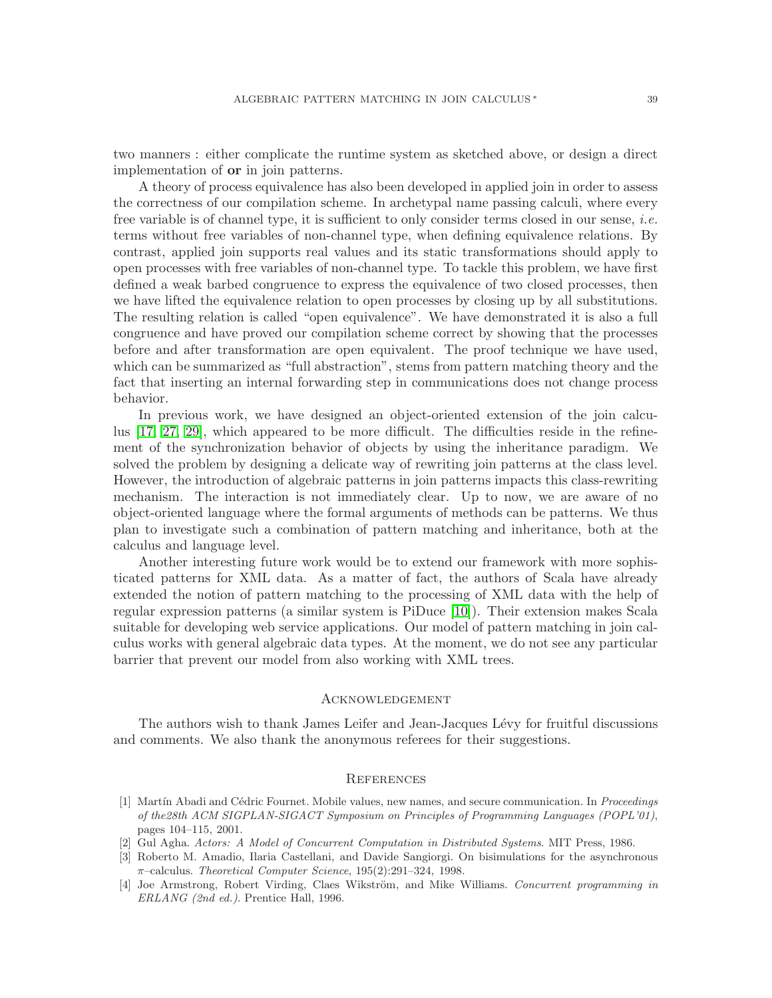two manners : either complicate the runtime system as sketched above, or design a direct implementation of or in join patterns.

A theory of process equivalence has also been developed in applied join in order to assess the correctness of our compilation scheme. In archetypal name passing calculi, where every free variable is of channel type, it is sufficient to only consider terms closed in our sense, *i.e.* terms without free variables of non-channel type, when defining equivalence relations. By contrast, applied join supports real values and its static transformations should apply to open processes with free variables of non-channel type. To tackle this problem, we have first defined a weak barbed congruence to express the equivalence of two closed processes, then we have lifted the equivalence relation to open processes by closing up by all substitutions. The resulting relation is called "open equivalence". We have demonstrated it is also a full congruence and have proved our compilation scheme correct by showing that the processes before and after transformation are open equivalent. The proof technique we have used, which can be summarized as "full abstraction", stems from pattern matching theory and the fact that inserting an internal forwarding step in communications does not change process behavior.

In previous work, we have designed an object-oriented extension of the join calculus [\[17,](#page-39-21) [27,](#page-39-22) [29\]](#page-40-15), which appeared to be more difficult. The difficulties reside in the refinement of the synchronization behavior of objects by using the inheritance paradigm. We solved the problem by designing a delicate way of rewriting join patterns at the class level. However, the introduction of algebraic patterns in join patterns impacts this class-rewriting mechanism. The interaction is not immediately clear. Up to now, we are aware of no object-oriented language where the formal arguments of methods can be patterns. We thus plan to investigate such a combination of pattern matching and inheritance, both at the calculus and language level.

Another interesting future work would be to extend our framework with more sophisticated patterns for XML data. As a matter of fact, the authors of Scala have already extended the notion of pattern matching to the processing of XML data with the help of regular expression patterns (a similar system is PiDuce [\[10\]](#page-39-20)). Their extension makes Scala suitable for developing web service applications. Our model of pattern matching in join calculus works with general algebraic data types. At the moment, we do not see any particular barrier that prevent our model from also working with XML trees.

# **ACKNOWLEDGEMENT**

The authors wish to thank James Leifer and Jean-Jacques Lévy for fruitful discussions and comments. We also thank the anonymous referees for their suggestions.

#### **REFERENCES**

- <span id="page-38-0"></span>[1] Mart´ın Abadi and C´edric Fournet. Mobile values, new names, and secure communication. In *Proceedings of the28th ACM SIGPLAN-SIGACT Symposium on Principles of Programming Languages (POPL'01)*, pages 104–115, 2001.
- <span id="page-38-3"></span><span id="page-38-1"></span>[2] Gul Agha. *Actors: A Model of Concurrent Computation in Distributed Systems*. MIT Press, 1986.
- [3] Roberto M. Amadio, Ilaria Castellani, and Davide Sangiorgi. On bisimulations for the asynchronous π–calculus. *Theoretical Computer Science*, 195(2):291–324, 1998.
- <span id="page-38-2"></span>[4] Joe Armstrong, Robert Virding, Claes Wikström, and Mike Williams. *Concurrent programming in ERLANG (2nd ed.)*. Prentice Hall, 1996.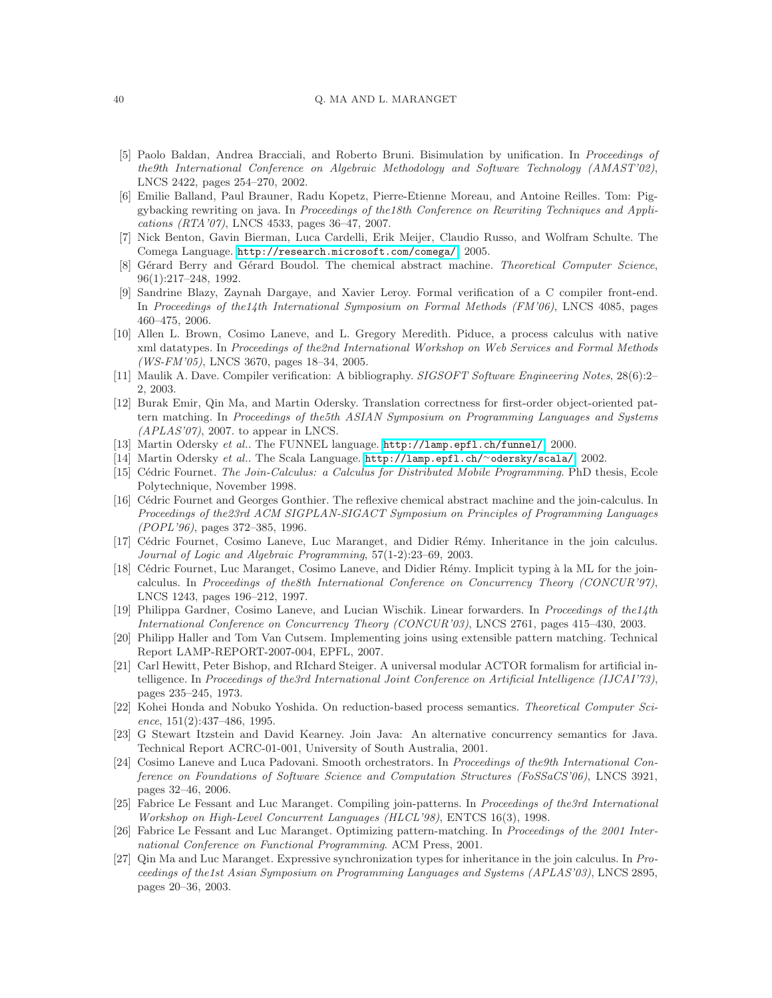#### 40 Q. MA AND L. MARANGET

- <span id="page-39-7"></span>[5] Paolo Baldan, Andrea Bracciali, and Roberto Bruni. Bisimulation by unification. In *Proceedings of the9th International Conference on Algebraic Methodology and Software Technology (AMAST'02)*, LNCS 2422, pages 254–270, 2002.
- <span id="page-39-18"></span>[6] Emilie Balland, Paul Brauner, Radu Kopetz, Pierre-Etienne Moreau, and Antoine Reilles. Tom: Piggybacking rewriting on java. In *Proceedings of the18th Conference on Rewriting Techniques and Applications (RTA'07)*, LNCS 4533, pages 36–47, 2007.
- <span id="page-39-2"></span>[7] Nick Benton, Gavin Bierman, Luca Cardelli, Erik Meijer, Claudio Russo, and Wolfram Schulte. The Comega Language. <http://research.microsoft.com/comega/>, 2005.
- <span id="page-39-5"></span>[8] G´erard Berry and G´erard Boudol. The chemical abstract machine. *Theoretical Computer Science*, 96(1):217–248, 1992.
- <span id="page-39-12"></span>[9] Sandrine Blazy, Zaynah Dargaye, and Xavier Leroy. Formal verification of a C compiler front-end. In *Proceedings of the14th International Symposium on Formal Methods (FM'06)*, LNCS 4085, pages 460–475, 2006.
- <span id="page-39-20"></span>[10] Allen L. Brown, Cosimo Laneve, and L. Gregory Meredith. Piduce, a process calculus with native xml datatypes. In *Proceedings of the2nd International Workshop on Web Services and Formal Methods (WS-FM'05)*, LNCS 3670, pages 18–34, 2005.
- <span id="page-39-11"></span>[11] Maulik A. Dave. Compiler verification: A bibliography. *SIGSOFT Software Engineering Notes*, 28(6):2– 2, 2003.
- <span id="page-39-13"></span>[12] Burak Emir, Qin Ma, and Martin Odersky. Translation correctness for first-order object-oriented pattern matching. In *Proceedings of the5th ASIAN Symposium on Programming Languages and Systems (APLAS'07)*, 2007. to appear in LNCS.
- <span id="page-39-15"></span><span id="page-39-14"></span>[13] Martin Odersky *et al.*. The FUNNEL language. <http://lamp.epfl.ch/funnel/>, 2000.
- <span id="page-39-0"></span>[14] Martin Odersky *et al.*. The Scala Language. [http://lamp.epfl.ch/](http://lamp.epfl.ch/~odersky/scala/)<sup>∼</sup>odersky/scala/, 2002.
- [15] C´edric Fournet. *The Join-Calculus: a Calculus for Distributed Mobile Programming*. PhD thesis, Ecole Polytechnique, November 1998.
- <span id="page-39-1"></span>[16] Cédric Fournet and Georges Gonthier. The reflexive chemical abstract machine and the join-calculus. In *Proceedings of the23rd ACM SIGPLAN-SIGACT Symposium on Principles of Programming Languages (POPL'96)*, pages 372–385, 1996.
- <span id="page-39-21"></span><span id="page-39-4"></span>[17] Cédric Fournet, Cosimo Laneve, Luc Maranget, and Didier Rémy. Inheritance in the join calculus. *Journal of Logic and Algebraic Programming*, 57(1-2):23–69, 2003.
- [18] Cédric Fournet, Luc Maranget, Cosimo Laneve, and Didier Rémy. Implicit typing à la ML for the joincalculus. In *Proceedings of the8th International Conference on Concurrency Theory (CONCUR'97)*, LNCS 1243, pages 196–212, 1997.
- <span id="page-39-9"></span>[19] Philippa Gardner, Cosimo Laneve, and Lucian Wischik. Linear forwarders. In *Proceedings of the14th International Conference on Concurrency Theory (CONCUR'03)*, LNCS 2761, pages 415–430, 2003.
- <span id="page-39-16"></span>[20] Philipp Haller and Tom Van Cutsem. Implementing joins using extensible pattern matching. Technical Report LAMP-REPORT-2007-004, EPFL, 2007.
- <span id="page-39-19"></span>[21] Carl Hewitt, Peter Bishop, and RIchard Steiger. A universal modular ACTOR formalism for artificial intelligence. In *Proceedings of the3rd International Joint Conference on Artificial Intelligence (IJCAI'73)*, pages 235–245, 1973.
- <span id="page-39-6"></span>[22] Kohei Honda and Nobuko Yoshida. On reduction-based process semantics. *Theoretical Computer Science*, 151(2):437–486, 1995.
- <span id="page-39-17"></span>[23] G Stewart Itzstein and David Kearney. Join Java: An alternative concurrency semantics for Java. Technical Report ACRC-01-001, University of South Australia, 2001.
- <span id="page-39-10"></span>[24] Cosimo Laneve and Luca Padovani. Smooth orchestrators. In *Proceedings of the9th International Conference on Foundations of Software Science and Computation Structures (FoSSaCS'06)*, LNCS 3921, pages 32–46, 2006.
- <span id="page-39-8"></span>[25] Fabrice Le Fessant and Luc Maranget. Compiling join-patterns. In *Proceedings of the3rd International Workshop on High-Level Concurrent Languages (HLCL'98)*, ENTCS 16(3), 1998.
- <span id="page-39-3"></span>[26] Fabrice Le Fessant and Luc Maranget. Optimizing pattern-matching. In *Proceedings of the 2001 International Conference on Functional Programming*. ACM Press, 2001.
- <span id="page-39-22"></span>[27] Qin Ma and Luc Maranget. Expressive synchronization types for inheritance in the join calculus. In *Proceedings of the1st Asian Symposium on Programming Languages and Systems (APLAS'03)*, LNCS 2895, pages 20–36, 2003.